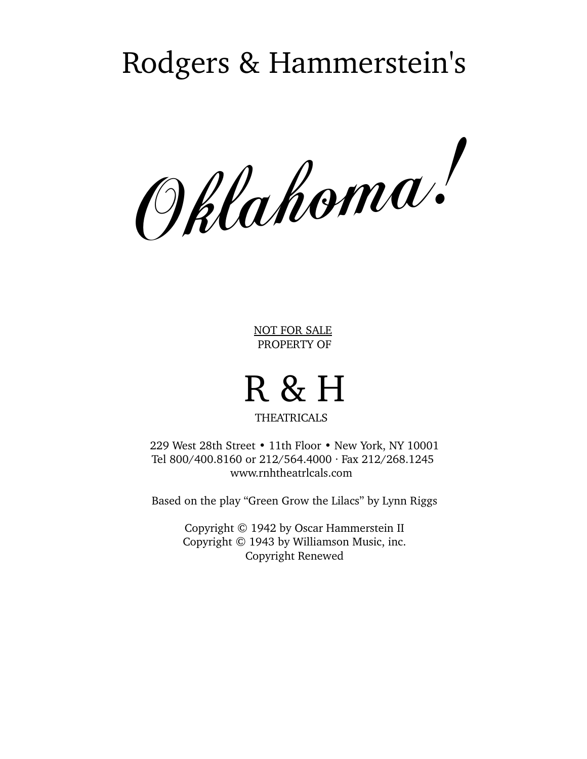# Rodgers & Hammerstein's

Oklahoma!

 NOT FOR SALE PROPERTY OF



229 West 28th Street • 11th Floor • New York, NY 10001 Tel 800/400.8160 or 212/564.4000 · Fax 212/268.1245 www.rnhtheatrlcals.com

Based on the play "Green Grow the Lilacs" by Lynn Riggs

Copyright © 1942 by Oscar Hammerstein II Copyright © 1943 by Williamson Music, inc. Copyright Renewed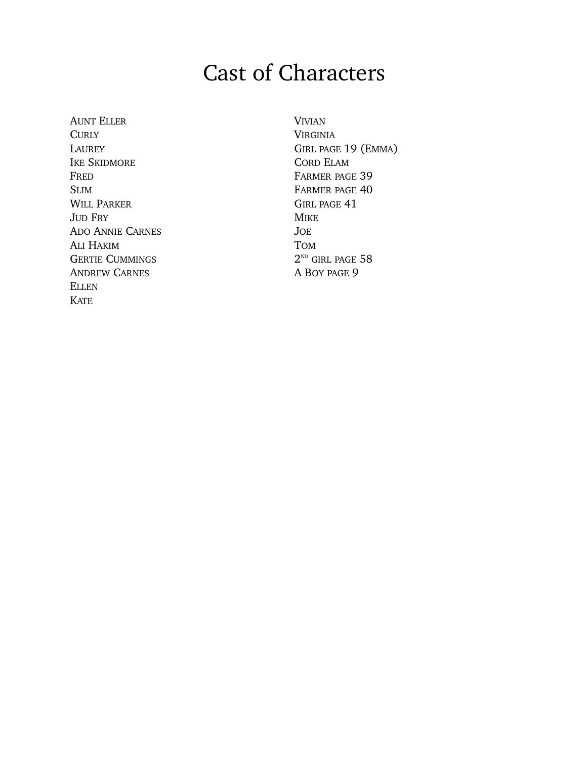# Cast of Characters

AUNT ELLER **CURLY** LAUREY IKE SKIDMORE FRED SLIM WILL PARKER JUD FRY ADO ANNIE CARNES ALI HAKIM GERTIE CUMMINGS ANDREW CARNES ELLEN KATE

**VIVIAN** VIRGINIA GIRL PAGE 19 (EMMA) CORD ELAM FARMER PAGE 39 FARMER PAGE 40 GIRL PAGE 41 MIKE JOE TOM  $2^{ND}$  GIRL PAGE  $58$ A BOY PAGE 9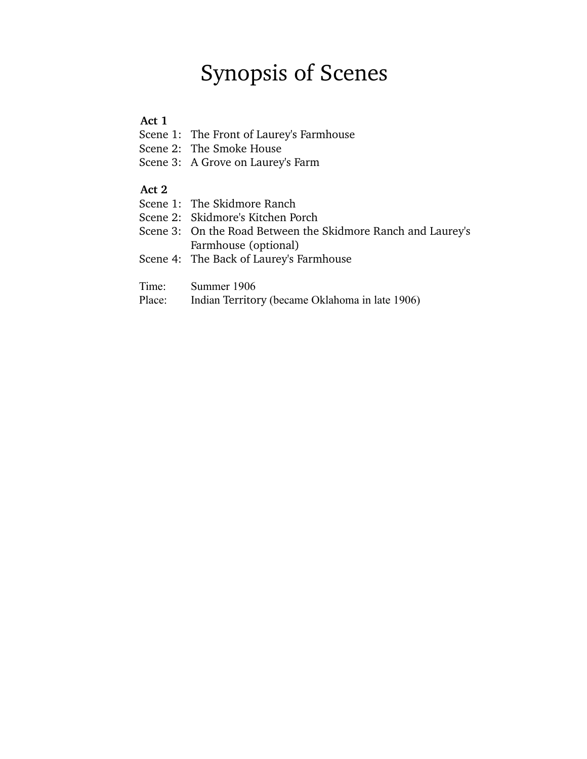# Synopsis of Scenes

# **Act 1**

- Scene 1: The Front of Laurey's Farmhouse
- Scene 2: The Smoke House
- Scene 3: A Grove on Laurey's Farm

### **Act 2**

- Scene 1: The Skidmore Ranch
- Scene 2: Skidmore's Kitchen Porch
- Scene 3: On the Road Between the Skidmore Ranch and Laurey's Farmhouse (optional)
- Scene 4: The Back of Laurey's Farmhouse
- Time: Summer 1906
- Place: Indian Territory (became Oklahoma in late 1906)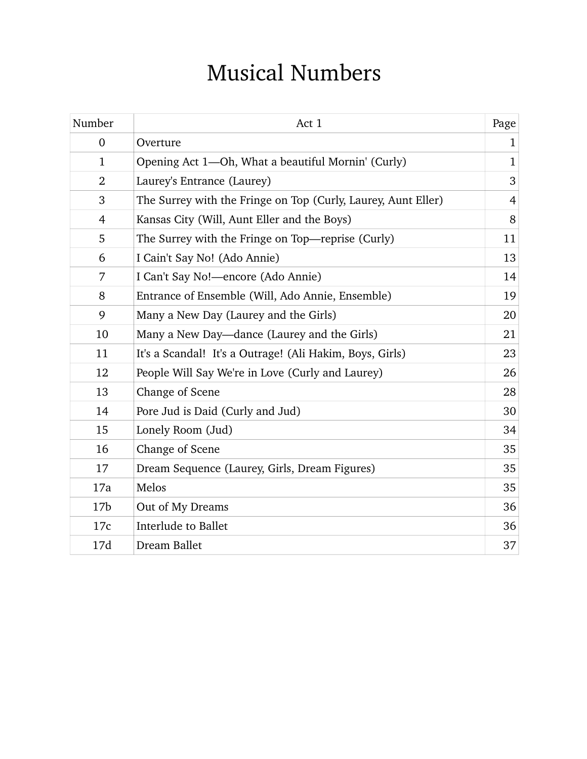# Musical Numbers

| Number          | Act 1                                                         | Page           |
|-----------------|---------------------------------------------------------------|----------------|
| $\Omega$        | Overture                                                      | $\mathbf{1}$   |
| $\mathbf{1}$    | Opening Act 1—Oh, What a beautiful Mornin' (Curly)            | $\mathbf{1}$   |
| $\overline{2}$  | Laurey's Entrance (Laurey)                                    | 3              |
| 3               | The Surrey with the Fringe on Top (Curly, Laurey, Aunt Eller) | $\overline{4}$ |
| $\overline{4}$  | Kansas City (Will, Aunt Eller and the Boys)                   | 8              |
| 5               | The Surrey with the Fringe on Top—reprise (Curly)             | 11             |
| 6               | I Cain't Say No! (Ado Annie)                                  | 13             |
| 7               | I Can't Say No!-encore (Ado Annie)                            | 14             |
| 8               | Entrance of Ensemble (Will, Ado Annie, Ensemble)              | 19             |
| 9               | Many a New Day (Laurey and the Girls)                         | 20             |
| 10              | Many a New Day—dance (Laurey and the Girls)                   | 21             |
| 11              | It's a Scandal! It's a Outrage! (Ali Hakim, Boys, Girls)      | 23             |
| 12              | People Will Say We're in Love (Curly and Laurey)              | 26             |
| 13              | Change of Scene                                               | 28             |
| 14              | Pore Jud is Daid (Curly and Jud)                              | 30             |
| 15              | Lonely Room (Jud)                                             | 34             |
| 16              | Change of Scene                                               | 35             |
| 17              | Dream Sequence (Laurey, Girls, Dream Figures)                 | 35             |
| 17a             | Melos                                                         | 35             |
| 17 <sub>b</sub> | Out of My Dreams                                              | 36             |
| 17c             | Interlude to Ballet                                           | 36             |
| 17d             | Dream Ballet                                                  | 37             |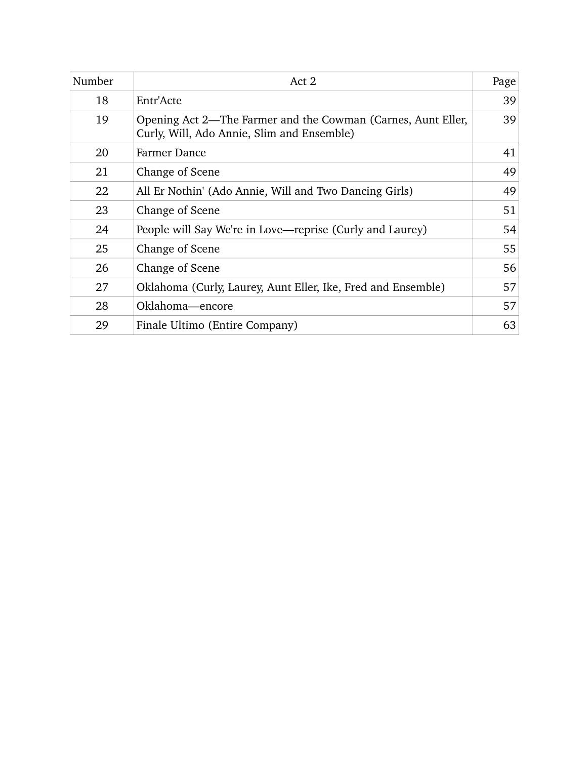| Number | Act 2                                                                                                      | Page |
|--------|------------------------------------------------------------------------------------------------------------|------|
| 18     | Entr'Acte                                                                                                  | 39   |
| 19     | Opening Act 2—The Farmer and the Cowman (Carnes, Aunt Eller,<br>Curly, Will, Ado Annie, Slim and Ensemble) | 39   |
| 20     | Farmer Dance                                                                                               | 41   |
| 21     | Change of Scene                                                                                            | 49   |
| 22     | All Er Nothin' (Ado Annie, Will and Two Dancing Girls)                                                     | 49   |
| 23     | Change of Scene                                                                                            | 51   |
| 24     | People will Say We're in Love—reprise (Curly and Laurey)                                                   | 54   |
| 25     | Change of Scene                                                                                            | 55   |
| 26     | Change of Scene                                                                                            | 56   |
| 27     | Oklahoma (Curly, Laurey, Aunt Eller, Ike, Fred and Ensemble)                                               | 57   |
| 28     | Oklahoma—encore                                                                                            | 57   |
| 29     | Finale Ultimo (Entire Company)                                                                             | 63   |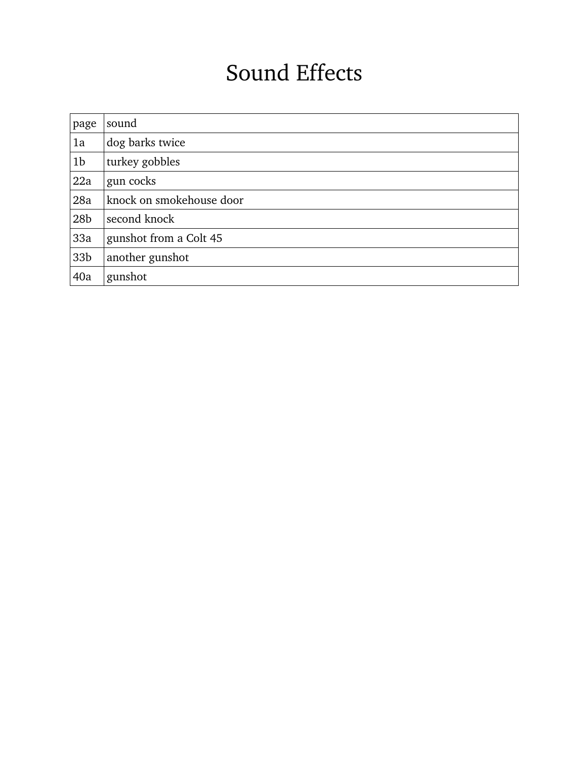# Sound Effects

| page            | sound                    |
|-----------------|--------------------------|
| 1a              | dog barks twice          |
| 1 <sub>b</sub>  | turkey gobbles           |
| 22a             | gun cocks                |
| 28a             | knock on smokehouse door |
| 28 <sub>b</sub> | second knock             |
| 33a             | gunshot from a Colt 45   |
| 33 <sub>b</sub> | another gunshot          |
| 40a             | gunshot                  |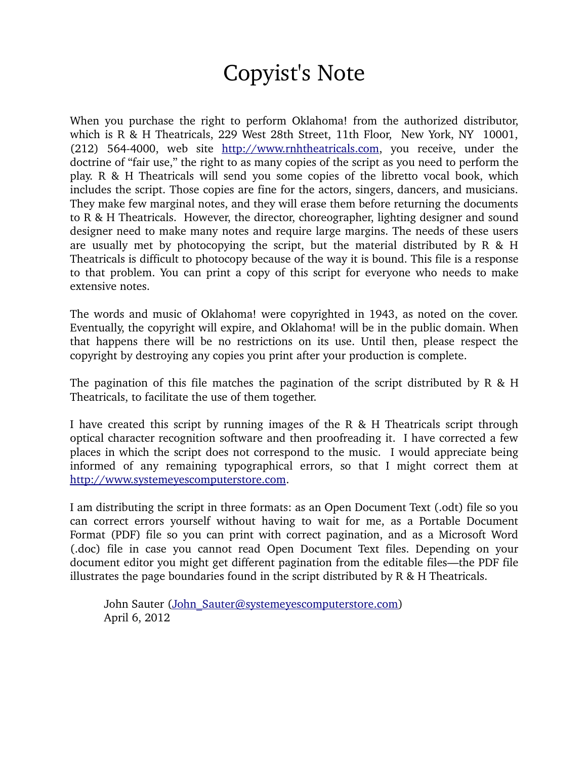# Copyist's Note

When you purchase the right to perform Oklahoma! from the authorized distributor, which is R & H Theatricals, 229 West 28th Street, 11th Floor, New York, NY 10001, (212) 564-4000, web site http://www.rnhtheatricals.com, you receive, under the doctrine of "fair use," the right to as many copies of the script as you need to perform the play. R & H Theatricals will send you some copies of the libretto vocal book, which includes the script. Those copies are fine for the actors, singers, dancers, and musicians. They make few marginal notes, and they will erase them before returning the documents to R & H Theatricals. However, the director, choreographer, lighting designer and sound designer need to make many notes and require large margins. The needs of these users are usually met by photocopying the script, but the material distributed by R & H Theatricals is difficult to photocopy because of the way it is bound. This file is a response to that problem. You can print a copy of this script for everyone who needs to make extensive notes.

The words and music of Oklahoma! were copyrighted in 1943, as noted on the cover. Eventually, the copyright will expire, and Oklahoma! will be in the public domain. When that happens there will be no restrictions on its use. Until then, please respect the copyright by destroying any copies you print after your production is complete.

The pagination of this file matches the pagination of the script distributed by R & H Theatricals, to facilitate the use of them together.

I have created this script by running images of the R & H Theatricals script through optical character recognition software and then proofreading it. I have corrected a few places in which the script does not correspond to the music. I would appreciate being informed of any remaining typographical errors, so that I might correct them at http://www.systemeyescomputerstore.com.

I am distributing the script in three formats: as an Open Document Text (.odt) file so you can correct errors yourself without having to wait for me, as a Portable Document Format (PDF) file so you can print with correct pagination, and as a Microsoft Word (.doc) file in case you cannot read Open Document Text files. Depending on your document editor you might get different pagination from the editable files—the PDF file illustrates the page boundaries found in the script distributed by R & H Theatricals.

John Sauter (John Sauter@systemeyescomputerstore.com) April 6, 2012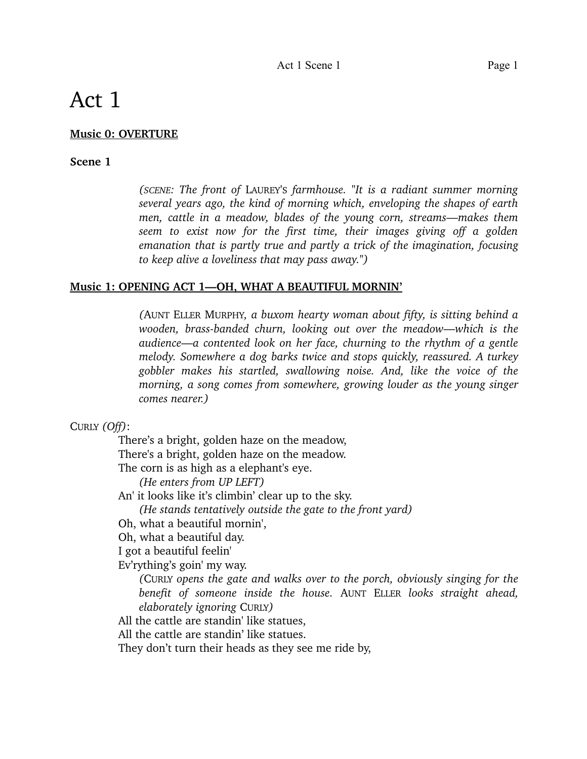# Act 1

# **Music 0: OVERTURE**

#### **Scene 1**

*(SCENE: The front of* LAUREY'S *farmhouse. "It is a radiant summer morning several years ago, the kind of morning which, enveloping the shapes of earth men, cattle in a meadow, blades of the young corn, streams—makes them seem to exist now for the first time, their images giving off a golden emanation that is partly true and partly a trick of the imagination, focusing to keep alive a loveliness that may pass away.")*

#### **Music 1: OPENING ACT 1—OH, WHAT A BEAUTIFUL MORNIN'**

*(*AUNT ELLER MURPHY*, a buxom hearty woman about fifty, is sitting behind a wooden, brass-banded churn, looking out over the meadow—which is the audience—a contented look on her face, churning to the rhythm of a gentle melody. Somewhere a dog barks twice and stops quickly, reassured. A turkey gobbler makes his startled, swallowing noise. And, like the voice of the morning, a song comes from somewhere, growing louder as the young singer comes nearer.)*

# CURLY *(Off)*:

There's a bright, golden haze on the meadow, There's a bright, golden haze on the meadow.

The corn is as high as a elephant's eye.

*(He enters from UP LEFT)*

An' it looks like it's climbin' clear up to the sky.

*(He stands tentatively outside the gate to the front yard)*

Oh, what a beautiful mornin',

Oh, what a beautiful day.

I got a beautiful feelin'

Ev'rything's goin' my way.

*(*CURLY *opens the gate and walks over to the porch, obviously singing for the benefit of someone inside the house.* AUNT ELLER *looks straight ahead, elaborately ignoring* CURLY*)*

All the cattle are standin' like statues,

All the cattle are standin' like statues.

They don't turn their heads as they see me ride by,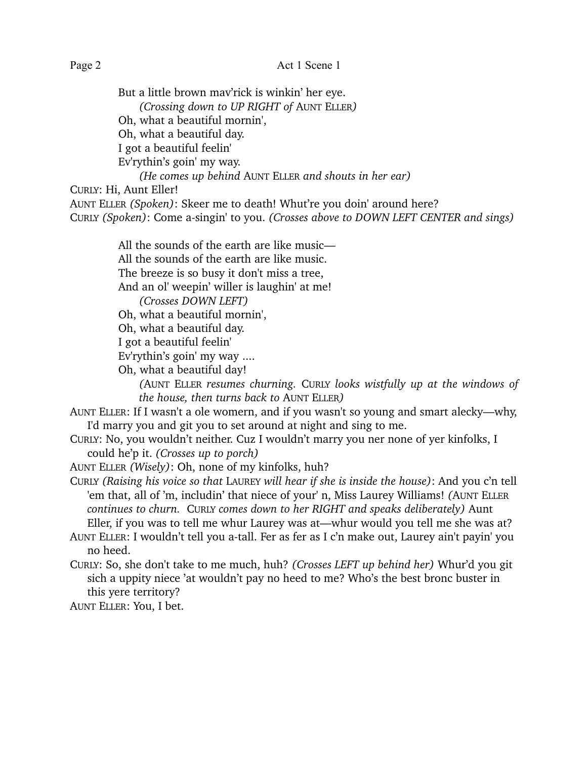### Page 2 Act 1 Scene 1

But a little brown mav'rick is winkin' her eye. *(Crossing down to UP RIGHT of* AUNT ELLER*)* Oh, what a beautiful mornin', Oh, what a beautiful day. I got a beautiful feelin' Ev'rythin's goin' my way. *(He comes up behind* AUNT ELLER *and shouts in her ear)* CURLY: Hi, Aunt Eller!

AUNT ELLER *(Spoken)*: Skeer me to death! Whut're you doin' around here? CURLY *(Spoken)*: Come a-singin' to you. *(Crosses above to DOWN LEFT CENTER and sings)*

> All the sounds of the earth are like music— All the sounds of the earth are like music. The breeze is so busy it don't miss a tree, And an ol' weepin' willer is laughin' at me!

*(Crosses DOWN LEFT)*

Oh, what a beautiful mornin',

Oh, what a beautiful day.

I got a beautiful feelin'

Ev'rythin's goin' my way ....

Oh, what a beautiful day!

*(*AUNT ELLER *resumes churning.* CURLY *looks wistfully up at the windows of the house, then turns back to* AUNT ELLER*)*

AUNT ELLER: If I wasn't a ole womern, and if you wasn't so young and smart alecky—why, I'd marry you and git you to set around at night and sing to me.

CURLY: No, you wouldn't neither. Cuz I wouldn't marry you ner none of yer kinfolks, I could he'p it. *(Crosses up to porch)*

AUNT ELLER *(Wisely)*: Oh, none of my kinfolks, huh?

CURLY *(Raising his voice so that* LAUREY *will hear if she is inside the house)*: And you c'n tell 'em that, all of 'm, includin' that niece of your' n, Miss Laurey Williams! *(*AUNT ELLER *continues to churn.* CURLY *comes down to her RIGHT and speaks deliberately)* Aunt Eller, if you was to tell me whur Laurey was at—whur would you tell me she was at?

AUNT ELLER: I wouldn't tell you a-tall. Fer as fer as I c'n make out, Laurey ain't payin' you no heed.

CURLY: So, she don't take to me much, huh? *(Crosses LEFT up behind her)* Whur'd you git sich a uppity niece 'at wouldn't pay no heed to me? Who's the best bronc buster in this yere territory?

AUNT ELLER: You, I bet.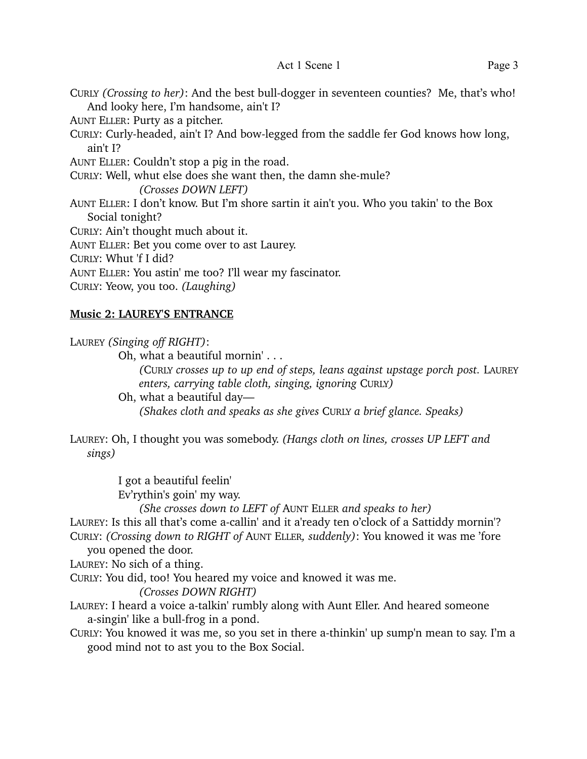#### Act 1 Scene 1 Page 3

CURLY *(Crossing to her)*: And the best bull-dogger in seventeen counties? Me, that's who! And looky here, I'm handsome, ain't I?

AUNT ELLER: Purty as a pitcher.

CURLY: Curly-headed, ain't I? And bow-legged from the saddle fer God knows how long, ain't I?

AUNT ELLER: Couldn't stop a pig in the road.

CURLY: Well, whut else does she want then, the damn she-mule?

# *(Crosses DOWN LEFT)*

- AUNT ELLER: I don't know. But I'm shore sartin it ain't you. Who you takin' to the Box Social tonight?
- CURLY: Ain't thought much about it.
- AUNT ELLER: Bet you come over to ast Laurey.

CURLY: Whut 'f I did?

- AUNT ELLER: You astin' me too? I'll wear my fascinator.
- CURLY: Yeow, you too. *(Laughing)*

# **Music 2: LAUREY'S ENTRANCE**

LAUREY *(Singing off RIGHT)*:

Oh, what a beautiful mornin' . . .

*(*CURLY *crosses up to up end of steps, leans against upstage porch post.* LAUREY *enters, carrying table cloth, singing, ignoring* CURLY*)*

# Oh, what a beautiful day— *(Shakes cloth and speaks as she gives* CURLY *a brief glance. Speaks)*

LAUREY: Oh, I thought you was somebody. *(Hangs cloth on lines, crosses UP LEFT and sings)*

> I got a beautiful feelin' Ev'rythin's goin' my way.

> > *(She crosses down to LEFT of* AUNT ELLER *and speaks to her)*

- LAUREY: Is this all that's come a-callin' and it a'ready ten o'clock of a Sattiddy mornin'?
- CURLY: *(Crossing down to RIGHT of* AUNT ELLER*, suddenly)*: You knowed it was me 'fore you opened the door.

LAUREY: No sich of a thing.

CURLY: You did, too! You heared my voice and knowed it was me.

*(Crosses DOWN RIGHT)*

- LAUREY: I heard a voice a-talkin' rumbly along with Aunt Eller. And heared someone a-singin' like a bull-frog in a pond.
- CURLY: You knowed it was me, so you set in there a-thinkin' up sump'n mean to say. I'm a good mind not to ast you to the Box Social.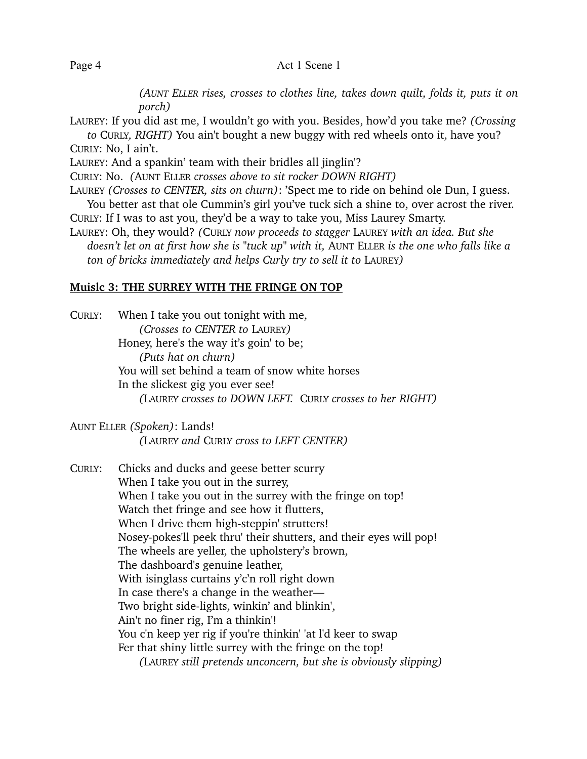#### Page 4 Act 1 Scene 1

*(AUNT ELLER rises, crosses to clothes line, takes down quilt, folds it, puts it on porch)*

LAUREY: If you did ast me, I wouldn't go with you. Besides, how'd you take me? *(Crossing to* CURLY*, RIGHT)* You ain't bought a new buggy with red wheels onto it, have you? CURLY: No, I ain't.

LAUREY: And a spankin' team with their bridles all jinglin'?

CURLY: No. *(*AUNT ELLER *crosses above to sit rocker DOWN RIGHT)*

LAUREY *(Crosses to CENTER, sits on churn)*: 'Spect me to ride on behind ole Dun, I guess. You better ast that ole Cummin's girl you've tuck sich a shine to, over acrost the river.

CURLY: If I was to ast you, they'd be a way to take you, Miss Laurey Smarty.

LAUREY: Oh, they would? *(*CURLY *now proceeds to stagger* LAUREY *with an idea. But she* doesn't let on at first how she is "tuck up" with it, AUNT ELLER is the one who falls like a *ton of bricks immediately and helps Curly try to sell it to* LAUREY*)*

# **Muislc 3: THE SURREY WITH THE FRINGE ON TOP**

CURLY: When I take you out tonight with me, *(Crosses to CENTER to* LAUREY*)* Honey, here's the way it's goin' to be; *(Puts hat on churn)* You will set behind a team of snow white horses In the slickest gig you ever see! *(*LAUREY *crosses to DOWN LEFT.* CURLY *crosses to her RIGHT)*

AUNT ELLER *(Spoken)*: Lands!

*(*LAUREY *and* CURLY *cross to LEFT CENTER)*

CURLY: Chicks and ducks and geese better scurry When I take you out in the surrey, When I take you out in the surrey with the fringe on top! Watch thet fringe and see how it flutters, When I drive them high-steppin' strutters! Nosey-pokes'll peek thru' their shutters, and their eyes will pop! The wheels are yeller, the upholstery's brown, The dashboard's genuine leather, With isinglass curtains y'c'n roll right down In case there's a change in the weather— Two bright side-lights, winkin' and blinkin', Ain't no finer rig, I'm a thinkin'! You c'n keep yer rig if you're thinkin' 'at l'd keer to swap Fer that shiny little surrey with the fringe on the top! *(*LAUREY *still pretends unconcern, but she is obviously slipping)*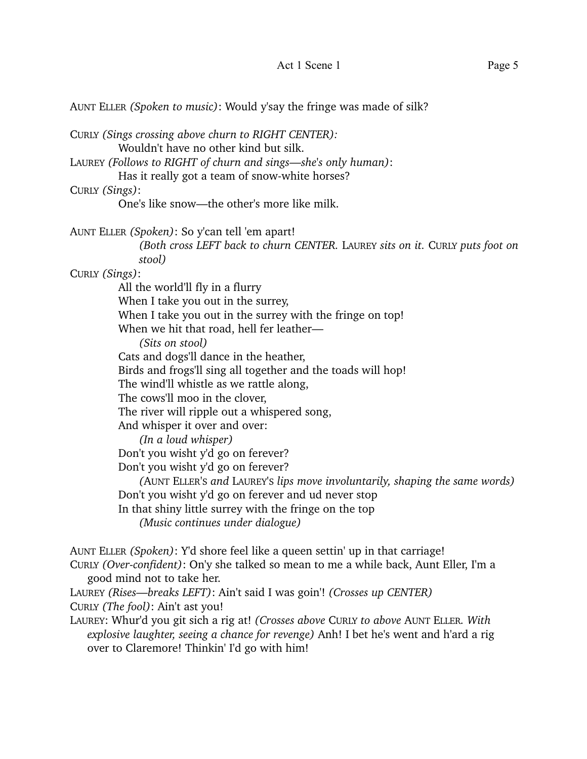AUNT ELLER *(Spoken to music)*: Would y'say the fringe was made of silk? CURLY *(Sings crossing above churn to RIGHT CENTER):* Wouldn't have no other kind but silk. LAUREY *(Follows to RIGHT of churn and sings—she's only human)*: Has it really got a team of snow-white horses? CURLY *(Sings)*: One's like snow—the other's more like milk. AUNT ELLER *(Spoken)*: So y'can tell 'em apart! *(Both cross LEFT back to churn CENTER.* LAUREY *sits on it.* CURLY *puts foot on stool)* CURLY *(Sings)*: All the world'll fly in a flurry When I take you out in the surrey, When I take you out in the surrey with the fringe on top! When we hit that road, hell fer leather-*(Sits on stool)* Cats and dogs'll dance in the heather, Birds and frogs'll sing all together and the toads will hop! The wind'll whistle as we rattle along, The cows'll moo in the clover, The river will ripple out a whispered song, And whisper it over and over: *(In a loud whisper)* Don't you wisht y'd go on ferever? Don't you wisht y'd go on ferever? *(*AUNT ELLER'S *and* LAUREY'S *lips move involuntarily, shaping the same words)* Don't you wisht y'd go on ferever and ud never stop In that shiny little surrey with the fringe on the top *(Music continues under dialogue)*

AUNT ELLER *(Spoken)*: Y'd shore feel like a queen settin' up in that carriage! CURLY *(Over-confident)*: On'y she talked so mean to me a while back, Aunt Eller, I'm a good mind not to take her.

LAUREY *(Rises—breaks LEFT)*: Ain't said I was goin'! *(Crosses up CENTER)* CURLY *(The fool)*: Ain't ast you!

LAUREY: Whur'd you git sich a rig at! *(Crosses above* CURLY *to above* AUNT ELLER*. With explosive laughter, seeing a chance for revenge)* Anh! I bet he's went and h'ard a rig over to Claremore! Thinkin' I'd go with him!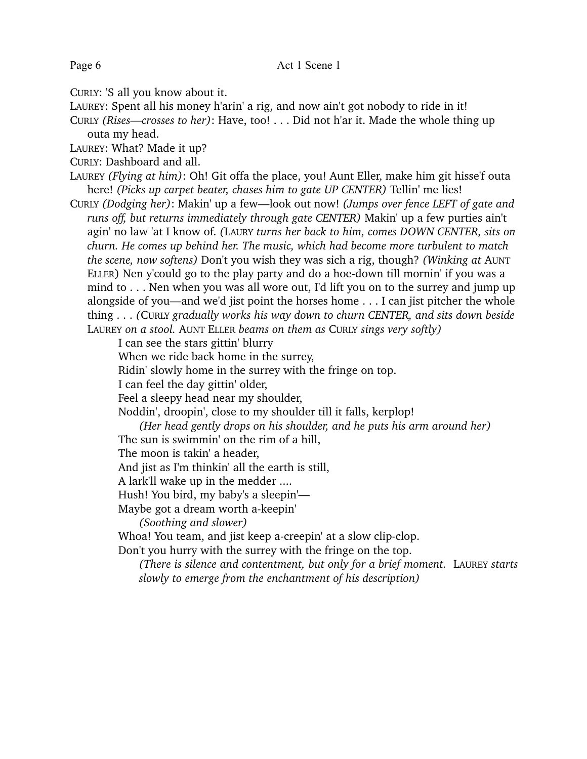CURLY: 'S all you know about it.

LAUREY: Spent all his money h'arin' a rig, and now ain't got nobody to ride in it!

CURLY *(Rises—crosses to her)*: Have, too! . . . Did not h'ar it. Made the whole thing up outa my head.

LAUREY: What? Made it up?

CURLY: Dashboard and all.

- LAUREY *(Flying at him)*: Oh! Git offa the place, you! Aunt Eller, make him git hisse'f outa here! *(Picks up carpet beater, chases him to gate UP CENTER)* Tellin' me lies!
- CURLY *(Dodging her)*: Makin' up a few—look out now! *(Jumps over fence LEFT of gate and runs off, but returns immediately through gate CENTER)* Makin' up a few purties ain't agin' no law 'at I know of. *(*LAURY *turns her back to him, comes DOWN CENTER, sits on churn. He comes up behind her. The music, which had become more turbulent to match the scene, now softens)* Don't you wish they was sich a rig, though? *(Winking at* AUNT ELLER) Nen y'could go to the play party and do a hoe-down till mornin' if you was a mind to . . . Nen when you was all wore out, I'd lift you on to the surrey and jump up alongside of you—and we'd jist point the horses home . . . I can jist pitcher the whole thing . . . *(*CURLY *gradually works his way down to churn CENTER, and sits down beside* LAUREY *on a stool.* AUNT ELLER *beams on them as* CURLY *sings very softly)*

I can see the stars gittin' blurry

When we ride back home in the surrey,

Ridin' slowly home in the surrey with the fringe on top.

I can feel the day gittin' older,

Feel a sleepy head near my shoulder,

Noddin', droopin', close to my shoulder till it falls, kerplop!

*(Her head gently drops on his shoulder, and he puts his arm around her)* The sun is swimmin' on the rim of a hill,

The moon is takin' a header,

And jist as I'm thinkin' all the earth is still,

A lark'll wake up in the medder ....

Hush! You bird, my baby's a sleepin'—

Maybe got a dream worth a-keepin'

*(Soothing and slower)*

Whoa! You team, and jist keep a-creepin' at a slow clip-clop.

Don't you hurry with the surrey with the fringe on the top.

*(There is silence and contentment, but only for a brief moment.* LAUREY *starts slowly to emerge from the enchantment of his description)*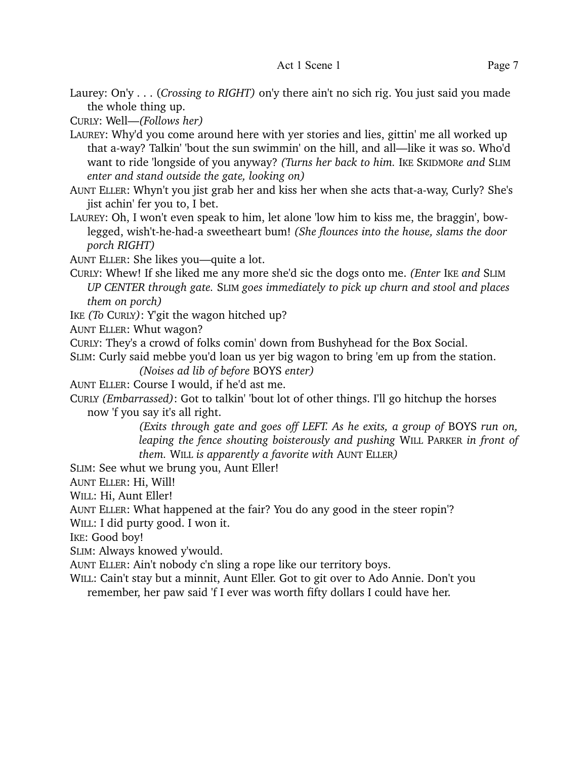Laurey: On'y . . . (*Crossing to RIGHT)* on'y there ain't no sich rig. You just said you made the whole thing up.

CURLY: Well—*(Follows her)*

LAUREY: Why'd you come around here with yer stories and lies, gittin' me all worked up that a-way? Talkin' 'bout the sun swimmin' on the hill, and all—like it was so. Who'd want to ride 'longside of you anyway? *(Turns her back to him.* IKE SKIDMOR*e and* SLIM *enter and stand outside the gate, looking on)*

AUNT ELLER: Whyn't you jist grab her and kiss her when she acts that-a-way, Curly? She's jist achin' fer you to, I bet.

LAUREY: Oh, I won't even speak to him, let alone 'low him to kiss me, the braggin', bowlegged, wish't-he-had-a sweetheart bum! *(She flounces into the house, slams the door porch RIGHT)*

AUNT ELLER: She likes you—quite a lot.

CURLY: Whew! If she liked me any more she'd sic the dogs onto me. *(Enter* IKE *and* SLIM *UP CENTER through gate.* SLIM *goes immediately to pick up churn and stool and places them on porch)*

IKE *(To* CURLY*)*: Y'git the wagon hitched up?

AUNT ELLER: Whut wagon?

CURLY: They's a crowd of folks comin' down from Bushyhead for the Box Social.

SLIM: Curly said mebbe you'd loan us yer big wagon to bring 'em up from the station.

*(Noises ad lib of before* BOYS *enter)*

AUNT ELLER: Course I would, if he'd ast me.

CURLY *(Embarrassed)*: Got to talkin' 'bout lot of other things. I'll go hitchup the horses now 'f you say it's all right.

> *(Exits through gate and goes off LEFT. As he exits, a group of* BOYS *run on, leaping the fence shouting boisterously and pushing* WILL PARKER *in front of them.* WILL *is apparently a favorite with* AUNT ELLER*)*

SLIM: See whut we brung you, Aunt Eller!

AUNT ELLER: Hi, Will!

WILL: Hi, Aunt Eller!

AUNT ELLER: What happened at the fair? You do any good in the steer ropin'?

WILL: I did purty good. I won it.

IKE: Good boy!

SLIM: Always knowed y'would.

AUNT ELLER: Ain't nobody c'n sling a rope like our territory boys.

WILL: Cain't stay but a minnit, Aunt Eller. Got to git over to Ado Annie. Don't you remember, her paw said 'f I ever was worth fifty dollars I could have her.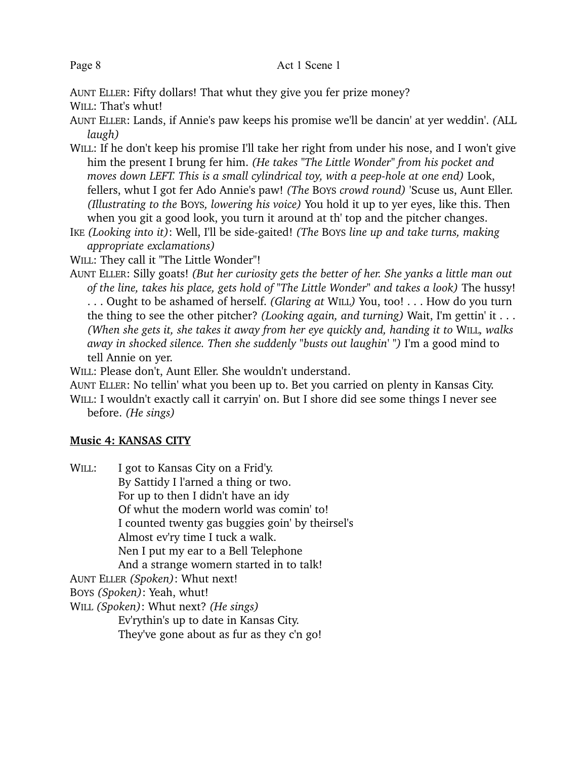# Page 8 Act 1 Scene 1

AUNT ELLER: Fifty dollars! That whut they give you fer prize money?

WILL: That's whut!

AUNT ELLER: Lands, if Annie's paw keeps his promise we'll be dancin' at yer weddin'. *(*ALL *laugh)*

- WILL: If he don't keep his promise I'll take her right from under his nose, and I won't give him the present I brung fer him. *(He takes "The Little Wonder" from his pocket and moves down LEFT. This is a small cylindrical toy, with a peep-hole at one end)* Look, fellers, whut I got fer Ado Annie's paw! *(The* BOYS *crowd round)* 'Scuse us, Aunt Eller. *(Illustrating to the* BOYS*, lowering his voice)* You hold it up to yer eyes, like this. Then when you git a good look, you turn it around at th' top and the pitcher changes.
- IKE *(Looking into it)*: Well, I'll be side-gaited! *(The* BOYS *line up and take turns, making appropriate exclamations)*

WILL: They call it "The Little Wonder"!

AUNT ELLER: Silly goats! *(But her curiosity gets the better of her. She yanks a little man out of the line, takes his place, gets hold of "The Little Wonder" and takes a look)* The hussy! . . . Ought to be ashamed of herself. *(Glaring at* WILL*)* You, too! . . . How do you turn the thing to see the other pitcher? *(Looking again, and turning)* Wait, I'm gettin' it . . . *(When she gets it, she takes it away from her eye quickly and, handing it to* WILL*, walks away in shocked silence. Then she suddenly "busts out laughin' ")* I'm a good mind to tell Annie on yer.

WILL: Please don't, Aunt Eller. She wouldn't understand.

AUNT ELLER: No tellin' what you been up to. Bet you carried on plenty in Kansas City. WILL: I wouldn't exactly call it carryin' on. But I shore did see some things I never see before. *(He sings)*

# **Music 4: KANSAS CITY**

WILL: I got to Kansas City on a Frid'y. By Sattidy I l'arned a thing or two. For up to then I didn't have an idy Of whut the modern world was comin' to! I counted twenty gas buggies goin' by theirsel's Almost ev'ry time I tuck a walk. Nen I put my ear to a Bell Telephone And a strange womern started in to talk!

AUNT ELLER *(Spoken)*: Whut next!

BOYS *(Spoken)*: Yeah, whut!

WILL *(Spoken)*: Whut next? *(He sings)*

Ev'rythin's up to date in Kansas City. They've gone about as fur as they c'n go!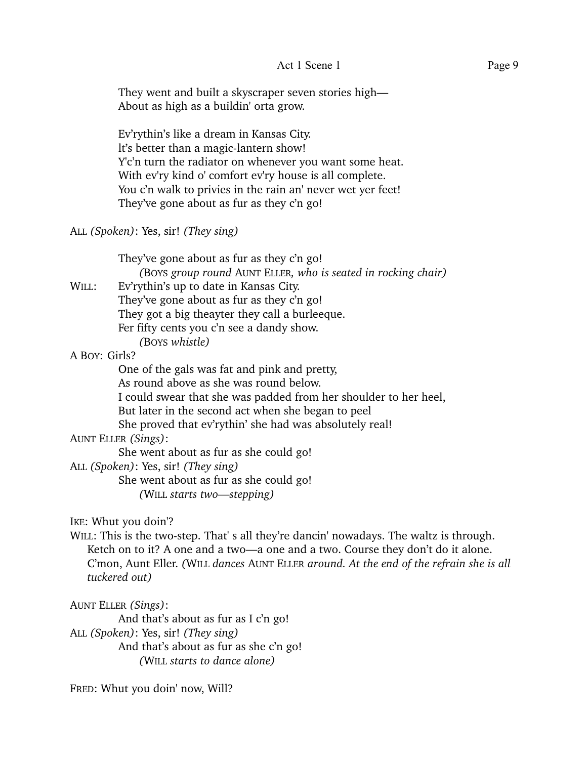#### Act 1 Scene 1 Page 9

They went and built a skyscraper seven stories high— About as high as a buildin' orta grow.

Ev'rythin's like a dream in Kansas City. lt's better than a magic-lantern show! Y'c'n turn the radiator on whenever you want some heat. With ev'ry kind o' comfort ev'ry house is all complete. You c'n walk to privies in the rain an' never wet yer feet! They've gone about as fur as they c'n go!

#### ALL *(Spoken)*: Yes, sir! *(They sing)*

They've gone about as fur as they c'n go! *(*BOYS *group round* AUNT ELLER*, who is seated in rocking chair)* WILL: Ev'rythin's up to date in Kansas City. They've gone about as fur as they c'n go! They got a big theayter they call a burleeque. Fer fifty cents you c'n see a dandy show. *(*BOYS *whistle)*

#### A BOY: Girls?

One of the gals was fat and pink and pretty, As round above as she was round below. I could swear that she was padded from her shoulder to her heel, But later in the second act when she began to peel She proved that ev'rythin' she had was absolutely real!

# AUNT ELLER *(Sings)*:

She went about as fur as she could go!

ALL *(Spoken)*: Yes, sir! *(They sing)*

She went about as fur as she could go!

*(*WILL *starts two—stepping)*

IKE: Whut you doin'?

WILL: This is the two-step. That' s all they're dancin' nowadays. The waltz is through. Ketch on to it? A one and a two—a one and a two. Course they don't do it alone. C'mon, Aunt Eller. *(*WILL *dances* AUNT ELLER *around. At the end of the refrain she is all tuckered out)*

AUNT ELLER *(Sings)*:

And that's about as fur as I c'n go! ALL *(Spoken)*: Yes, sir! *(They sing)* And that's about as fur as she c'n go! *(*WILL *starts to dance alone)*

FRED: Whut you doin' now, Will?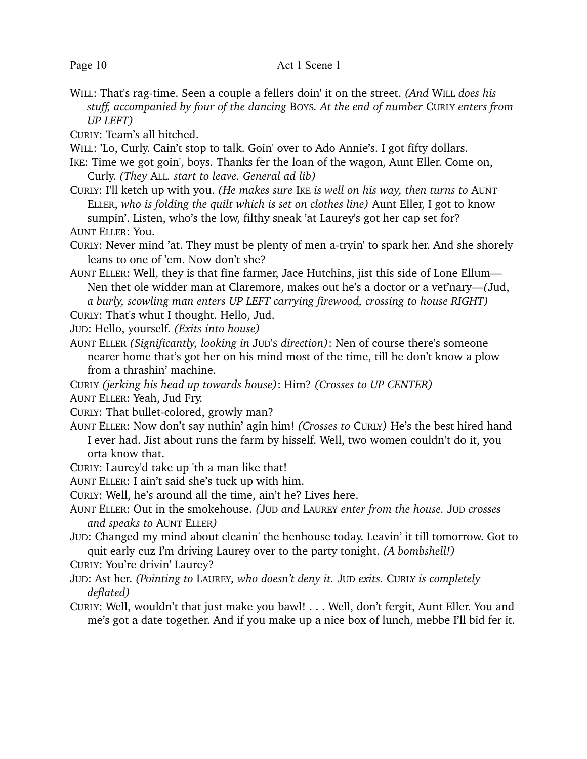#### Page 10 Act 1 Scene 1

WILL: That's rag-time. Seen a couple a fellers doin' it on the street. *(And* WILL *does his stuff, accompanied by four of the dancing* BOYS*. At the end of number* CURLY *enters from UP LEFT)*

CURLY: Team's all hitched.

- WILL: 'Lo, Curly. Cain't stop to talk. Goin' over to Ado Annie's. I got fifty dollars.
- IKE: Time we got goin', boys. Thanks fer the loan of the wagon, Aunt Eller. Come on, Curly. *(They* ALL*. start to leave. General ad lib)*
- CURLY: I'll ketch up with you. *(He makes sure* IKE *is well on his way, then turns to* AUNT ELLER, *who is folding the quilt which is set on clothes line)* Aunt Eller, I got to know sumpin'. Listen, who's the low, filthy sneak 'at Laurey's got her cap set for? AUNT ELLER: You.
- CURLY: Never mind 'at. They must be plenty of men a-tryin' to spark her. And she shorely leans to one of 'em. Now don't she?
- AUNT ELLER: Well, they is that fine farmer, Jace Hutchins, jist this side of Lone Ellum— Nen thet ole widder man at Claremore, makes out he's a doctor or a vet'nary—*(*Jud, *a burly, scowling man enters UP LEFT carrying firewood, crossing to house RIGHT)*
- CURLY: That's whut I thought. Hello, Jud.
- JUD: Hello, yourself. *(Exits into house)*
- AUNT ELLER *(Significantly, looking in* JUD'S *direction)*: Nen of course there's someone nearer home that's got her on his mind most of the time, till he don't know a plow from a thrashin' machine.
- CURLY *(jerking his head up towards house)*: Him? *(Crosses to UP CENTER)*
- AUNT ELLER: Yeah, Jud Fry.
- CURLY: That bullet-colored, growly man?
- AUNT ELLER: Now don't say nuthin' agin him! *(Crosses to* CURLY*)* He's the best hired hand I ever had. Jist about runs the farm by hisself. Well, two women couldn't do it, you orta know that.
- CURLY: Laurey'd take up 'th a man like that!
- AUNT ELLER: I ain't said she's tuck up with him.
- CURLY: Well, he's around all the time, ain't he? Lives here.
- AUNT ELLER: Out in the smokehouse. *(*JUD *and* LAUREY *enter from the house.* JUD *crosses and speaks to* AUNT ELLER*)*
- JUD: Changed my mind about cleanin' the henhouse today. Leavin' it till tomorrow. Got to quit early cuz I'm driving Laurey over to the party tonight. *(A bombshell!)*
- CURLY: You're drivin' Laurey?
- JUD: Ast her. *(Pointing to* LAUREY*, who doesn't deny it.* JUD *exits.* CURLY *is completely deflated)*
- CURLY: Well, wouldn't that just make you bawl! . . . Well, don't fergit, Aunt Eller. You and me's got a date together. And if you make up a nice box of lunch, mebbe I'll bid fer it.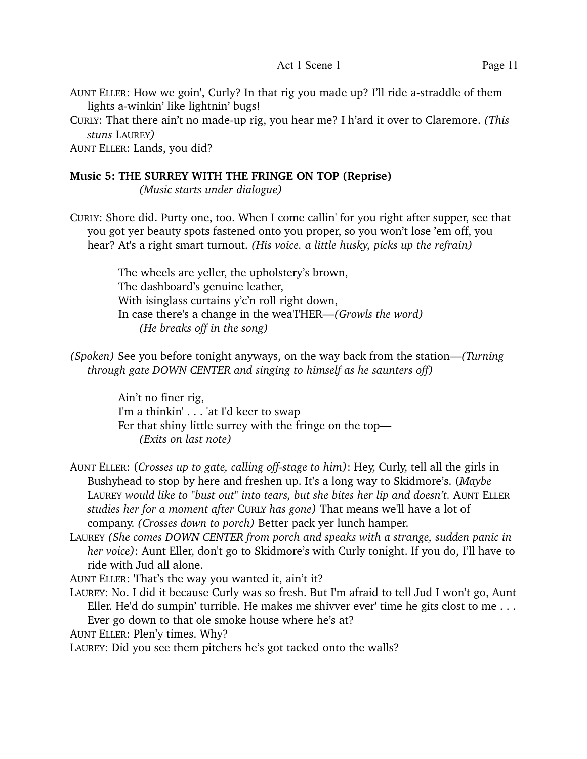CURLY: That there ain't no made-up rig, you hear me? I h'ard it over to Claremore. *(This stuns* LAUREY*)*

AUNT ELLER: Lands, you did?

# **Music 5: THE SURREY WITH THE FRINGE ON TOP (Reprise)**

*(Music starts under dialogue)*

CURLY: Shore did. Purty one, too. When I come callin' for you right after supper, see that you got yer beauty spots fastened onto you proper, so you won't lose 'em off, you hear? At's a right smart turnout. *(His voice. a little husky, picks up the refrain)*

> The wheels are yeller, the upholstery's brown, The dashboard's genuine leather, With isinglass curtains y'c'n roll right down, In case there's a change in the wea'I'HER—*(Growls the word) (He breaks off in the song)*

*(Spoken)* See you before tonight anyways, on the way back from the station—*(Turning through gate DOWN CENTER and singing to himself as he saunters off)*

> Ain't no finer rig, I'm a thinkin' . . . 'at I'd keer to swap Fer that shiny little surrey with the fringe on the top— *(Exits on last note)*

- AUNT ELLER: (*Crosses up to gate, calling off-stage to him)*: Hey, Curly, tell all the girls in Bushyhead to stop by here and freshen up. It's a long way to Skidmore's. (*Maybe* LAUREY *would like to "bust out" into tears, but she bites her lip and doesn't.* AUNT ELLER *studies her for a moment after* CURLY *has gone)* That means we'll have a lot of company. *(Crosses down to porch)* Better pack yer lunch hamper.
- LAUREY *(She comes DOWN CENTER from porch and speaks with a strange, sudden panic in her voice)*: Aunt Eller, don't go to Skidmore's with Curly tonight. If you do, I'll have to ride with Jud all alone.

AUNT ELLER: 'I'hat's the way you wanted it, ain't it?

LAUREY: No. I did it because Curly was so fresh. But I'm afraid to tell Jud I won't go, Aunt Eller. He'd do sumpin' turrible. He makes me shivver ever' time he gits clost to me . . . Ever go down to that ole smoke house where he's at?

AUNT ELLER: Plen'y times. Why?

LAUREY: Did you see them pitchers he's got tacked onto the walls?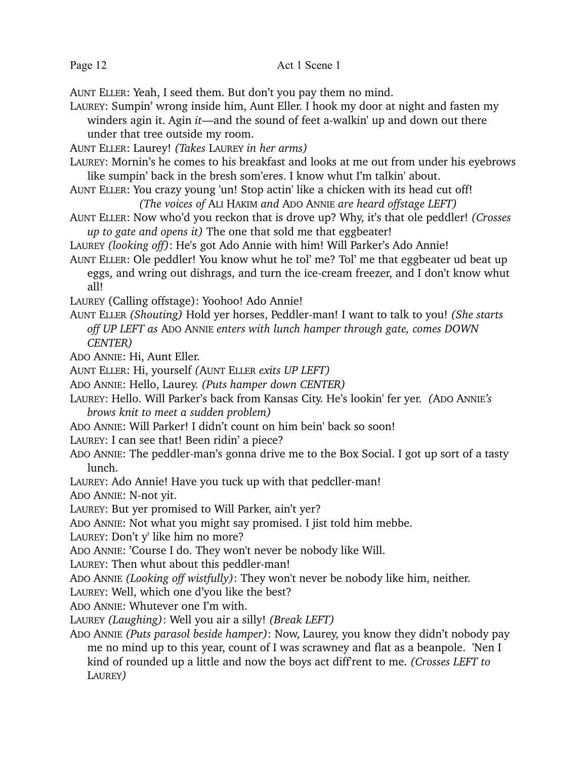# Page 12 Act 1 Scene 1

AUNT ELLER: Yeah, I seed them. But don't you pay them no mind.

LAUREY: Sumpin' wrong inside him, Aunt Eller. I hook my door at night and fasten my winders agin it. Agin *it*—and the sound of feet a-walkin' up and down out there

under that tree outside my room.

AUNT ELLER: Laurey! *(Takes* LAUREY *in her arms)*

LAUREY: Mornin's he comes to his breakfast and looks at me out from under his eyebrows like sumpin' back in the bresh som'eres. I know whut I'm talkin' about.

AUNT ELLER: You crazy young 'un! Stop actin' like a chicken with its head cut off! *(The voices of* ALI HAKIM *and* ADO ANNIE *are heard offstage LEFT)*

AUNT ELLER: Now who'd you reckon that is drove up? Why, it's that ole peddler! *(Crosses up to gate and opens it)* The one that sold me that eggbeater!

LAUREY *(looking off)*: He's got Ado Annie with him! Will Parker's Ado Annie!

AUNT ELLER: Ole peddler! You know whut he tol' me? Tol' me that eggbeater ud beat up eggs, and wring out dishrags, and turn the ice-cream freezer, and I don't know whut all!

LAUREY (Calling offstage): Yoohoo! Ado Annie!

AUNT ELLER *(Shouting)* Hold yer horses, Peddler-man! I want to talk to you! *(She starts off UP LEFT as* ADO ANNIE *enters with lunch hamper through gate, comes DOWN CENTER)*

ADO ANNIE: Hi, Aunt Eller.

AUNT ELLER: Hi, yourself *(*AUNT ELLER *exits UP LEFT)*

ADO ANNIE: Hello, Laurey. *(Puts hamper down CENTER)*

LAUREY: Hello. Will Parker's back from Kansas City. He's lookin' fer yer. *(*ADO ANNIE*'s brows knit to meet a sudden problem)*

ADO ANNIE: Will Parker! I didn't count on him bein' back so soon!

LAUREY: I can see that! Been ridin' a piece?

ADO ANNIE: The peddler-man's gonna drive me to the Box Social. I got up sort of a tasty lunch.

LAUREY: Ado Annie! Have you tuck up with that pedcller-man!

ADO ANNIE: N-not yit.

LAUREY: But yer promised to Will Parker, ain't yer?

ADO ANNIE: Not what you might say promised. I jist told him mebbe.

LAUREY: Don't y' like him no more?

ADO ANNIE: 'Course I do. They won't never be nobody like Will.

LAUREY: Then whut about this peddler-man!

ADO ANNIE *(Looking off wistfully)*: They won't never be nobody like him, neither.

LAUREY: Well, which one d'you like the best?

ADO ANNIE: Whutever one I'm with.

LAUREY *(Laughing)*: Well you air a silly! *(Break LEFT)*

ADO ANNIE *(Puts parasol beside hamper)*: Now, Laurey, you know they didn't nobody pay me no mind up to this year, count of I was scrawney and flat as a beanpole. 'Nen I kind of rounded up a little and now the boys act diff'rent to me. *(Crosses LEFT to* LAUREY*)*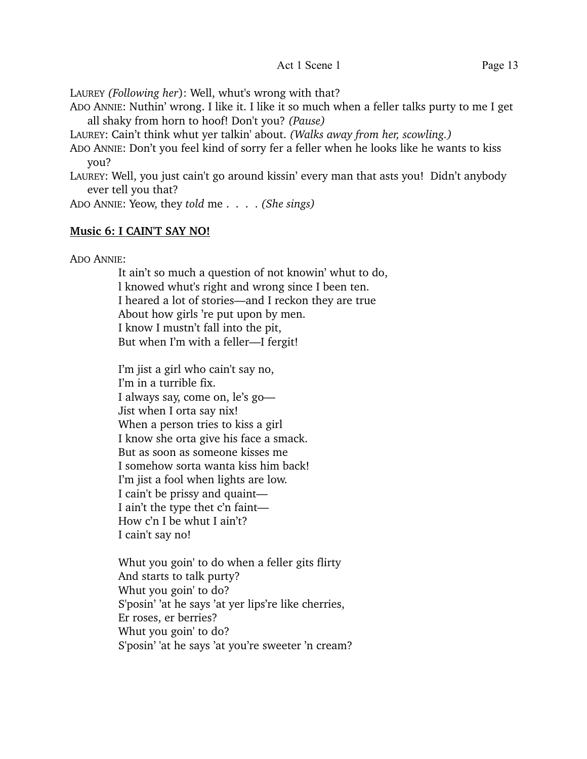LAUREY *(Following her*): Well, whut's wrong with that?

ADO ANNIE: Nuthin' wrong. I like it. I like it so much when a feller talks purty to me I get all shaky from horn to hoof! Don't you? *(Pause)*

LAUREY: Cain't think whut yer talkin' about. *(Walks away from her, scowling.)*

ADO ANNIE: Don't you feel kind of sorry fer a feller when he looks like he wants to kiss you?

LAUREY: Well, you just cain't go around kissin' every man that asts you! Didn't anybody ever tell you that?

ADO ANNIE: Yeow, they *told* me . . . . *(She sings)*

#### **Music 6: I CAIN'T SAY NO!**

ADO ANNIE:

It ain't so much a question of not knowin' whut to do, l knowed whut's right and wrong since I been ten. I heared a lot of stories—and I reckon they are true About how girls 're put upon by men. I know I mustn't fall into the pit, But when I'm with a feller—I fergit!

I'm jist a girl who cain't say no, I'm in a turrible fix. I always say, come on, le's go— Jist when I orta say nix! When a person tries to kiss a girl I know she orta give his face a smack. But as soon as someone kisses me I somehow sorta wanta kiss him back! I'm jist a fool when lights are low. I cain't be prissy and quaint— I ain't the type thet c'n faint— How c'n I be whut I ain't? I cain't say no!

Whut you goin' to do when a feller gits flirty And starts to talk purty? Whut you goin' to do? S'posin' 'at he says 'at yer lips're like cherries, Er roses, er berries? Whut you goin' to do? S'posin' 'at he says 'at you're sweeter 'n cream?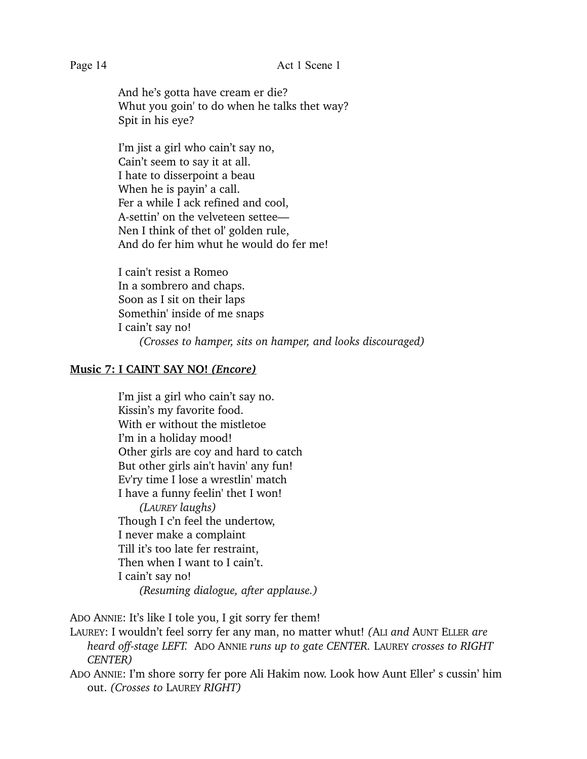#### Page 14 Act 1 Scene 1

And he's gotta have cream er die? Whut you goin' to do when he talks thet way? Spit in his eye?

I'm jist a girl who cain't say no, Cain't seem to say it at all. I hate to disserpoint a beau When he is payin' a call. Fer a while I ack refined and cool, A-settin' on the velveteen settee— Nen I think of thet ol' golden rule, And do fer him whut he would do fer me!

I cain't resist a Romeo In a sombrero and chaps. Soon as I sit on their laps Somethin' inside of me snaps I cain't say no! *(Crosses to hamper, sits on hamper, and looks discouraged)*

#### **Music 7: I CAINT SAY NO!** *(Encore)*

I'm jist a girl who cain't say no. Kissin's my favorite food. With er without the mistletoe I'm in a holiday mood! Other girls are coy and hard to catch But other girls ain't havin' any fun! Ev'ry time I lose a wrestlin' match I have a funny feelin' thet I won! *(LAUREY laughs)* Though I c'n feel the undertow, I never make a complaint Till it's too late fer restraint, Then when I want to I cain't. I cain't say no! *(Resuming dialogue, after applause.)*

ADO ANNIE: It's like I tole you, I git sorry fer them!

LAUREY: I wouldn't feel sorry fer any man, no matter whut! *(*ALI *and* AUNT ELLER *are heard off-stage LEFT.* ADO ANNIE *runs up to gate CENTER.* LAUREY *crosses to RIGHT CENTER)*

ADO ANNIE: I'm shore sorry fer pore Ali Hakim now. Look how Aunt Eller' s cussin' him out. *(Crosses to* LAUREY *RIGHT)*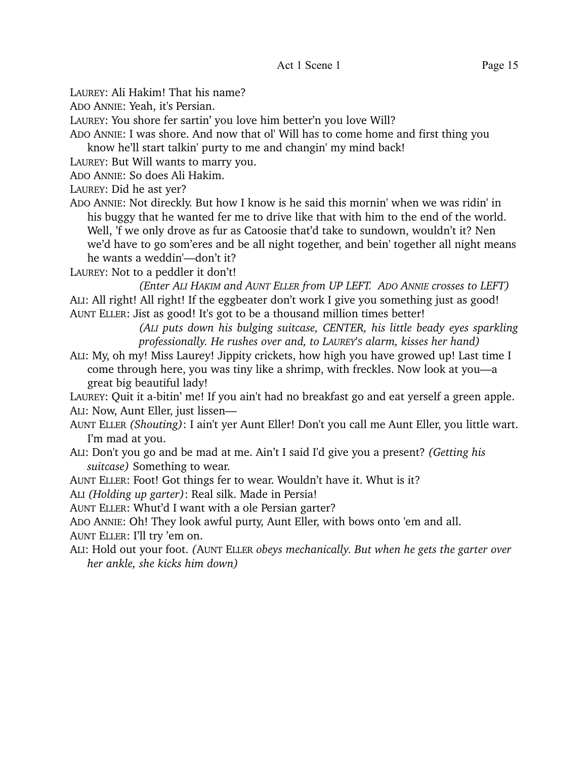LAUREY: Ali Hakim! That his name?

ADO ANNIE: Yeah, it's Persian.

LAUREY: You shore fer sartin' you love him better'n you love Will?

ADO ANNIE: I was shore. And now that ol' Will has to come home and first thing you know he'll start talkin' purty to me and changin' my mind back!

LAUREY: But Will wants to marry you.

ADO ANNIE: So does Ali Hakim.

LAUREY: Did he ast yer?

ADO ANNIE: Not direckly. But how I know is he said this mornin' when we was ridin' in his buggy that he wanted fer me to drive like that with him to the end of the world. Well, 'f we only drove as fur as Catoosie that'd take to sundown, wouldn't it? Nen we'd have to go som'eres and be all night together, and bein' together all night means he wants a weddin'—don't it?

LAUREY: Not to a peddler it don't!

*(Enter ALI HAKIM and AUNT ELLER from UP LEFT. ADO ANNIE crosses to LEFT)* ALI: All right! All right! If the eggbeater don't work I give you something just as good! AUNT ELLER: Jist as good! It's got to be a thousand million times better!

> *(ALI puts down his bulging suitcase, CENTER, his little beady eyes sparkling professionally. He rushes over and, to LAUREY'S alarm, kisses her hand)*

ALI: My, oh my! Miss Laurey! Jippity crickets, how high you have growed up! Last time I come through here, you was tiny like a shrimp, with freckles. Now look at you—a great big beautiful lady!

LAUREY: Quit it a-bitin' me! If you ain't had no breakfast go and eat yerself a green apple. ALI: Now, Aunt Eller, just lissen—

AUNT ELLER *(Shouting)*: I ain't yer Aunt Eller! Don't you call me Aunt Eller, you little wart. I'm mad at you.

ALI: Don't you go and be mad at me. Ain't I said I'd give you a present? *(Getting his suitcase)* Something to wear.

AUNT ELLER: Foot! Got things fer to wear. Wouldn't have it. Whut is it?

ALI *(Holding up garter)*: Real silk. Made in Persia!

AUNT ELLER: Whut'd I want with a ole Persian garter?

ADO ANNIE: Oh! They look awful purty, Aunt Eller, with bows onto 'em and all. AUNT ELLER: I'll try 'em on.

ALI: Hold out your foot. *(*AUNT ELLER *obeys mechanically. But when he gets the garter over her ankle, she kicks him down)*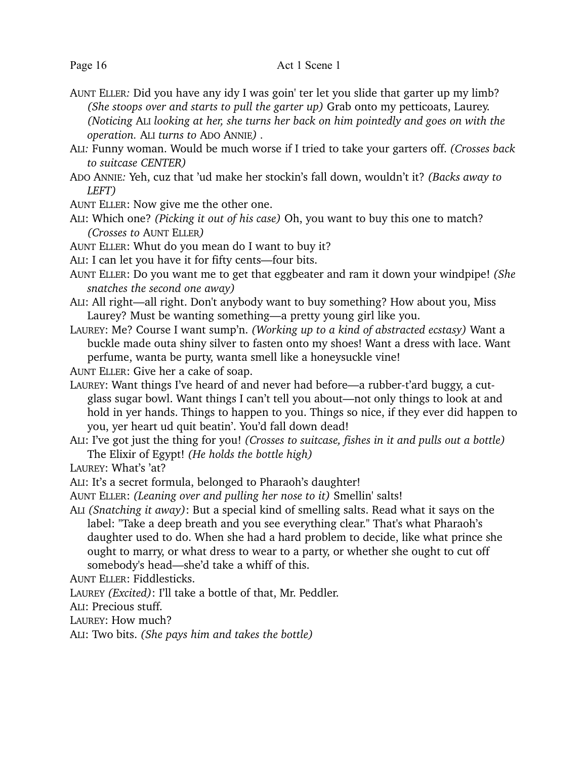- AUNT ELLER*:* Did you have any idy I was goin' ter let you slide that garter up my limb? *(She stoops over and starts to pull the garter up)* Grab onto my petticoats, Laurey. *(Noticing* ALI *looking at her, she turns her back on him pointedly and goes on with the operation.* ALI *turns to* ADO ANNIE*) .*
- ALI*:* Funny woman. Would be much worse if I tried to take your garters off. *(Crosses back to suitcase CENTER)*
- ADO ANNIE*:* Yeh, cuz that 'ud make her stockin's fall down, wouldn't it? *(Backs away to LEFT)*
- AUNT ELLER: Now give me the other one.
- ALI: Which one? *(Picking it out of his case)* Oh, you want to buy this one to match? *(Crosses to* AUNT ELLER*)*
- AUNT ELLER: Whut do you mean do I want to buy it?
- ALI: I can let you have it for fifty cents—four bits.
- AUNT ELLER: Do you want me to get that eggbeater and ram it down your windpipe! *(She snatches the second one away)*
- ALI: All right—all right. Don't anybody want to buy something? How about you, Miss Laurey? Must be wanting something—a pretty young girl like you.
- LAUREY: Me? Course I want sump'n. *(Working up to a kind of abstracted ecstasy)* Want a buckle made outa shiny silver to fasten onto my shoes! Want a dress with lace. Want perfume, wanta be purty, wanta smell like a honeysuckle vine!
- AUNT ELLER: Give her a cake of soap.
- LAUREY: Want things I've heard of and never had before—a rubber-t'ard buggy, a cutglass sugar bowl. Want things I can't tell you about—not only things to look at and hold in yer hands. Things to happen to you. Things so nice, if they ever did happen to you, yer heart ud quit beatin'. You'd fall down dead!
- ALI: I've got just the thing for you! *(Crosses to suitcase, fishes in it and pulls out a bottle)* The Elixir of Egypt! *(He holds the bottle high)*

LAUREY: What's 'at?

ALI: It's a secret formula, belonged to Pharaoh's daughter!

AUNT ELLER: *(Leaning over and pulling her nose to it)* Smellin' salts!

- ALI *(Snatching it away)*: But a special kind of smelling salts. Read what it says on the label: "Take a deep breath and you see everything clear." That's what Pharaoh's daughter used to do. When she had a hard problem to decide, like what prince she ought to marry, or what dress to wear to a party, or whether she ought to cut off somebody's head—she'd take a whiff of this.
- AUNT ELLER: Fiddlesticks.
- LAUREY *(Excited)*: I'll take a bottle of that, Mr. Peddler.

ALI: Precious stuff.

LAUREY: How much?

ALI: Two bits. *(She pays him and takes the bottle)*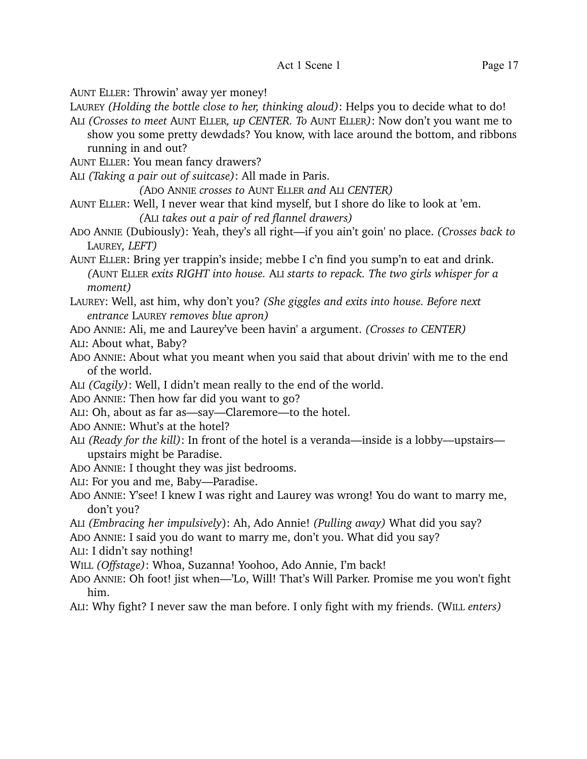AUNT ELLER: Throwin' away yer money!

LAUREY *(Holding the bottle close to her, thinking aloud)*: Helps you to decide what to do!

ALI *(Crosses to meet* AUNT ELLER*, up CENTER. To* AUNT ELLER*)*: Now don't you want me to show you some pretty dewdads? You know, with lace around the bottom, and ribbons running in and out?

AUNT ELLER: You mean fancy drawers?

ALI *(Taking a pair out of suitcase)*: All made in Paris.

*(*ADO ANNIE *crosses to* AUNT ELLER *and* ALI *CENTER)*

- AUNT ELLER: Well, I never wear that kind myself, but I shore do like to look at 'em. *(*ALI *takes out a pair of red flannel drawers)*
- ADO ANNIE (Dubiously): Yeah, they's all right—if you ain't goin' no place. *(Crosses back to* LAUREY*, LEFT)*
- AUNT ELLER: Bring yer trappin's inside; mebbe I c'n find you sump'n to eat and drink. *(*AUNT ELLER *exits RIGHT into house.* ALI *starts to repack. The two girls whisper for a moment)*
- LAUREY: Well, ast him, why don't you? *(She giggles and exits into house. Before next entrance* LAUREY *removes blue apron)*

ADO ANNIE: Ali, me and Laurey've been havin' a argument. *(Crosses to CENTER)*

ALI: About what, Baby?

- ADO ANNIE: About what you meant when you said that about drivin' with me to the end of the world.
- ALI *(Cagily)*: Well, I didn't mean really to the end of the world.
- ADO ANNIE: Then how far did you want to go?
- ALI: Oh, about as far as—say—Claremore—to the hotel.
- ADO ANNIE: Whut's at the hotel?
- ALI *(Ready for the kill)*: In front of the hotel is a veranda—inside is a lobby—upstairs upstairs might be Paradise.
- ADO ANNIE: I thought they was jist bedrooms.
- ALI: For you and me, Baby—Paradise.
- ADO ANNIE: Y'see! I knew I was right and Laurey was wrong! You do want to marry me, don't you?
- ALI *(Embracing her impulsively*): Ah, Ado Annie! *(Pulling away)* What did you say?
- ADO ANNIE: I said you do want to marry me, don't you. What did you say? ALI: I didn't say nothing!

WILL *(Offstage)*: Whoa, Suzanna! Yoohoo, Ado Annie, I'm back!

- ADO ANNIE: Oh foot! jist when—'Lo, Will! That's Will Parker. Promise me you won't fight him.
- ALI: Why fight? I never saw the man before. I only fight with my friends. (WILL *enters)*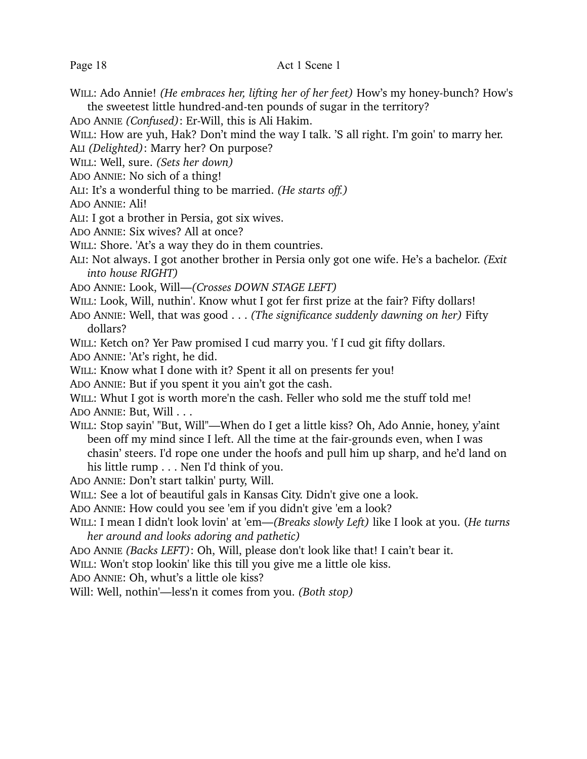### Page 18 Act 1 Scene 1

WILL: Ado Annie! *(He embraces her, lifting her of her feet)* How's my honey-bunch? How's the sweetest little hundred-and-ten pounds of sugar in the territory?

ADO ANNIE *(Confused)*: Er-Will, this is Ali Hakim.

WILL: How are yuh, Hak? Don't mind the way I talk. 'S all right. I'm goin' to marry her.

ALI *(Delighted)*: Marry her? On purpose?

WILL: Well, sure. *(Sets her down)*

ADO ANNIE: No sich of a thing!

ALI: It's a wonderful thing to be married. *(He starts off.)*

ADO ANNIE: Ali!

ALI: I got a brother in Persia, got six wives.

ADO ANNIE: Six wives? All at once?

- WILL: Shore. 'At's a way they do in them countries.
- ALI: Not always. I got another brother in Persia only got one wife. He's a bachelor. *(Exit into house RIGHT)*

ADO ANNIE: Look, Will—*(Crosses DOWN STAGE LEFT)*

WILL: Look, Will, nuthin'. Know whut I got fer first prize at the fair? Fifty dollars!

- ADO ANNIE: Well, that was good . . . *(The significance suddenly dawning on her)* Fifty dollars?
- WILL: Ketch on? Yer Paw promised I cud marry you. 'f I cud git fifty dollars.

ADO ANNIE: 'At's right, he did.

WILL: Know what I done with it? Spent it all on presents fer you!

- ADO ANNIE: But if you spent it you ain't got the cash.
- WILL: Whut I got is worth more'n the cash. Feller who sold me the stuff told me! ADO ANNIE: But, Will . . .
- WILL: Stop sayin' "But, Will"—When do I get a little kiss? Oh, Ado Annie, honey, y'aint been off my mind since I left. All the time at the fair-grounds even, when I was chasin' steers. I'd rope one under the hoofs and pull him up sharp, and he'd land on his little rump . . . Nen I'd think of you.
- ADO ANNIE: Don't start talkin' purty, Will.

WILL: See a lot of beautiful gals in Kansas City. Didn't give one a look.

ADO ANNIE: How could you see 'em if you didn't give 'em a look?

- WILL: I mean I didn't look lovin' at 'em—*(Breaks slowly Left)* like I look at you. (*He turns her around and looks adoring and pathetic)*
- ADO ANNIE *(Backs LEFT)*: Oh, Will, please don't look like that! I cain't bear it.

WILL: Won't stop lookin' like this till you give me a little ole kiss.

ADO ANNIE: Oh, whut's a little ole kiss?

Will: Well, nothin'—less'n it comes from you. *(Both stop)*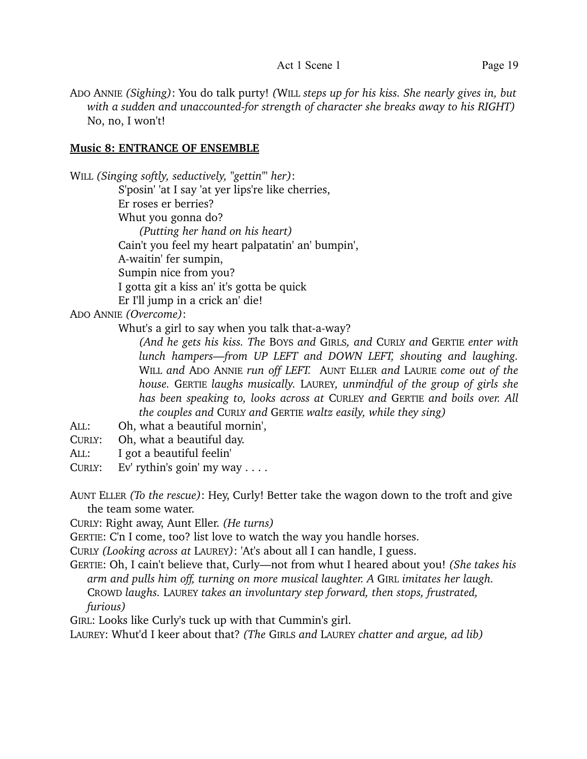Act 1 Scene 1 Page 19

ADO ANNIE *(Sighing)*: You do talk purty! *(*WILL *steps up for his kiss. She nearly gives in, but with a sudden and unaccounted-for strength of character she breaks away to his RIGHT)* No, no, I won't!

# **Music 8: ENTRANCE OF ENSEMBLE**

WILL *(Singing softly, seductively, "gettin"' her)*: S'posin' 'at I say 'at yer lips're like cherries, Er roses er berries? Whut you gonna do? *(Putting her hand on his heart)* Cain't you feel my heart palpatatin' an' bumpin', A-waitin' fer sumpin, Sumpin nice from you? I gotta git a kiss an' it's gotta be quick Er I'll jump in a crick an' die!

ADO ANNIE *(Overcome)*:

Whut's a girl to say when you talk that-a-way?

*(And he gets his kiss. The* BOYS *and* GIRLS*, and* CURLY *and* GERTIE *enter with lunch hampers—from UP LEFT and DOWN LEFT, shouting and laughing.* WILL *and* ADO ANNIE *run off LEFT.* AUNT ELLER *and* LAURIE *come out of the house.* GERTIE *laughs musically.* LAUREY*, unmindful of the group of girls she has been speaking to, looks across at* CURLEY *and* GERTIE *and boils over. All the couples and* CURLY *and* GERTIE *waltz easily, while they sing)*

- ALL: Oh, what a beautiful mornin',
- CURLY: Oh, what a beautiful day.
- ALL: I got a beautiful feelin'
- CURLY: Ev' rythin's goin' my way . . . .

AUNT ELLER *(To the rescue)*: Hey, Curly! Better take the wagon down to the troft and give the team some water.

CURLY: Right away, Aunt Eller. *(He turns)*

GERTIE: C'n I come, too? list love to watch the way you handle horses.

CURLY *(Looking across at* LAUREY*)*: 'At's about all I can handle, I guess.

GERTIE: Oh, I cain't believe that, Curly—not from whut I heared about you! *(She takes his arm and pulls him off, turning on more musical laughter. A* GIRL *imitates her laugh.* CROWD *laughs.* LAUREY *takes an involuntary step forward, then stops, frustrated, furious)*

GIRL: Looks like Curly's tuck up with that Cummin's girl.

LAUREY: Whut'd I keer about that? *(The* GIRLS *and* LAUREY *chatter and argue, ad lib)*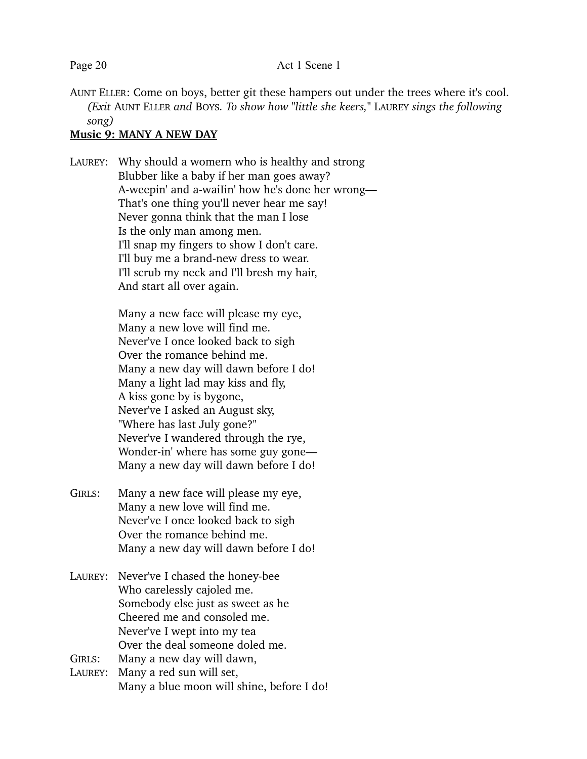AUNT ELLER: Come on boys, better git these hampers out under the trees where it's cool. *(Exit* AUNT ELLER *and* BOYS*. To show how "little she keers,"* LAUREY *sings the following song)*

# **Music 9: MANY A NEW DAY**

LAUREY: Why should a womern who is healthy and strong Blubber like a baby if her man goes away? A-weepin' and a-waiIin' how he's done her wrong— That's one thing you'll never hear me say! Never gonna think that the man I lose Is the only man among men. I'll snap my fingers to show I don't care. I'll buy me a brand-new dress to wear. I'll scrub my neck and I'll bresh my hair, And start all over again.

> Many a new face will please my eye, Many a new love will find me. Never've I once looked back to sigh Over the romance behind me. Many a new day will dawn before I do! Many a light lad may kiss and fly, A kiss gone by is bygone, Never've I asked an August sky, "Where has last July gone?" Never've I wandered through the rye, Wonder-in' where has some guy gone— Many a new day will dawn before I do!

- GIRLS: Many a new face will please my eye, Many a new love will find me. Never've I once looked back to sigh Over the romance behind me. Many a new day will dawn before I do!
- LAUREY: Never've I chased the honey-bee Who carelessly cajoled me. Somebody else just as sweet as he Cheered me and consoled me. Never've I wept into my tea Over the deal someone doled me.
- GIRLS: Many a new day will dawn,
- LAUREY: Many a red sun will set, Many a blue moon will shine, before I do!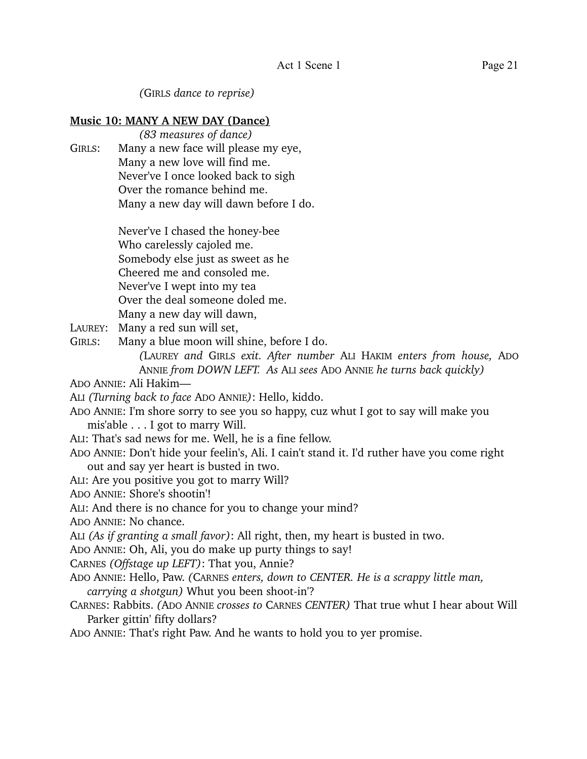*(*GIRLS *dance to reprise)*

# **Music 10: MANY A NEW DAY (Dance)**

*(83 measures of dance)*

GIRLS: Many a new face will please my eye, Many a new love will find me. Never've I once looked back to sigh Over the romance behind me. Many a new day will dawn before I do.

> Never've I chased the honey-bee Who carelessly cajoled me. Somebody else just as sweet as he Cheered me and consoled me. Never've I wept into my tea Over the deal someone doled me. Many a new day will dawn,

- LAUREY: Many a red sun will set,
- GIRLS: Many a blue moon will shine, before I do.

*(*LAUREY *and* GIRLS *exit. After number* ALI HAKIM *enters from house,* ADO ANNIE *from DOWN LEFT. As* ALI *sees* ADO ANNIE *he turns back quickly)*

- ADO ANNIE: Ali Hakim—
- ALI *(Turning back to face* ADO ANNIE*)*: Hello, kiddo.
- ADO ANNIE: I'm shore sorry to see you so happy, cuz whut I got to say will make you mis'able . . . I got to marry Will.
- ALI: That's sad news for me. Well, he is a fine fellow.
- ADO ANNIE: Don't hide your feelin's, Ali. I cain't stand it. I'd ruther have you come right out and say yer heart is busted in two.
- ALI: Are you positive you got to marry Will?
- ADO ANNIE: Shore's shootin'!
- ALI: And there is no chance for you to change your mind?
- ADO ANNIE: No chance.
- ALI *(As if granting a small favor)*: All right, then, my heart is busted in two.

ADO ANNIE: Oh, Ali, you do make up purty things to say!

CARNES *(Offstage up LEFT)*: That you, Annie?

- ADO ANNIE: Hello, Paw. *(*CARNES *enters, down to CENTER. He is a scrappy little man, carrying a shotgun)* Whut you been shoot-in'?
- CARNES: Rabbits. *(*ADO ANNIE *crosses to* CARNES *CENTER)* That true whut I hear about Will Parker gittin' fifty dollars?
- ADO ANNIE: That's right Paw. And he wants to hold you to yer promise.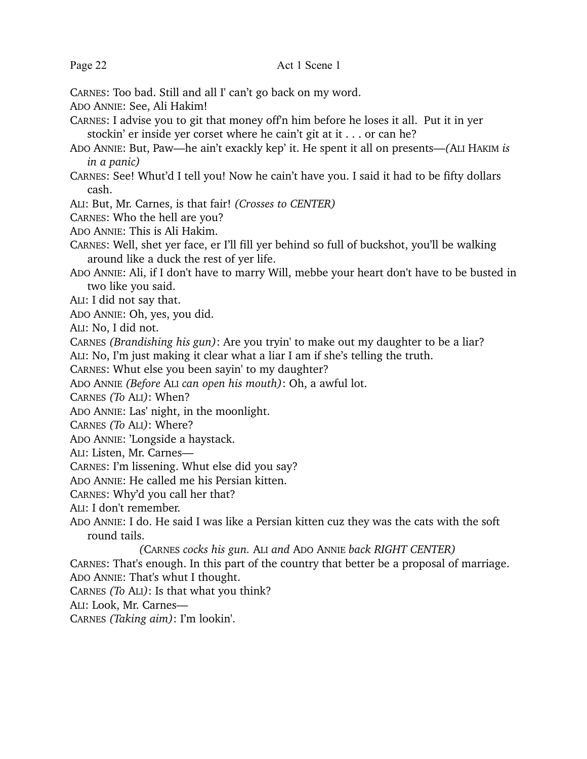- CARNES: Too bad. Still and all I' can't go back on my word.
- ADO ANNIE: See, Ali Hakim!
- CARNES: I advise you to git that money off'n him before he loses it all. Put it in yer stockin' er inside yer corset where he cain't git at it . . . or can he?
- ADO ANNIE: But, Paw—he ain't exackly kep' it. He spent it all on presents—*(*ALI HAKIM *is in a panic)*
- CARNES: See! Whut'd I tell you! Now he cain't have you. I said it had to be fifty dollars cash.
- ALI: But, Mr. Carnes, is that fair! *(Crosses to CENTER)*
- CARNES: Who the hell are you?
- ADO ANNIE: This is Ali Hakim.
- CARNES: Well, shet yer face, er I'll fill yer behind so full of buckshot, you'll be walking around like a duck the rest of yer life.
- ADO ANNIE: Ali, if I don't have to marry Will, mebbe your heart don't have to be busted in two like you said.
- ALI: I did not say that.
- ADO ANNIE: Oh, yes, you did.
- ALI: No, I did not.
- CARNES *(Brandishing his gun)*: Are you tryin' to make out my daughter to be a liar?
- ALI: No, I'm just making it clear what a liar I am if she's telling the truth.
- CARNES: Whut else you been sayin' to my daughter?
- ADO ANNIE *(Before* ALI *can open his mouth)*: Oh, a awful lot.
- CARNES *(To* ALI*)*: When?
- ADO ANNIE: Las' night, in the moonlight.
- CARNES *(To* ALI*)*: Where?
- ADO ANNIE: 'Longside a haystack.
- ALI: Listen, Mr. Carnes—
- CARNES: I'm lissening. Whut else did you say?
- ADO ANNIE: He called me his Persian kitten.
- CARNES: Why'd you call her that?
- ALI: I don't remember.
- ADO ANNIE: I do. He said I was like a Persian kitten cuz they was the cats with the soft round tails.
	- *(*CARNES *cocks his gun.* ALI *and* ADO ANNIE *back RIGHT CENTER)*
- CARNES: That's enough. In this part of the country that better be a proposal of marriage. ADO ANNIE: That's whut I thought.
- CARNES *(To* ALI*)*: Is that what you think?
- ALI: Look, Mr. Carnes—
- CARNES *(Taking aim)*: I'm lookin'.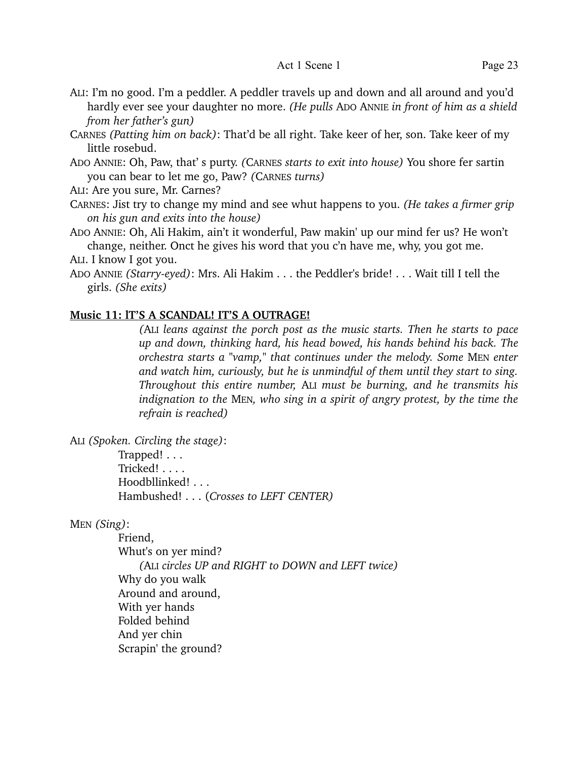#### Act 1 Scene 1 Page 23

- ALI: I'm no good. I'm a peddler. A peddler travels up and down and all around and you'd hardly ever see your daughter no more. *(He pulls* ADO ANNIE *in front of him as a shield from her father's gun)*
- CARNES *(Patting him on back)*: That'd be all right. Take keer of her, son. Take keer of my little rosebud.
- ADO ANNIE: Oh, Paw, that' s purty. *(*CARNES *starts to exit into house)* You shore fer sartin you can bear to let me go, Paw? *(*CARNES *turns)*

ALI: Are you sure, Mr. Carnes?

- CARNES: Jist try to change my mind and see whut happens to you. *(He takes a firmer grip on his gun and exits into the house)*
- ADO ANNIE: Oh, Ali Hakim, ain't it wonderful, Paw makin' up our mind fer us? He won't change, neither. Onct he gives his word that you c'n have me, why, you got me.

ALI. I know I got you.

ADO ANNIE *(Starry-eyed)*: Mrs. Ali Hakim . . . the Peddler's bride! . . . Wait till I tell the girls. *(She exits)*

# **Music 11: IT'S A SCANDAL! IT'S A OUTRAGE!**

*(*ALI *leans against the porch post as the music starts. Then he starts to pace up and down, thinking hard, his head bowed, his hands behind his back. The orchestra starts a "vamp," that continues under the melody. Some* MEN *enter and watch him, curiously, but he is unmindful of them until they start to sing. Throughout this entire number,* ALI *must be burning, and he transmits his indignation to the* MEN*, who sing in a spirit of angry protest, by the time the refrain is reached)*

ALI *(Spoken. Circling the stage)*: Trapped! . . . Tricked! . . . . Hoodbllinked! . . . Hambushed! . . . (*Crosses to LEFT CENTER)*

# MEN *(Sing)*:

Friend,

Whut's on yer mind? *(*ALI *circles UP and RIGHT to DOWN and LEFT twice)* Why do you walk Around and around, With yer hands Folded behind And yer chin Scrapin' the ground?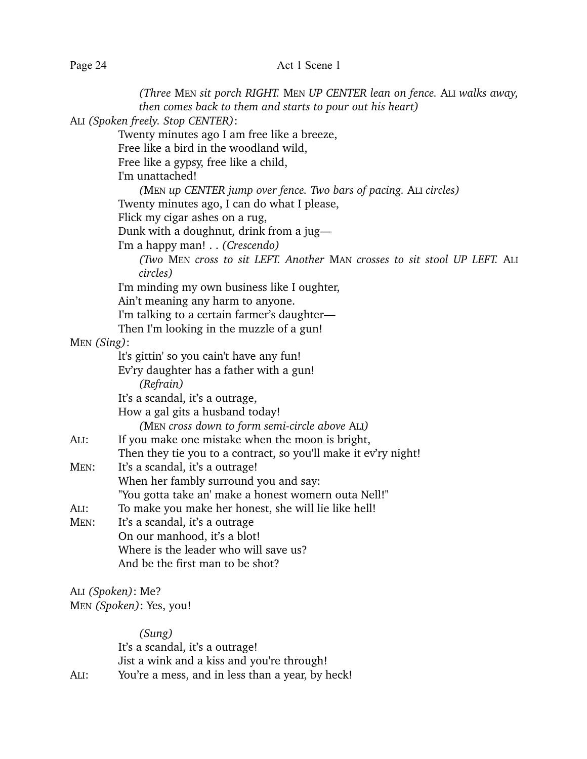# Page 24 Act 1 Scene 1

|             | (Three MEN sit porch RIGHT. MEN UP CENTER lean on fence. ALI walks away,<br>then comes back to them and starts to pour out his heart) |
|-------------|---------------------------------------------------------------------------------------------------------------------------------------|
|             | ALI (Spoken freely. Stop CENTER):                                                                                                     |
|             | Twenty minutes ago I am free like a breeze,                                                                                           |
|             | Free like a bird in the woodland wild,                                                                                                |
|             | Free like a gypsy, free like a child,                                                                                                 |
|             | I'm unattached!                                                                                                                       |
|             | (MEN up CENTER jump over fence. Two bars of pacing. ALI circles)                                                                      |
|             | Twenty minutes ago, I can do what I please,                                                                                           |
|             | Flick my cigar ashes on a rug,                                                                                                        |
|             | Dunk with a doughnut, drink from a jug-                                                                                               |
|             | I'm a happy man! (Crescendo)                                                                                                          |
|             | (Two MEN cross to sit LEFT. Another MAN crosses to sit stool UP LEFT. ALI                                                             |
|             | circles)                                                                                                                              |
|             | I'm minding my own business like I oughter,                                                                                           |
|             | Ain't meaning any harm to anyone.                                                                                                     |
|             | I'm talking to a certain farmer's daughter-                                                                                           |
|             | Then I'm looking in the muzzle of a gun!                                                                                              |
| MEN (Sing): |                                                                                                                                       |
|             | It's gittin' so you cain't have any fun!                                                                                              |
|             | Ev'ry daughter has a father with a gun!                                                                                               |
|             | (Refrain)                                                                                                                             |
|             | It's a scandal, it's a outrage,                                                                                                       |
|             | How a gal gits a husband today!                                                                                                       |
|             | (MEN cross down to form semi-circle above ALI)                                                                                        |
| ALI:        | If you make one mistake when the moon is bright,                                                                                      |
|             | Then they tie you to a contract, so you'll make it ev'ry night!                                                                       |
| MEN:        | It's a scandal, it's a outrage!                                                                                                       |
|             | When her fambly surround you and say:                                                                                                 |
|             | "You gotta take an' make a honest womern outa Nell!"                                                                                  |
| ALI:        | To make you make her honest, she will lie like hell!                                                                                  |
| MEN:        | It's a scandal, it's a outrage                                                                                                        |
|             | On our manhood, it's a blot!                                                                                                          |
|             | Where is the leader who will save us?<br>And be the first man to be shot?                                                             |
|             |                                                                                                                                       |
|             | ALI (Spoken): Me?                                                                                                                     |

MEN *(Spoken)*: Yes, you!

# *(Sung)*

It's a scandal, it's a outrage! Jist a wink and a kiss and you're through! ALI: You're a mess, and in less than a year, by heck!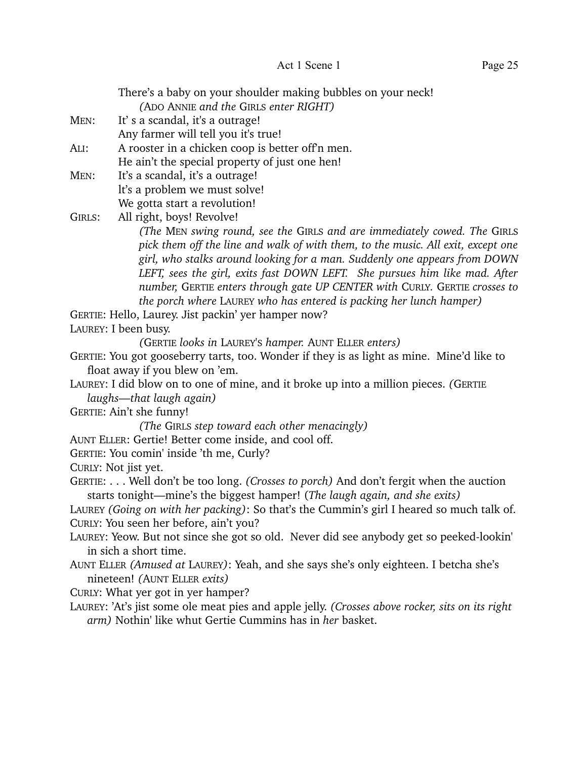Act 1 Scene 1 Page 25

There's a baby on your shoulder making bubbles on your neck! *(*ADO ANNIE *and the* GIRLS *enter RIGHT)*

MEN: It's a scandal, it's a outrage!

Any farmer will tell you it's true!

ALI: A rooster in a chicken coop is better of fn men.

He ain't the special property of just one hen!

MEN: It's a scandal, it's a outrage! lt's a problem we must solve! We gotta start a revolution!

GIRLS: All right, boys! Revolve!

*(The* MEN *swing round, see the* GIRLS *and are immediately cowed. The* GIRLS *pick them off the line and walk of with them, to the music. All exit, except one girl, who stalks around looking for a man. Suddenly one appears from DOWN LEFT, sees the girl, exits fast DOWN LEFT. She pursues him like mad. After number,* GERTIE *enters through gate UP CENTER with* CURLY*.* GERTIE *crosses to the porch where* LAUREY *who has entered is packing her lunch hamper)*

GERTIE: Hello, Laurey. Jist packin' yer hamper now?

LAUREY: I been busy.

*(*GERTIE *looks in* LAUREY'S *hamper.* AUNT ELLER *enters)*

GERTIE: You got gooseberry tarts, too. Wonder if they is as light as mine. Mine'd like to float away if you blew on 'em.

LAUREY: I did blow on to one of mine, and it broke up into a million pieces. *(*GERTIE *laughs—that laugh again)*

GERTIE: Ain't she funny!

*(The* GIRLS *step toward each other menacingly)*

AUNT ELLER: Gertie! Better come inside, and cool off.

GERTIE: You comin' inside 'th me, Curly?

CURLY: Not jist yet.

GERTIE: . . . Well don't be too long. *(Crosses to porch)* And don't fergit when the auction starts tonight—mine's the biggest hamper! (*The laugh again, and she exits)*

LAUREY *(Going on with her packing)*: So that's the Cummin's girl I heared so much talk of. CURLY: You seen her before, ain't you?

LAUREY: Yeow. But not since she got so old. Never did see anybody get so peeked-lookin' in sich a short time.

AUNT ELLER *(Amused at* LAUREY*)*: Yeah, and she says she's only eighteen. I betcha she's nineteen! *(*AUNT ELLER *exits)*

CURLY: What yer got in yer hamper?

LAUREY: 'At's jist some ole meat pies and apple jelly. *(Crosses above rocker, sits on its right arm)* Nothin' like whut Gertie Cummins has in *her* basket.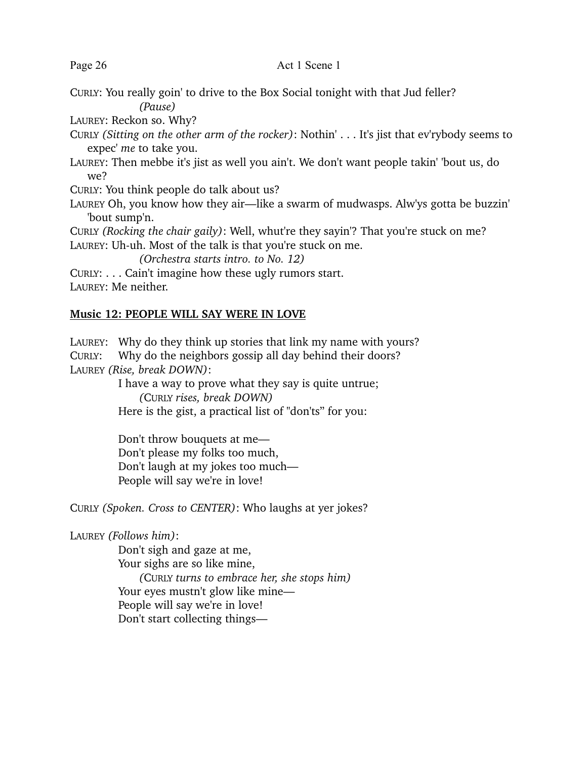#### Page 26 Act 1 Scene 1

CURLY: You really goin' to drive to the Box Social tonight with that Jud feller? *(Pause)*

LAUREY: Reckon so. Why?

CURLY *(Sitting on the other arm of the rocker)*: Nothin' . . . It's jist that ev'rybody seems to expec' *me* to take you.

LAUREY: Then mebbe it's jist as well you ain't. We don't want people takin' 'bout us, do we?

CURLY: You think people do talk about us?

LAUREY Oh, you know how they air—like a swarm of mudwasps. Alw'ys gotta be buzzin' 'bout sump'n.

CURLY *(Rocking the chair gaily)*: Well, whut're they sayin'? That you're stuck on me? LAUREY: Uh-uh. Most of the talk is that you're stuck on me.

*(Orchestra starts intro. to No. 12)*

CURLY: . . . Cain't imagine how these ugly rumors start.

LAUREY: Me neither.

# **Music 12: PEOPLE WILL SAY WERE IN LOVE**

LAUREY: Why do they think up stories that link my name with yours? CURLY: Why do the neighbors gossip all day behind their doors? LAUREY *(Rise, break DOWN)*:

> I have a way to prove what they say is quite untrue; *(*CURLY *rises, break DOWN)* Here is the gist, a practical list of "don'ts" for you:

Don't throw bouquets at me— Don't please my folks too much, Don't laugh at my jokes too much— People will say we're in love!

CURLY *(Spoken. Cross to CENTER)*: Who laughs at yer jokes?

# LAUREY *(Follows him)*:

Don't sigh and gaze at me, Your sighs are so like mine, *(*CURLY *turns to embrace her, she stops him)* Your eyes mustn't glow like mine— People will say we're in love! Don't start collecting things—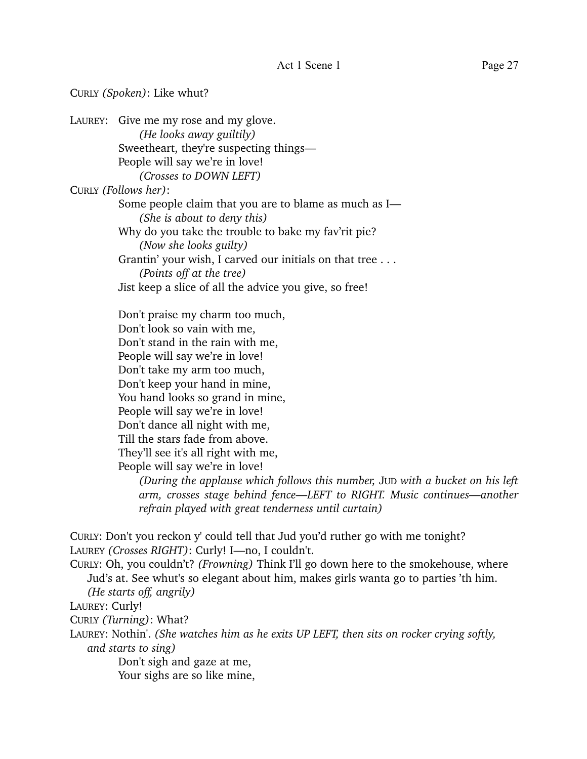#### CURLY *(Spoken)*: Like whut?

LAUREY: Give me my rose and my glove. *(He looks away guiltily)* Sweetheart, they're suspecting things— People will say we're in love! *(Crosses to DOWN LEFT)* CURLY *(Follows her)*: Some people claim that you are to blame as much as I— *(She is about to deny this)* Why do you take the trouble to bake my fav'rit pie? *(Now she looks guilty)* Grantin' your wish, I carved our initials on that tree . . . *(Points off at the tree)* Jist keep a slice of all the advice you give, so free!

> Don't praise my charm too much, Don't look so vain with me, Don't stand in the rain with me, People will say we're in love! Don't take my arm too much, Don't keep your hand in mine, You hand looks so grand in mine, People will say we're in love! Don't dance all night with me, Till the stars fade from above. They'll see it's all right with me, People will say we're in love!

> > *(During the applause which follows this number,* JUD *with a bucket on his left arm, crosses stage behind fence—LEFT to RIGHT. Music continues—another refrain played with great tenderness until curtain)*

CURLY: Don't you reckon y' could tell that Jud you'd ruther go with me tonight? LAUREY *(Crosses RIGHT)*: Curly! I—no, I couldn't.

CURLY: Oh, you couldn't? *(Frowning)* Think I'll go down here to the smokehouse, where Jud's at. See whut's so elegant about him, makes girls wanta go to parties 'th him. *(He starts off, angrily)* LAUREY: Curly! CURLY *(Turning)*: What? LAUREY: Nothin'. *(She watches him as he exits UP LEFT, then sits on rocker crying softly,*

*and starts to sing)*

Don't sigh and gaze at me, Your sighs are so like mine,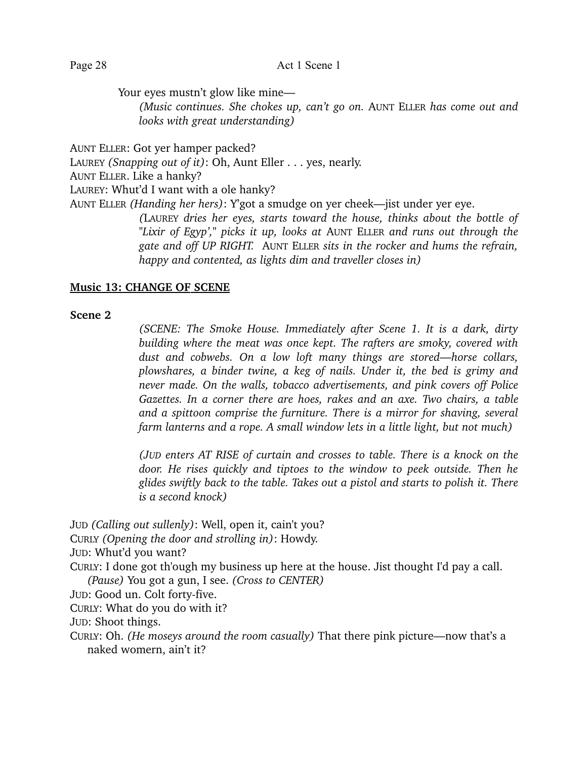Your eyes mustn't glow like mine— *(Music continues. She chokes up, can't go on.* AUNT ELLER *has come out and looks with great understanding)*

AUNT ELLER: Got yer hamper packed?

LAUREY *(Snapping out of it)*: Oh, Aunt Eller . . . yes, nearly.

AUNT ELLER. Like a hanky?

LAUREY: Whut'd I want with a ole hanky?

AUNT ELLER *(Handing her hers)*: Y'got a smudge on yer cheek—jist under yer eye.

*(*LAUREY *dries her eyes, starts toward the house, thinks about the bottle of "Lixir of Egyp'," picks it up, looks at* AUNT ELLER *and runs out through the gate and off UP RIGHT.* AUNT ELLER *sits in the rocker and hums the refrain, happy and contented, as lights dim and traveller closes in)*

#### **Music 13: CHANGE OF SCENE**

#### **Scene 2**

*(SCENE: The Smoke House. Immediately after Scene 1. It is a dark, dirty building where the meat was once kept. The rafters are smoky, covered with dust and cobwebs. On a low loft many things are stored—horse collars, plowshares, a binder twine, a keg of nails. Under it, the bed is grimy and never made. On the walls, tobacco advertisements, and pink covers off Police Gazettes. In a corner there are hoes, rakes and an axe. Two chairs, a table and a spittoon comprise the furniture. There is a mirror for shaving, several farm lanterns and a rope. A small window lets in a little light, but not much)*

*(JUD enters AT RISE of curtain and crosses to table. There is a knock on the door. He rises quickly and tiptoes to the window to peek outside. Then he glides swiftly back to the table. Takes out a pistol and starts to polish it. There is a second knock)*

JUD *(Calling out sullenly)*: Well, open it, cain't you? CURLY *(Opening the door and strolling in)*: Howdy. JUD: Whut'd you want? CURLY: I done got th'ough my business up here at the house. Jist thought I'd pay a call. *(Pause)* You got a gun, I see. *(Cross to CENTER)* JUD: Good un. Colt forty-five. CURLY: What do you do with it? JUD: Shoot things. CURLY: Oh. *(He moseys around the room casually)* That there pink picture—now that's a

naked womern, ain't it?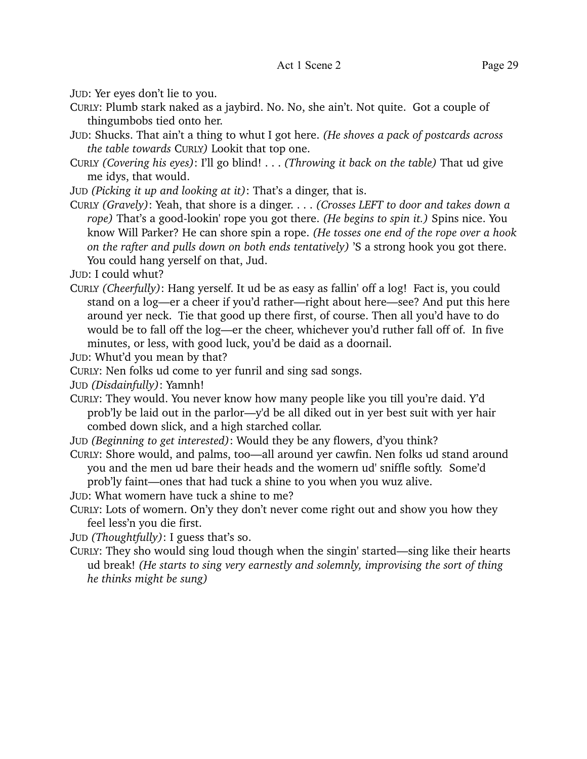JUD: Yer eyes don't lie to you.

- CURLY: Plumb stark naked as a jaybird. No. No, she ain't. Not quite. Got a couple of thingumbobs tied onto her.
- JUD: Shucks. That ain't a thing to whut I got here. *(He shoves a pack of postcards across the table towards* CURLY*)* Lookit that top one.
- CURLY *(Covering his eyes)*: I'll go blind! . . . *(Throwing it back on the table)* That ud give me idys, that would.

JUD *(Picking it up and looking at it)*: That's a dinger, that is.

CURLY *(Gravely)*: Yeah, that shore is a dinger. . . . *(Crosses LEFT to door and takes down a rope)* That's a good-lookin' rope you got there. *(He begins to spin it.)* Spins nice. You know Will Parker? He can shore spin a rope. *(He tosses one end of the rope over a hook on the rafter and pulls down on both ends tentatively)* 'S a strong hook you got there. You could hang yerself on that, Jud.

JUD: I could whut?

CURLY *(Cheerfully)*: Hang yerself. It ud be as easy as fallin' off a log! Fact is, you could stand on a log—er a cheer if you'd rather—right about here—see? And put this here around yer neck. Tie that good up there first, of course. Then all you'd have to do would be to fall off the log—er the cheer, whichever you'd ruther fall off of. In five minutes, or less, with good luck, you'd be daid as a doornail.

JUD: Whut'd you mean by that?

CURLY: Nen folks ud come to yer funril and sing sad songs.

JUD *(Disdainfully)*: Yamnh!

- CURLY: They would. You never know how many people like you till you're daid. Y'd prob'ly be laid out in the parlor—y'd be all diked out in yer best suit with yer hair combed down slick, and a high starched collar.
- JUD *(Beginning to get interested)*: Would they be any flowers, d'you think?
- CURLY: Shore would, and palms, too—all around yer cawfin. Nen folks ud stand around you and the men ud bare their heads and the womern ud' sniffle softly. Some'd prob'ly faint—ones that had tuck a shine to you when you wuz alive.
- JUD: What womern have tuck a shine to me?
- CURLY: Lots of womern. On'y they don't never come right out and show you how they feel less'n you die first.
- JUD *(Thoughtfully)*: I guess that's so.
- CURLY: They sho would sing loud though when the singin' started—sing like their hearts ud break! *(He starts to sing very earnestly and solemnly, improvising the sort of thing he thinks might be sung)*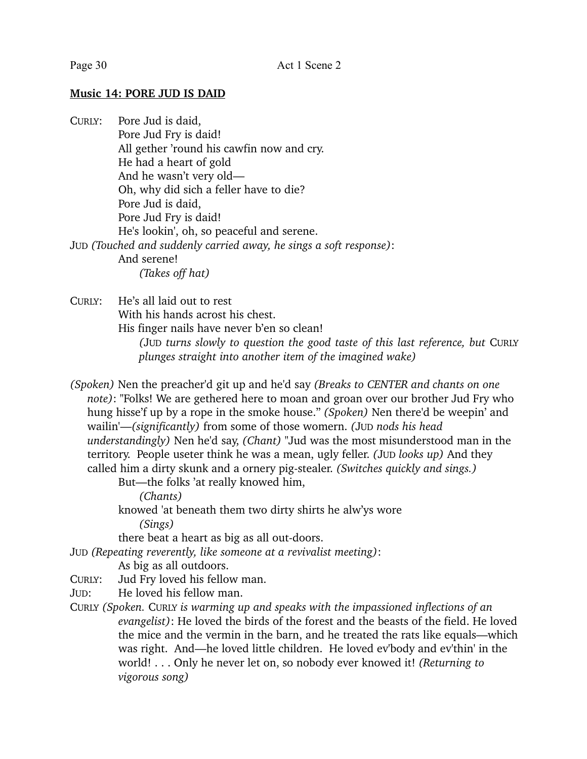### **Music 14: PORE JUD IS DAID**

CURLY: Pore Jud is daid, Pore Jud Fry is daid! All gether 'round his cawfin now and cry. He had a heart of gold And he wasn't very old— Oh, why did sich a feller have to die? Pore Jud is daid, Pore Jud Fry is daid! He's lookin', oh, so peaceful and serene. JUD *(Touched and suddenly carried away, he sings a soft response)*: And serene! *(Takes off hat)*

CURLY: He's all laid out to rest With his hands acrost his chest. His finger nails have never b'en so clean! *(*JUD *turns slowly to question the good taste of this last reference, but* CURLY *plunges straight into another item of the imagined wake)*

*(Spoken)* Nen the preacher'd git up and he'd say *(Breaks to CENTER and chants on one note)*: "Folks! We are gethered here to moan and groan over our brother Jud Fry who hung hisse'f up by a rope in the smoke house." *(Spoken)* Nen there'd be weepin' and wailin'—*(significantly)* from some of those womern. *(*JUD *nods his head understandingly)* Nen he'd say, *(Chant)* "Jud was the most misunderstood man in the territory. People useter think he was a mean, ugly feller. *(*JUD *looks up)* And they called him a dirty skunk and a ornery pig-stealer. *(Switches quickly and sings.)*

But—the folks 'at really knowed him,

*(Chants)*

knowed 'at beneath them two dirty shirts he alw'ys wore *(Sings)*

there beat a heart as big as all out-doors.

JUD *(Repeating reverently, like someone at a revivalist meeting)*:

As big as all outdoors.

CURLY: Jud Fry loved his fellow man.

JUD: He loved his fellow man.

CURLY *(Spoken.* CURLY *is warming up and speaks with the impassioned inflections of an evangelist)*: He loved the birds of the forest and the beasts of the field. He loved the mice and the vermin in the barn, and he treated the rats like equals—which was right. And—he loved little children. He loved ev'body and ev'thin' in the world! . . . Only he never let on, so nobody ever knowed it! *(Returning to vigorous song)*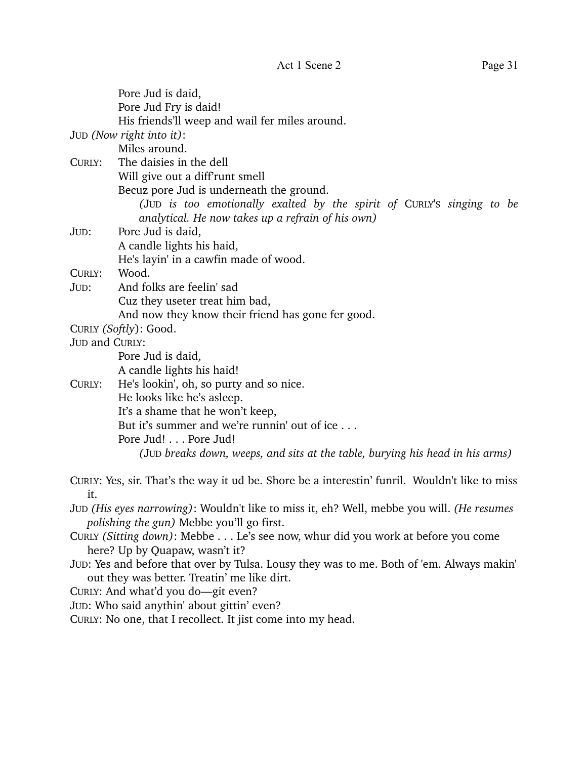|                                                                                           | Pore Jud is daid,                                                                              |  |
|-------------------------------------------------------------------------------------------|------------------------------------------------------------------------------------------------|--|
|                                                                                           | Pore Jud Fry is daid!                                                                          |  |
|                                                                                           | His friends'll weep and wail fer miles around.                                                 |  |
| JUD (Now right into it):                                                                  |                                                                                                |  |
|                                                                                           | Miles around.                                                                                  |  |
| CURLY:                                                                                    | The daisies in the dell                                                                        |  |
|                                                                                           | Will give out a diff runt smell                                                                |  |
|                                                                                           | Becuz pore Jud is underneath the ground.                                                       |  |
|                                                                                           | (JUD is too emotionally exalted by the spirit of CURLY's singing to be                         |  |
|                                                                                           | analytical. He now takes up a refrain of his own)                                              |  |
| JUD:                                                                                      | Pore Jud is daid,                                                                              |  |
|                                                                                           | A candle lights his haid,                                                                      |  |
|                                                                                           | He's layin' in a cawfin made of wood.                                                          |  |
| CURLY:                                                                                    | Wood.                                                                                          |  |
| JUD:                                                                                      | And folks are feelin' sad                                                                      |  |
|                                                                                           | Cuz they useter treat him bad,                                                                 |  |
|                                                                                           | And now they know their friend has gone fer good.                                              |  |
|                                                                                           | CURLY (Softly): Good.                                                                          |  |
| JUD and CURLY:                                                                            |                                                                                                |  |
|                                                                                           | Pore Jud is daid,                                                                              |  |
|                                                                                           | A candle lights his haid!                                                                      |  |
| CURLY:                                                                                    | He's lookin', oh, so purty and so nice.                                                        |  |
|                                                                                           | He looks like he's asleep.                                                                     |  |
|                                                                                           | It's a shame that he won't keep,                                                               |  |
|                                                                                           | But it's summer and we're runnin' out of ice                                                   |  |
|                                                                                           | Pore Jud! Pore Jud!                                                                            |  |
|                                                                                           | (JUD breaks down, weeps, and sits at the table, burying his head in his arms)                  |  |
|                                                                                           | CURLY: Yes, sir. That's the way it ud be. Shore be a interestin' funril. Wouldn't like to miss |  |
| it.                                                                                       |                                                                                                |  |
| JUD (His eyes narrowing): Wouldn't like to miss it, eh? Well, mebbe you will. (He resumes |                                                                                                |  |
| polishing the gun) Mebbe you'll go first.                                                 |                                                                                                |  |
| CURLY (Sitting down): Mebbe Le's see now, whur did you work at before you come            |                                                                                                |  |
| here? Up by Quapaw, wasn't it?                                                            |                                                                                                |  |
|                                                                                           | $\sim$ 1                                                                                       |  |

JUD: Yes and before that over by Tulsa. Lousy they was to me. Both of 'em. Always makin' out they was better. Treatin' me like dirt.

CURLY: And what'd you do—git even?

JUD: Who said anythin' about gittin' even?

CURLY: No one, that I recollect. It jist come into my head.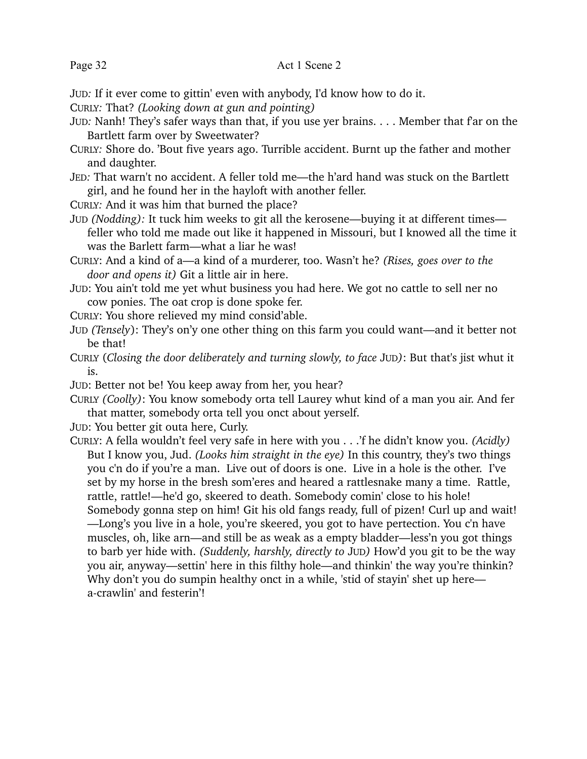- JUD*:* If it ever come to gittin' even with anybody, I'd know how to do it.
- CURLY*:* That? *(Looking down at gun and pointing)*
- JUD*:* Nanh! They's safer ways than that, if you use yer brains. . . . Member that f'ar on the Bartlett farm over by Sweetwater?
- CURLY*:* Shore do. 'Bout five years ago. Turrible accident. Burnt up the father and mother and daughter.
- JED*:* That warn't no accident. A feller told me—the h'ard hand was stuck on the Bartlett girl, and he found her in the hayloft with another feller.
- CURLY*:* And it was him that burned the place?
- JUD *(Nodding):* It tuck him weeks to git all the kerosene—buying it at different times feller who told me made out like it happened in Missouri, but I knowed all the time it was the Barlett farm—what a liar he was!
- CURLY: And a kind of a—a kind of a murderer, too. Wasn't he? *(Rises, goes over to the door and opens it)* Git a little air in here.
- JUD: You ain't told me yet whut business you had here. We got no cattle to sell ner no cow ponies. The oat crop is done spoke fer.
- CURLY: You shore relieved my mind consid'able.
- JUD *(Tensely*): They's on'y one other thing on this farm you could want—and it better not be that!
- CURLY (*Closing the door deliberately and turning slowly, to face* JUD*)*: But that's jist whut it is.
- JUD: Better not be! You keep away from her, you hear?
- CURLY *(Coolly)*: You know somebody orta tell Laurey whut kind of a man you air. And fer that matter, somebody orta tell you onct about yerself.
- JUD: You better git outa here, Curly.

CURLY: A fella wouldn't feel very safe in here with you . . .'f he didn't know you. *(Acidly)* But I know you, Jud. *(Looks him straight in the eye)* In this country, they's two things you c'n do if you're a man. Live out of doors is one. Live in a hole is the other. I've set by my horse in the bresh som'eres and heared a rattlesnake many a time. Rattle, rattle, rattle!—he'd go, skeered to death. Somebody comin' close to his hole! Somebody gonna step on him! Git his old fangs ready, full of pizen! Curl up and wait! —Long's you live in a hole, you're skeered, you got to have pertection. You c'n have muscles, oh, like arn—and still be as weak as a empty bladder—less'n you got things to barb yer hide with. *(Suddenly, harshly, directly to* JUD*)* How'd you git to be the way you air, anyway—settin' here in this filthy hole—and thinkin' the way you're thinkin? Why don't you do sumpin healthy onct in a while, 'stid of stayin' shet up here a-crawlin' and festerin'!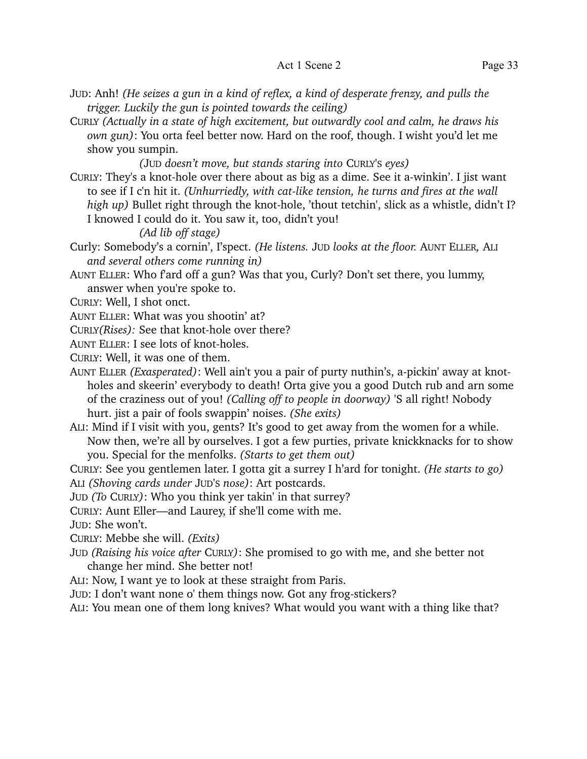- JUD: Anh! *(He seizes a gun in a kind of reflex, a kind of desperate frenzy, and pulls the trigger. Luckily the gun is pointed towards the ceiling)*
- CURLY *(Actually in a state of high excitement, but outwardly cool and calm, he draws his own gun)*: You orta feel better now. Hard on the roof, though. I wisht you'd let me show you sumpin.

*(*JUD *doesn't move, but stands staring into* CURLY'S *eyes)*

CURLY: They's a knot-hole over there about as big as a dime. See it a-winkin'. I jist want to see if I c'n hit it. *(Unhurriedly, with cat-like tension, he turns and fires at the wall high up)* Bullet right through the knot-hole, 'thout tetchin', slick as a whistle, didn't I? I knowed I could do it. You saw it, too, didn't you!

*(Ad lib off stage)*

Curly: Somebody's a cornin', I'spect. *(He listens.* JUD *looks at the floor.* AUNT ELLER*,* ALI *and several others come running in)*

- AUNT ELLER: Who fard off a gun? Was that you, Curly? Don't set there, you lummy, answer when you're spoke to.
- CURLY: Well, I shot onct.

AUNT ELLER: What was you shootin' at?

CURLY*(Rises):* See that knot-hole over there?

AUNT ELLER: I see lots of knot-holes.

CURLY: Well, it was one of them.

- AUNT ELLER *(Exasperated)*: Well ain't you a pair of purty nuthin's, a-pickin' away at knotholes and skeerin' everybody to death! Orta give you a good Dutch rub and arn some of the craziness out of you! *(Calling off to people in doorway)* 'S all right! Nobody hurt. jist a pair of fools swappin' noises. *(She exits)*
- ALI: Mind if I visit with you, gents? It's good to get away from the women for a while. Now then, we're all by ourselves. I got a few purties, private knickknacks for to show you. Special for the menfolks. *(Starts to get them out)*

CURLY: See you gentlemen later. I gotta git a surrey I h'ard for tonight. *(He starts to go)* ALI *(Shoving cards under* JUD'S *nose)*: Art postcards.

JUD *(To* CURLY*)*: Who you think yer takin' in that surrey?

CURLY: Aunt Eller—and Laurey, if she'll come with me.

JUD: She won't.

CURLY: Mebbe she will. *(Exits)*

- JUD *(Raising his voice after* CURLY*)*: She promised to go with me, and she better not change her mind. She better not!
- ALI: Now, I want ye to look at these straight from Paris.
- JUD: I don't want none o' them things now. Got any frog-stickers?
- ALI: You mean one of them long knives? What would you want with a thing like that?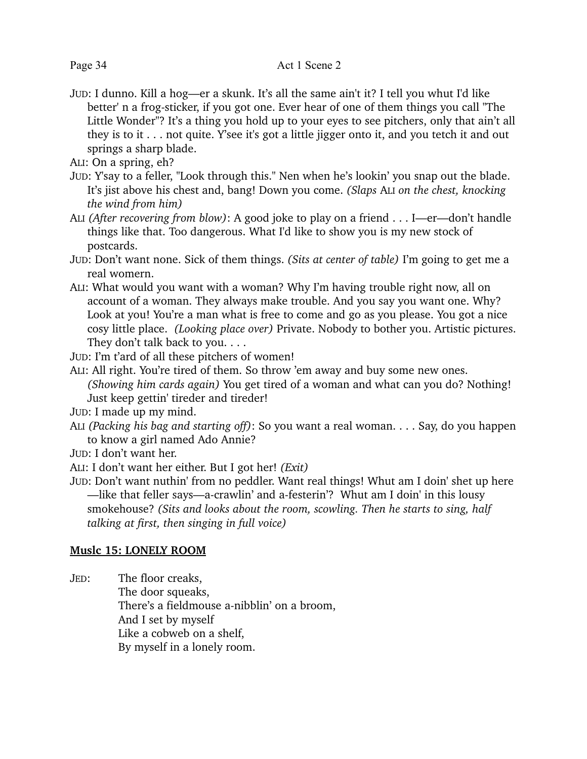### Page 34 Act 1 Scene 2

JUD: I dunno. Kill a hog—er a skunk. It's all the same ain't it? I tell you whut I'd like better' n a frog-sticker, if you got one. Ever hear of one of them things you call "The Little Wonder"? It's a thing you hold up to your eyes to see pitchers, only that ain't all they is to it . . . not quite. Y'see it's got a little jigger onto it, and you tetch it and out springs a sharp blade.

ALI: On a spring, eh?

- JUD: Y'say to a feller, "Look through this." Nen when he's lookin' you snap out the blade. It's jist above his chest and, bang! Down you come. *(Slaps* ALI *on the chest, knocking the wind from him)*
- ALI *(After recovering from blow)*: A good joke to play on a friend . . . I—er—don't handle things like that. Too dangerous. What I'd like to show you is my new stock of postcards.
- JUD: Don't want none. Sick of them things. *(Sits at center of table)* I'm going to get me a real womern.
- ALI: What would you want with a woman? Why I'm having trouble right now, all on account of a woman. They always make trouble. And you say you want one. Why? Look at you! You're a man what is free to come and go as you please. You got a nice cosy little place. *(Looking place over)* Private. Nobody to bother you. Artistic pictures. They don't talk back to you. . . .
- JUD: I'm t'ard of all these pitchers of women!
- ALI: All right. You're tired of them. So throw 'em away and buy some new ones. *(Showing him cards again)* You get tired of a woman and what can you do? Nothing! Just keep gettin' tireder and tireder!
- JUD: I made up my mind.
- ALI *(Packing his bag and starting off)*: So you want a real woman. . . . Say, do you happen to know a girl named Ado Annie?
- JUD: I don't want her.

ALI: I don't want her either. But I got her! *(Exit)*

JUD: Don't want nuthin' from no peddler. Want real things! Whut am I doin' shet up here —like that feller says—a-crawlin' and a-festerin'? Whut am I doin' in this lousy smokehouse? *(Sits and looks about the room, scowling. Then he starts to sing, half talking at first, then singing in full voice)*

# **Muslc 15: LONELY ROOM**

JED: The floor creaks, The door squeaks, There's a fieldmouse a-nibblin' on a broom, And I set by myself Like a cobweb on a shelf, By myself in a lonely room.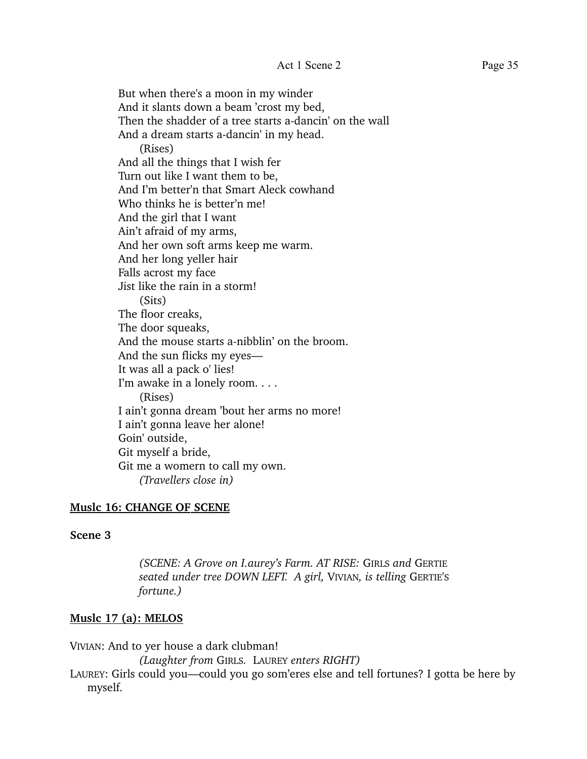But when there's a moon in my winder And it slants down a beam 'crost my bed, Then the shadder of a tree starts a-dancin' on the wall And a dream starts a-dancin' in my head. (Rises) And all the things that I wish fer Turn out like I want them to be, And I'm better'n that Smart Aleck cowhand Who thinks he is better'n me! And the girl that I want Ain't afraid of my arms, And her own soft arms keep me warm. And her long yeller hair Falls acrost my face Jist like the rain in a storm! (Sits) The floor creaks, The door squeaks, And the mouse starts a-nibblin' on the broom. And the sun flicks my eyes— It was all a pack o' lies! I'm awake in a lonely room. . . . (Rises) I ain't gonna dream 'bout her arms no more! I ain't gonna leave her alone! Goin' outside, Git myself a bride, Git me a womern to call my own. *(Travellers close in)*

#### **Muslc 16: CHANGE OF SCENE**

#### **Scene 3**

*(SCENE: A Grove on I.aurey's Farm. AT RISE:* GIRLS *and* GERTIE *seated under tree DOWN LEFT. A girl,* VIVIAN*, is telling* GERTIE'S *fortune.)*

#### **Muslc 17 (a): MELOS**

VIVIAN: And to yer house a dark clubman!

*(Laughter from* GIRLS*.* LAUREY *enters RIGHT)*

LAUREY: Girls could you—could you go som'eres else and tell fortunes? I gotta be here by myself.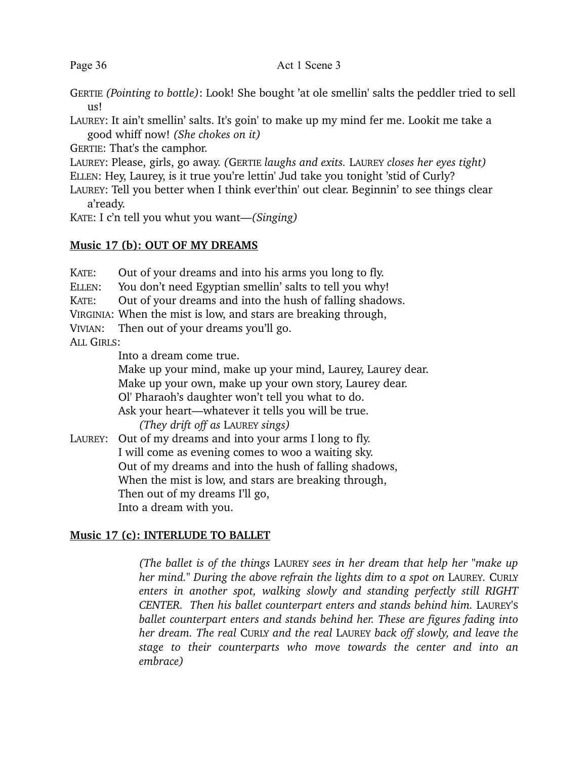### Page 36 Act 1 Scene 3

GERTIE *(Pointing to bottle)*: Look! She bought 'at ole smellin' salts the peddler tried to sell us!

LAUREY: It ain't smellin' salts. It's goin' to make up my mind fer me. Lookit me take a good whiff now! *(She chokes on it)*

GERTIE: That's the camphor.

LAUREY: Please, girls, go away. *(*GERTIE *laughs and exits.* LAUREY *closes her eyes tight)* ELLEN: Hey, Laurey, is it true you're lettin' Jud take you tonight 'stid of Curly?

LAUREY: Tell you better when I think ever'thin' out clear. Beginnin' to see things clear a'ready.

KATE: I c'n tell you whut you want—*(Singing)*

# **Music 17 (b): OUT OF MY DREAMS**

KATE: Out of your dreams and into his arms you long to fly.

ELLEN: You don't need Egyptian smellin' salts to tell you why!

KATE: Out of your dreams and into the hush of falling shadows.

VIRGINIA: When the mist is low, and stars are breaking through,

VIVIAN: Then out of your dreams you'll go.

ALL GIRLS:

Into a dream come true.

Make up your mind, make up your mind, Laurey, Laurey dear. Make up your own, make up your own story, Laurey dear. Ol' Pharaoh's daughter won't tell you what to do.

Ask your heart—whatever it tells you will be true.

*(They drift off as* LAUREY *sings)*

LAUREY: Out of my dreams and into your arms I long to fly. I will come as evening comes to woo a waiting sky. Out of my dreams and into the hush of falling shadows, When the mist is low, and stars are breaking through, Then out of my dreams I'll go, Into a dream with you.

# **Music 17 (c): INTERLUDE TO BALLET**

*(The ballet is of the things* LAUREY *sees in her dream that help her "make up her mind." During the above refrain the lights dim to a spot on* LAUREY*.* CURLY *enters in another spot, walking slowly and standing perfectly still RIGHT CENTER. Then his ballet counterpart enters and stands behind him.* LAUREY'S *ballet counterpart enters and stands behind her. These are figures fading into her dream. The real* CURLY *and the real* LAUREY *back off slowly, and leave the stage to their counterparts who move towards the center and into an embrace)*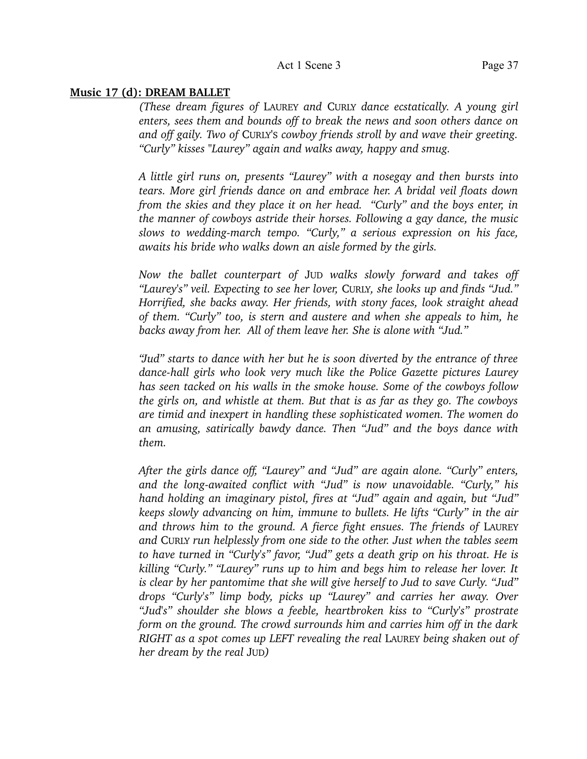Act 1 Scene 3 Page 37

# **Music 17 (d): DREAM BALLET**

*(These dream figures of* LAUREY *and* CURLY *dance ecstatically. A young girl enters, sees them and bounds off to break the news and soon others dance on and off gaily. Two of* CURLY'S *cowboy friends stroll by and wave their greeting. "Curly" kisses "Laurey" again and walks away, happy and smug.*

*A little girl runs on, presents "Laurey" with a nosegay and then bursts into tears. More girl friends dance on and embrace her. A bridal veil floats down from the skies and they place it on her head. "Curly" and the boys enter, in the manner of cowboys astride their horses. Following a gay dance, the music slows to wedding-march tempo. "Curly," a serious expression on his face, awaits his bride who walks down an aisle formed by the girls.*

*Now the ballet counterpart of* JUD *walks slowly forward and takes off "Laurey's" veil. Expecting to see her lover,* CURLY*, she looks up and finds "Jud." Horrified, she backs away. Her friends, with stony faces, look straight ahead of them. "Curly" too, is stern and austere and when she appeals to him, he backs away from her. All of them leave her. She is alone with "Jud."*

*"Jud" starts to dance with her but he is soon diverted by the entrance of three dance-hall girls who look very much like the Police Gazette pictures Laurey has seen tacked on his walls in the smoke house. Some of the cowboys follow the girls on, and whistle at them. But that is as far as they go. The cowboys are timid and inexpert in handling these sophisticated women. The women do an amusing, satirically bawdy dance. Then "Jud" and the boys dance with them.*

*After the girls dance off, "Laurey" and "Jud" are again alone. "Curly" enters, and the long-awaited conflict with "Jud" is now unavoidable. "Curly," his hand holding an imaginary pistol, fires at "Jud" again and again, but "Jud" keeps slowly advancing on him, immune to bullets. He lifts "Curly" in the air and throws him to the ground. A fierce fight ensues. The friends of* LAUREY *and* CURLY *run helplessly from one side to the other. Just when the tables seem to have turned in "Curly's" favor, "Jud" gets a death grip on his throat. He is killing "Curly." "Laurey" runs up to him and begs him to release her lover. It is clear by her pantomime that she will give herself to Jud to save Curly. "Jud" drops "Curly's" limp body, picks up "Laurey" and carries her away. Over "Jud's" shoulder she blows a feeble, heartbroken kiss to "Curly's" prostrate form on the ground. The crowd surrounds him and carries him off in the dark RIGHT as a spot comes up LEFT revealing the real* LAUREY *being shaken out of her dream by the real* JUD*)*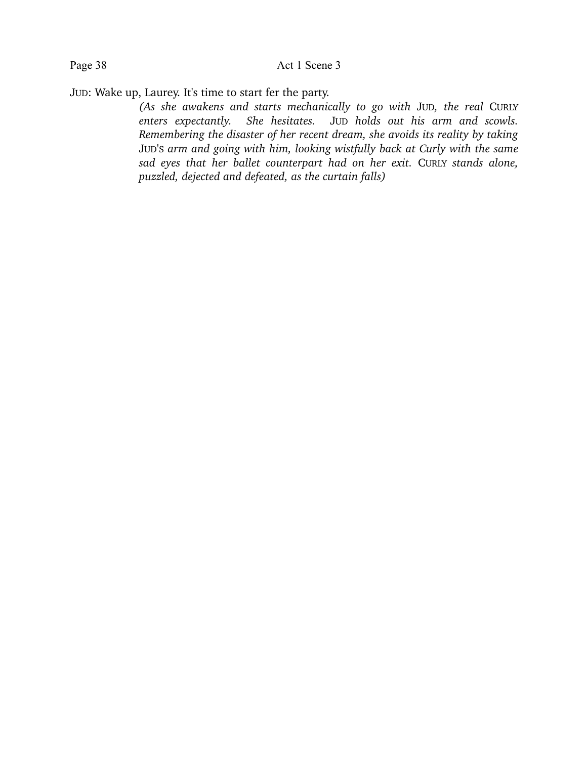# Page 38 Act 1 Scene 3

JUD: Wake up, Laurey. It's time to start fer the party.

*(As she awakens and starts mechanically to go with* JUD*, the real* CURLY *enters expectantly. She hesitates.* JUD *holds out his arm and scowls. Remembering the disaster of her recent dream, she avoids its reality by taking* JUD'S *arm and going with him, looking wistfully back at Curly with the same sad eyes that her ballet counterpart had on her exit.* CURLY *stands alone, puzzled, dejected and defeated, as the curtain falls)*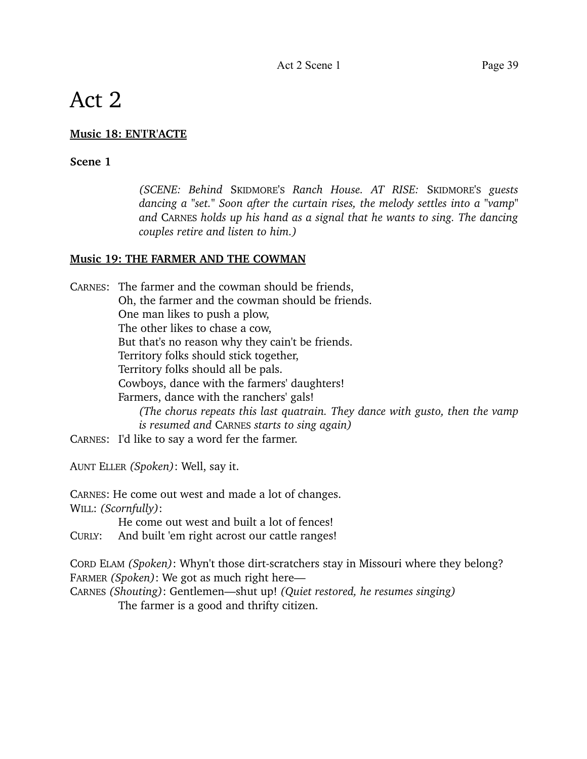# Act 2

# **Music 18: EN'I'R'ACTE**

# **Scene 1**

*(SCENE: Behind* SKIDMORE'S *Ranch House. AT RISE:* SKIDMORE'S *guests dancing a "set." Soon after the curtain rises, the melody settles into a "vamp" and* CARNES *holds up his hand as a signal that he wants to sing. The dancing couples retire and listen to him.)*

# **Music 19: THE FARMER AND THE COWMAN**

CARNES: The farmer and the cowman should be friends, Oh, the farmer and the cowman should be friends. One man likes to push a plow, The other likes to chase a cow, But that's no reason why they cain't be friends. Territory folks should stick together, Territory folks should all be pals. Cowboys, dance with the farmers' daughters! Farmers, dance with the ranchers' gals! *(The chorus repeats this last quatrain. They dance with gusto, then the vamp is resumed and* CARNES *starts to sing again)* CARNES: I'd like to say a word fer the farmer.

AUNT ELLER *(Spoken)*: Well, say it.

CARNES: He come out west and made a lot of changes. WILL: *(Scornfully)*:

He come out west and built a lot of fences!

CURLY: And built 'em right acrost our cattle ranges!

CORD ELAM *(Spoken)*: Whyn't those dirt-scratchers stay in Missouri where they belong? FARMER *(Spoken)*: We got as much right here—

CARNES *(Shouting)*: Gentlemen—shut up! *(Quiet restored, he resumes singing)* The farmer is a good and thrifty citizen.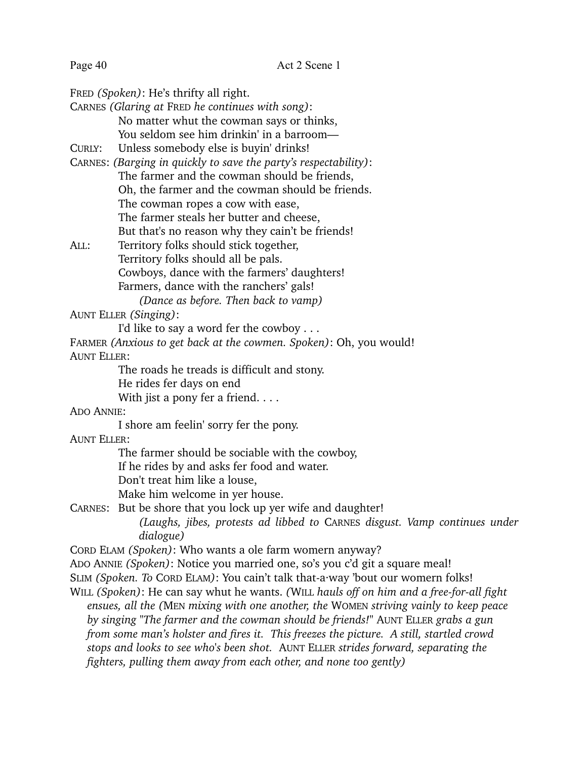FRED *(Spoken)*: He's thrifty all right.

CARNES *(Glaring at* FRED *he continues with song)*: No matter whut the cowman says or thinks,

You seldom see him drinkin' in a barroom—

CURLY: Unless somebody else is buyin' drinks!

CARNES: *(Barging in quickly to save the party's respectability)*: The farmer and the cowman should be friends, Oh, the farmer and the cowman should be friends. The cowman ropes a cow with ease,

The farmer steals her butter and cheese,

But that's no reason why they cain't be friends!

ALL: Territory folks should stick together, Territory folks should all be pals. Cowboys, dance with the farmers' daughters! Farmers, dance with the ranchers' gals! *(Dance as before. Then back to vamp)*

AUNT ELLER *(Singing)*:

I'd like to say a word fer the cowboy . . .

FARMER *(Anxious to get back at the cowmen. Spoken)*: Oh, you would! AUNT ELLER:

The roads he treads is difficult and stony.

He rides fer days on end

With jist a pony fer a friend. . . .

# ADO ANNIE:

I shore am feelin' sorry fer the pony.

# AUNT ELLER:

The farmer should be sociable with the cowboy,

If he rides by and asks fer food and water.

Don't treat him like a louse,

Make him welcome in yer house.

CARNES: But be shore that you lock up yer wife and daughter! *(Laughs, jibes, protests ad libbed to* CARNES *disgust. Vamp continues under*

*dialogue)*

CORD ELAM *(Spoken)*: Who wants a ole farm womern anyway?

ADO ANNIE *(Spoken)*: Notice you married one, so's you c'd git a square meal!

SLIM *(Spoken. To* CORD ELAM*)*: You cain't talk that-a·way 'bout our womern folks!

WILL *(Spoken)*: He can say whut he wants. *(*WILL *hauls off on him and a free-for-all fight ensues, all the (*MEN *mixing with one another, the* WOMEN *striving vainly to keep peace by singing "The farmer and the cowman should be friends!"* AUNT ELLER *grabs a gun from some man's holster and fires it. This freezes the picture. A still, startled crowd stops and looks to see who's been shot.* AUNT ELLER *strides forward, separating the fighters, pulling them away from each other, and none too gently)*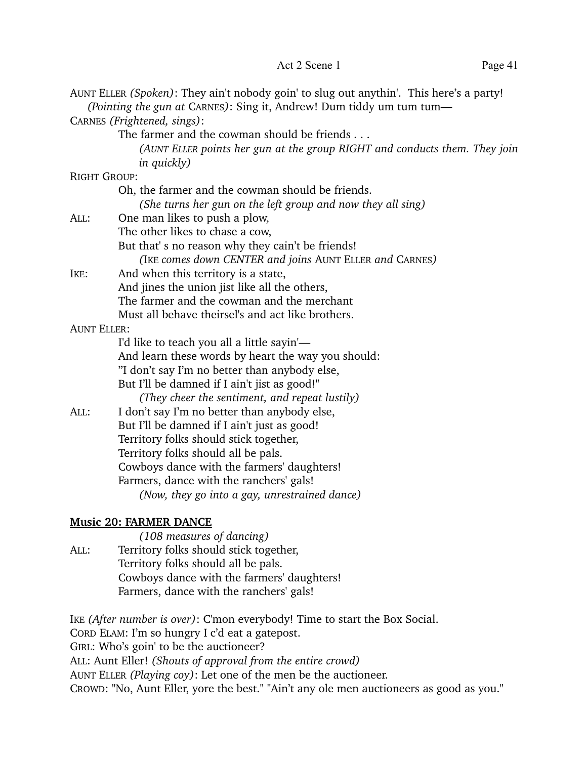|                     | AUNT ELLER (Spoken): They ain't nobody goin' to slug out anythin'. This here's a party! |
|---------------------|-----------------------------------------------------------------------------------------|
|                     | (Pointing the gun at CARNES): Sing it, Andrew! Dum tiddy um tum tum—                    |
|                     | CARNES (Frightened, sings):                                                             |
|                     | The farmer and the cowman should be friends                                             |
|                     | (AUNT ELLER points her gun at the group RIGHT and conducts them. They join              |
|                     | in quickly)                                                                             |
| <b>RIGHT GROUP:</b> |                                                                                         |
|                     | Oh, the farmer and the cowman should be friends.                                        |
|                     | (She turns her gun on the left group and now they all sing)                             |
| ALL:                | One man likes to push a plow,                                                           |
|                     | The other likes to chase a cow,                                                         |
|                     | But that's no reason why they cain't be friends!                                        |
|                     | (IKE comes down CENTER and joins AUNT ELLER and CARNES)                                 |
| IKE:                | And when this territory is a state,                                                     |
|                     | And jines the union jist like all the others,                                           |
|                     | The farmer and the cowman and the merchant                                              |
|                     | Must all behave theirsel's and act like brothers.                                       |
| <b>AUNT ELLER:</b>  |                                                                                         |
|                     | I'd like to teach you all a little sayin'-                                              |
|                     | And learn these words by heart the way you should:                                      |
|                     | "I don't say I'm no better than anybody else,                                           |
|                     | But I'll be damned if I ain't jist as good!"                                            |
|                     | (They cheer the sentiment, and repeat lustily)                                          |
| ALL:                | I don't say I'm no better than anybody else,                                            |
|                     | But I'll be damned if I ain't just as good!                                             |
|                     | Territory folks should stick together,                                                  |
|                     | Territory folks should all be pals.                                                     |
|                     | Cowboys dance with the farmers' daughters!                                              |
|                     | Farmers, dance with the ranchers' gals!                                                 |
|                     | (Now, they go into a gay, unrestrained dance)                                           |
|                     | <b>Music 20: FARMER DANCE</b>                                                           |
|                     | (108 measures of dancing)                                                               |
| ALL:                | Territory folks should stick together,                                                  |

Territory folks should all be pals. Cowboys dance with the farmers' daughters! Farmers, dance with the ranchers' gals!

IKE *(After number is over)*: C'mon everybody! Time to start the Box Social. CORD ELAM: I'm so hungry I c'd eat a gatepost. GIRL: Who's goin' to be the auctioneer? ALL: Aunt Eller! *(Shouts of approval from the entire crowd)* AUNT ELLER *(Playing coy)*: Let one of the men be the auctioneer. CROWD: "No, Aunt Eller, yore the best." "Ain't any ole men auctioneers as good as you."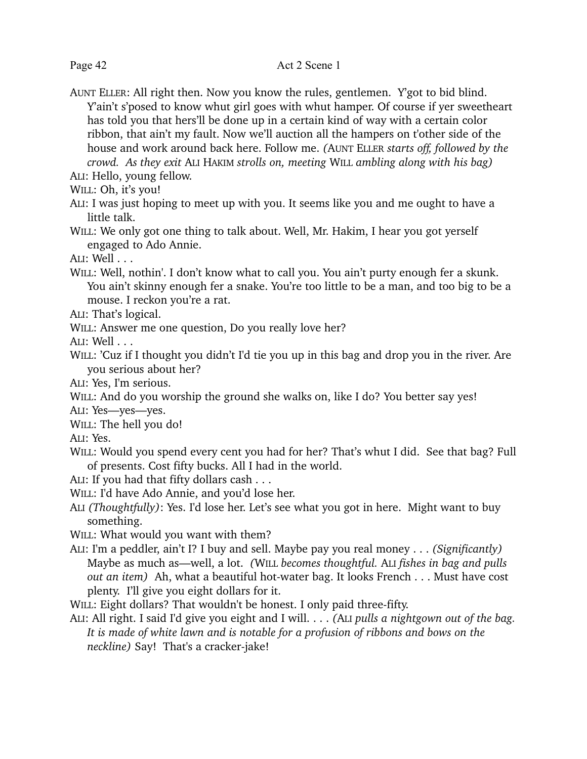AUNT ELLER: All right then. Now you know the rules, gentlemen. Y'got to bid blind. Y'ain't s'posed to know whut girl goes with whut hamper. Of course if yer sweetheart has told you that hers'll be done up in a certain kind of way with a certain color ribbon, that ain't my fault. Now we'll auction all the hampers on t'other side of the house and work around back here. Follow me. *(*AUNT ELLER *starts off, followed by the crowd. As they exit* ALI HAKIM *strolls on, meeting* WILL *ambling along with his bag)*

ALI: Hello, young fellow.

- WILL: Oh, it's you!
- ALI: I was just hoping to meet up with you. It seems like you and me ought to have a little talk.

WILL: We only got one thing to talk about. Well, Mr. Hakim, I hear you got yerself engaged to Ado Annie.

ALI: Well . . .

WILL: Well, nothin'. I don't know what to call you. You ain't purty enough fer a skunk. You ain't skinny enough fer a snake. You're too little to be a man, and too big to be a mouse. I reckon you're a rat.

ALI: That's logical.

WILL: Answer me one question, Do you really love her?

ALI: Well . . .

WILL: 'Cuz if I thought you didn't I'd tie you up in this bag and drop you in the river. Are you serious about her?

ALI: Yes, I'm serious.

WILL: And do you worship the ground she walks on, like I do? You better say yes!

ALI: Yes—yes—yes.

WILL: The hell you do!

ALI: Yes.

- WILL: Would you spend every cent you had for her? That's whut I did. See that bag? Full of presents. Cost fifty bucks. All I had in the world.
- ALI: If you had that fifty dollars cash . . .
- WILL: I'd have Ado Annie, and you'd lose her.
- ALI *(Thoughtfully)*: Yes. I'd lose her. Let's see what you got in here. Might want to buy something.
- WILL: What would you want with them?
- ALI: I'm a peddler, ain't I? I buy and sell. Maybe pay you real money . . . *(Significantly)* Maybe as much as—well, a lot. *(*WILL *becomes thoughtful.* ALI *fishes in bag and pulls out an item)* Ah, what a beautiful hot-water bag. It looks French . . . Must have cost plenty. I'll give you eight dollars for it.
- WILL: Eight dollars? That wouldn't be honest. I only paid three-fifty.
- ALI: All right. I said I'd give you eight and I will. . . . *(*ALI *pulls a nightgown out of the bag. It is made of white lawn and is notable for a profusion of ribbons and bows on the neckline)* Say! That's a cracker-jake!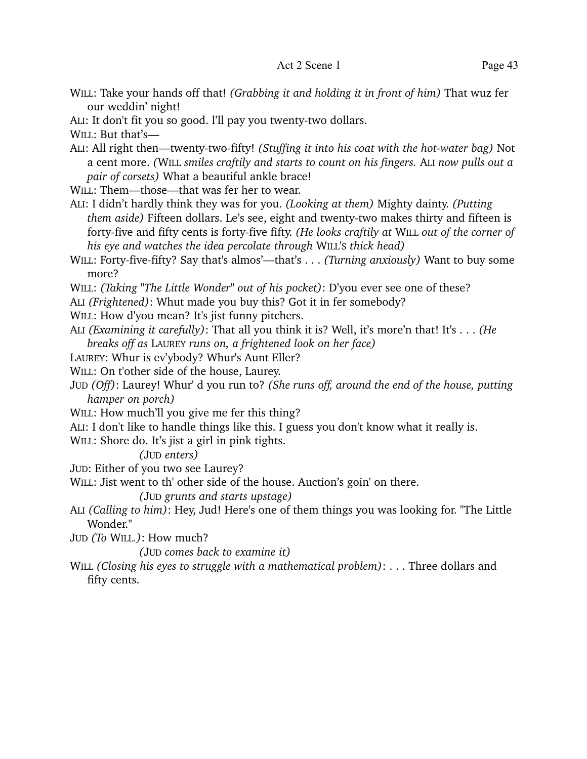- 
- WILL: Take your hands off that! *(Grabbing it and holding it in front of him)* That wuz fer our weddin' night!
- ALI: It don't fit you so good. l'll pay you twenty-two dollars.
- WILL: But that's-
- ALI: All right then—twenty-two-fifty! *(Stuffing it into his coat with the hot-water bag)* Not a cent more. *(*WILL *smiles craftily and starts to count on his fingers.* ALI *now pulls out a pair of corsets)* What a beautiful ankle brace!
- WILL: Them—those—that was fer her to wear.
- ALI: I didn't hardly think they was for you. *(Looking at them)* Mighty dainty. *(Putting them aside)* Fifteen dollars. Le's see, eight and twenty-two makes thirty and fifteen is forty-five and fifty cents is forty-five fifty. *(He looks craftily at* WILL *out of the corner of his eye and watches the idea percolate through* WILL'S *thick head)*
- WILL: Forty-five-fifty? Say that's almos'—that's . . . *(Turning anxiously)* Want to buy some more?
- WILL: *(Taking "The Little Wonder" out of his pocket)*: D'you ever see one of these?
- ALI *(Frightened)*: Whut made you buy this? Got it in fer somebody?
- WILL: How d'you mean? It's jist funny pitchers.
- ALI *(Examining it carefully)*: That all you think it is? Well, it's more'n that! It's . . . *(He breaks off as* LAUREY *runs on, a frightened look on her face)*
- LAUREY: Whur is ev'ybody? Whur's Aunt Eller?
- WILL: On t'other side of the house, Laurey.
- JUD *(Off)*: Laurey! Whur' d you run to? *(She runs off, around the end of the house, putting hamper on porch)*
- WILL: How much'll you give me fer this thing?
- ALI: I don't like to handle things like this. I guess you don't know what it really is.
- WILL: Shore do. It's jist a girl in pink tights.
	- *(*JUD *enters)*
- JUD: Either of you two see Laurey?
- WILL: Jist went to th' other side of the house. Auction's goin' on there.
	- *(*JUD *grunts and starts upstage)*
- ALI *(Calling to him)*: Hey, Jud! Here's one of them things you was looking for. "The Little Wonder."
- JUD *(To* WILL*.)*: How much?
	- *(*JUD *comes back to examine it)*
- WILL *(Closing his eyes to struggle with a mathematical problem)*: . . . Three dollars and fifty cents.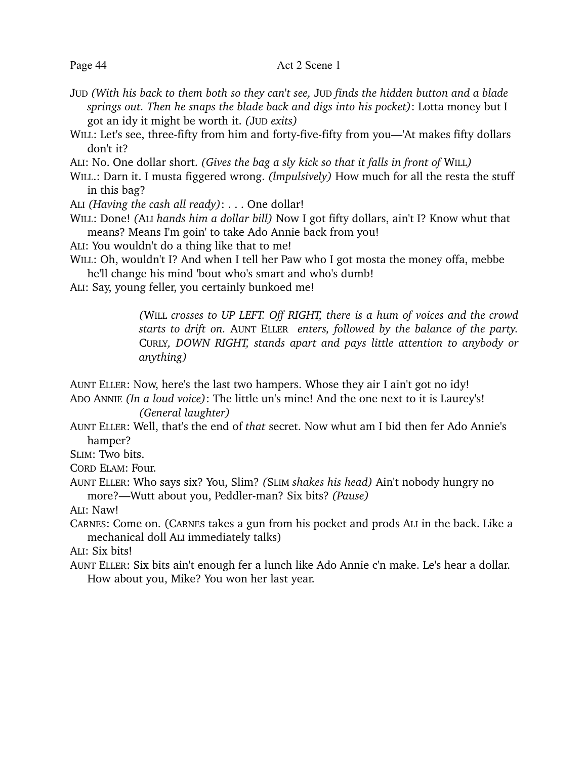- JUD *(With his back to them both so they can't see,* JUD *finds the hidden button and a blade springs out. Then he snaps the blade back and digs into his pocket)*: Lotta money but I got an idy it might be worth it. *(*JUD *exits)*
- WILL: Let's see, three-fifty from him and forty-five-fifty from you—'At makes fifty dollars don't it?
- ALI: No. One dollar short. *(Gives the bag a sly kick so that it falls in front of* WILL*)*
- WILL.: Darn it. I musta figgered wrong. *(lmpulsively)* How much for all the resta the stuff in this bag?
- ALI *(Having the cash all ready)*: . . . One dollar!
- WILL: Done! *(*ALI *hands him a dollar bill)* Now I got fifty dollars, ain't I? Know whut that means? Means I'm goin' to take Ado Annie back from you!
- ALI: You wouldn't do a thing like that to me!
- WILL: Oh, wouldn't I? And when I tell her Paw who I got mosta the money offa, mebbe he'll change his mind 'bout who's smart and who's dumb!
- ALI: Say, young feller, you certainly bunkoed me!

*(*WILL *crosses to UP LEFT. Off RIGHT, there is a hum of voices and the crowd starts to drift on.* AUNT ELLER *enters, followed by the balance of the party.* CURLY*, DOWN RIGHT, stands apart and pays little attention to anybody or anything)*

AUNT ELLER: Now, here's the last two hampers. Whose they air I ain't got no idy!

ADO ANNIE *(In a loud voice)*: The little un's mine! And the one next to it is Laurey's! *(General laughter)*

AUNT ELLER: Well, that's the end of *that* secret. Now whut am I bid then fer Ado Annie's hamper?

SLIM: Two bits.

CORD ELAM: Four.

AUNT ELLER: Who says six? You, Slim? *(*SLIM *shakes his head)* Ain't nobody hungry no more?—Wutt about you, Peddler-man? Six bits? *(Pause)*

ALI: Naw!

CARNES: Come on. (CARNES takes a gun from his pocket and prods ALI in the back. Like a mechanical doll ALI immediately talks)

ALI: Six bits!

AUNT ELLER: Six bits ain't enough fer a lunch like Ado Annie c'n make. Le's hear a dollar. How about you, Mike? You won her last year.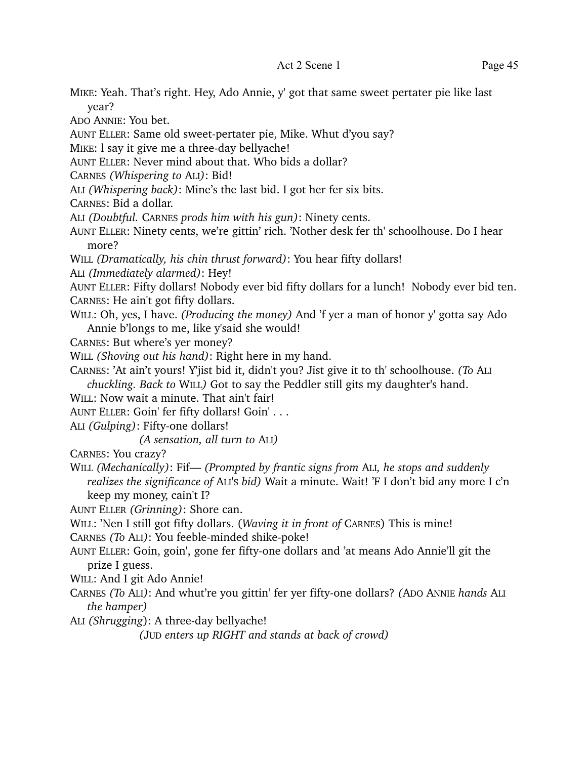MIKE: Yeah. That's right. Hey, Ado Annie, y' got that same sweet pertater pie like last year?

ADO ANNIE: You bet.

- AUNT ELLER: Same old sweet-pertater pie, Mike. Whut d'you say?
- MIKE: I say it give me a three-day bellyache!
- AUNT ELLER: Never mind about that. Who bids a dollar?
- CARNES *(Whispering to* ALI*)*: Bid!
- ALI *(Whispering back)*: Mine's the last bid. I got her fer six bits.
- CARNES: Bid a dollar.
- ALI *(Doubtful.* CARNES *prods him with his gun)*: Ninety cents.
- AUNT ELLER: Ninety cents, we're gittin' rich. 'Nother desk fer th' schoolhouse. Do I hear more?
- WILL *(Dramatically, his chin thrust forward)*: You hear fifty dollars!

ALI *(Immediately alarmed)*: Hey!

- AUNT ELLER: Fifty dollars! Nobody ever bid fifty dollars for a lunch! Nobody ever bid ten. CARNES: He ain't got fifty dollars.
- WILL: Oh, yes, I have. *(Producing the money)* And 'f yer a man of honor y' gotta say Ado Annie b'longs to me, like y'said she would!
- CARNES: But where's yer money?
- WILL *(Shoving out his hand)*: Right here in my hand.
- CARNES: 'At ain't yours! Y'jist bid it, didn't you? Jist give it to th' schoolhouse. *(To* ALI *chuckling. Back to* WILL*)* Got to say the Peddler still gits my daughter's hand.
- WILL: Now wait a minute. That ain't fair!
- AUNT ELLER: Goin' fer fifty dollars! Goin' . . .
- ALI *(Gulping)*: Fifty-one dollars!
	- *(A sensation, all turn to* ALI*)*
- CARNES: You crazy?
- WILL *(Mechanically)*: Fif— *(Prompted by frantic signs from* ALI*, he stops and suddenly realizes the significance of* ALI'S *bid)* Wait a minute. Wait! 'F I don't bid any more I c'n keep my money, cain't I?
- AUNT ELLER *(Grinning)*: Shore can.
- WILL: 'Nen I still got fifty dollars. (*Waving it in front of* CARNES) This is mine!
- CARNES *(To* ALI*)*: You feeble-minded shike-poke!
- AUNT ELLER: Goin, goin', gone fer fifty-one dollars and 'at means Ado Annie'll git the prize I guess.
- WILL: And I git Ado Annie!
- CARNES *(To* ALI*)*: And whut're you gittin' fer yer fifty-one dollars? *(*ADO ANNIE *hands* ALI *the hamper)*
- ALI *(Shrugging*): A three-day bellyache!

*(*JUD *enters up RIGHT and stands at back of crowd)*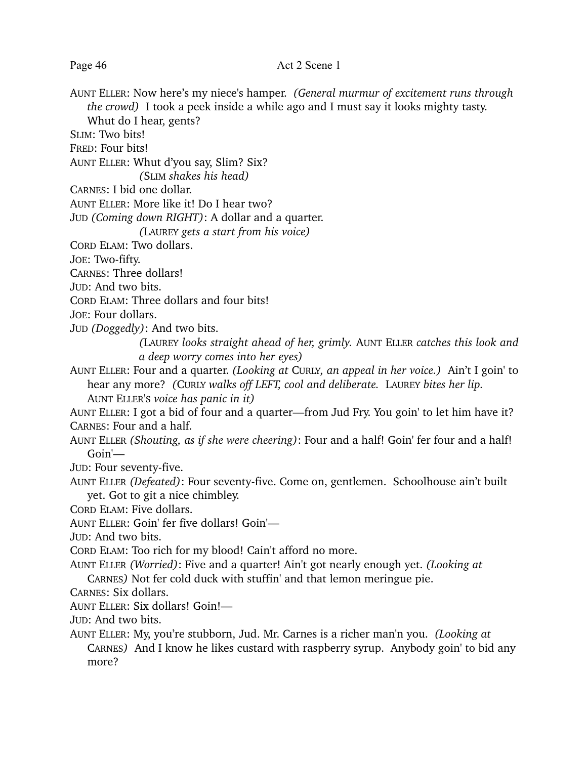#### Page 46 Act 2 Scene 1

AUNT ELLER: Now here's my niece's hamper. *(General murmur of excitement runs through the crowd)* I took a peek inside a while ago and I must say it looks mighty tasty. Whut do I hear, gents? SLIM: Two bits!

FRED: Four bits!

AUNT ELLER: Whut d'you say, Slim? Six?

*(*SLIM *shakes his head)*

CARNES: I bid one dollar.

AUNT ELLER: More like it! Do I hear two?

JUD *(Coming down RIGHT)*: A dollar and a quarter.

*(*LAUREY *gets a start from his voice)*

CORD ELAM: Two dollars.

JOE: Two-fifty.

CARNES: Three dollars!

JUD: And two bits.

CORD ELAM: Three dollars and four bits!

JOE: Four dollars.

JUD *(Doggedly)*: And two bits.

*(*LAUREY *looks straight ahead of her, grimly.* AUNT ELLER *catches this look and a deep worry comes into her eyes)*

AUNT ELLER: Four and a quarter. *(Looking at* CURLY*, an appeal in her voice.)* Ain't I goin' to hear any more? *(*CURLY *walks off LEFT, cool and deliberate.* LAUREY *bites her lip.*  AUNT ELLER'S *voice has panic in it)*

AUNT ELLER: I got a bid of four and a quarter—from Jud Fry. You goin' to let him have it? CARNES: Four and a half.

AUNT ELLER *(Shouting, as if she were cheering)*: Four and a half! Goin' fer four and a half! Goin'—

JUD: Four seventy-five.

AUNT ELLER *(Defeated)*: Four seventy-five. Come on, gentlemen. Schoolhouse ain't built yet. Got to git a nice chimbley.

CORD ELAM: Five dollars.

AUNT ELLER: Goin' fer five dollars! Goin'—

JUD: And two bits.

CORD ELAM: Too rich for my blood! Cain't afford no more.

AUNT ELLER *(Worried)*: Five and a quarter! Ain't got nearly enough yet. *(Looking at* CARNES*)* Not fer cold duck with stuffin' and that lemon meringue pie.

CARNES: Six dollars.

AUNT ELLER: Six dollars! Goin!—

JUD: And two bits.

AUNT ELLER: My, you're stubborn, Jud. Mr. Carnes is a richer man'n you. *(Looking at* CARNES*)* And I know he likes custard with raspberry syrup. Anybody goin' to bid any more?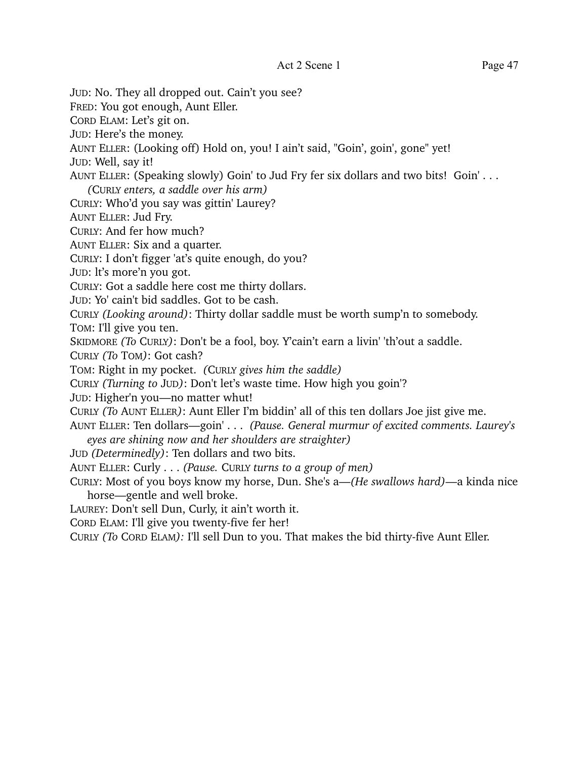JUD: No. They all dropped out. Cain't you see? FRED: You got enough, Aunt Eller. CORD ELAM: Let's git on. JUD: Here's the money. AUNT ELLER: (Looking off) Hold on, you! I ain't said, "Goin', goin', gone" yet! JUD: Well, say it! AUNT ELLER: (Speaking slowly) Goin' to Jud Fry fer six dollars and two bits! Goin' . . . *(*CURLY *enters, a saddle over his arm)* CURLY: Who'd you say was gittin' Laurey? AUNT ELLER: Jud Fry. CURLY: And fer how much? AUNT ELLER: Six and a quarter. CURLY: I don't figger 'at's quite enough, do you? JUD: lt's more'n you got. CURLY: Got a saddle here cost me thirty dollars. JUD: Yo' cain't bid saddles. Got to be cash. CURLY *(Looking around)*: Thirty dollar saddle must be worth sump'n to somebody. TOM: I'll give you ten. SKIDMORE *(To* CURLY*)*: Don't be a fool, boy. Y'cain't earn a livin' 'th'out a saddle. CURLY *(To* TOM*)*: Got cash? TOM: Right in my pocket. *(*CURLY *gives him the saddle)* CURLY *(Turning to* JUD*)*: Don't let's waste time. How high you goin'? JUD: Higher'n you—no matter whut! CURLY *(To* AUNT ELLER*)*: Aunt Eller I'm biddin' all of this ten dollars Joe jist give me. AUNT ELLER: Ten dollars—goin' . . . *(Pause. General murmur of excited comments. Laurey's eyes are shining now and her shoulders are straighter)* JUD *(Determinedly)*: Ten dollars and two bits. AUNT ELLER: Curly . . . *(Pause.* CURLY *turns to a group of men)* CURLY: Most of you boys know my horse, Dun. She's a—*(He swallows hard)*—a kinda nice horse—gentle and well broke. LAUREY: Don't sell Dun, Curly, it ain't worth it. CORD ELAM: I'll give you twenty-five fer her! CURLY *(To* CORD ELAM*):* I'll sell Dun to you. That makes the bid thirty-five Aunt Eller.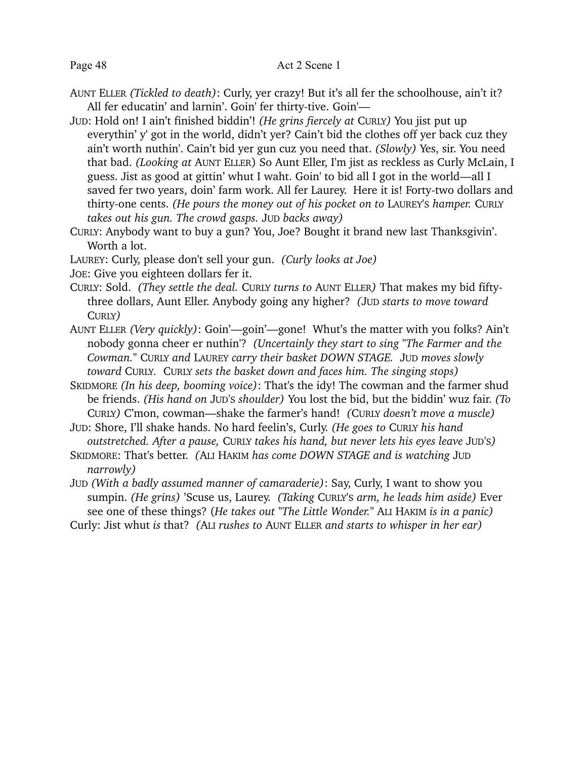- AUNT ELLER *(Tickled to death)*: Curly, yer crazy! But it's all fer the schoolhouse, ain't it? All fer educatin' and larnin'. Goin' fer thirty-tive. Goin'—
- JUD: Hold on! I ain't finished biddin'! *(He grins fiercely at* CURLY*)* You jist put up everythin' y' got in the world, didn't yer? Cain't bid the clothes off yer back cuz they ain't worth nuthin'. Cain't bid yer gun cuz you need that. *(Slowly)* Yes, sir. You need that bad. *(Looking at* AUNT ELLER) So Aunt Eller, I'm jist as reckless as Curly McLain, I guess. Jist as good at gittin' whut I waht. Goin' to bid all I got in the world—all I saved fer two years, doin' farm work. All fer Laurey. Here it is! Forty-two dollars and thirty-one cents. *(He pours the money out of his pocket on to* LAUREY'S *hamper.* CURLY *takes out his gun. The crowd gasps.* JUD *backs away)*
- CURLY: Anybody want to buy a gun? You, Joe? Bought it brand new last Thanksgivin'. Worth a lot.
- LAUREY: Curly, please don't sell your gun. *(Curly looks at Joe)*
- JOE: Give you eighteen dollars fer it.
- CURLY: Sold. *(They settle the deal.* CURLY *turns to* AUNT ELLER*)* That makes my bid fiftythree dollars, Aunt Eller. Anybody going any higher? *(*JUD *starts to move toward* CURLY*)*
- AUNT ELLER *(Very quickly)*: Goin'—goin'—gone! Whut's the matter with you folks? Ain't nobody gonna cheer er nuthin'? *(Uncertainly they start to sing "The Farmer and the Cowman."* CURLY *and* LAUREY *carry their basket DOWN STAGE.* JUD *moves slowly toward* CURLY*.* CURLY *sets the basket down and faces him. The singing stops)*
- SKIDMORE *(In his deep, booming voice)*: That's the idy! The cowman and the farmer shud be friends. *(His hand on* JUD'S *shoulder)* You lost the bid, but the biddin' wuz fair. *(To* CURLY*)* C'mon, cowman—shake the farmer's hand! *(*CURLY *doesn't move a muscle)*
- JUD: Shore, I'll shake hands. No hard feelin's, Curly. *(He goes to* CURLY *his hand outstretched. After a pause,* CURLY *takes his hand, but never lets his eyes leave* JUD'S*)*
- SKIDMORE: That's better. *(*ALI HAKIM *has come DOWN STAGE and is watching* JUD *narrowly)*

JUD *(With a badly assumed manner of camaraderie)*: Say, Curly, I want to show you sumpin. *(He grins)* 'Scuse us, Laurey. *(Taking* CURLY'S *arm, he leads him aside)* Ever see one of these things? (*He takes out "The Little Wonder."* ALI HAKIM *is in a panic)*

Curly: Jist whut *is* that? *(*ALI *rushes to* AUNT ELLER *and starts to whisper in her ear)*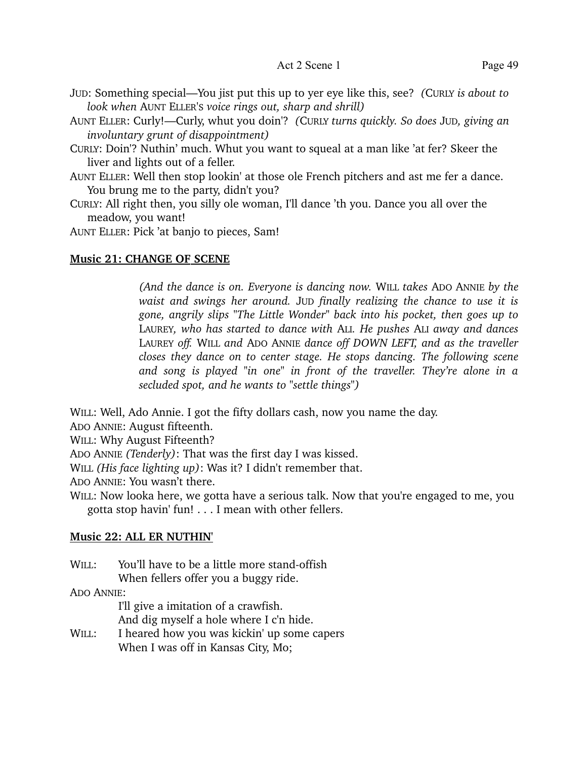- JUD: Something special—You jist put this up to yer eye like this, see? *(*CURLY *is about to look when* AUNT ELLER'S *voice rings out, sharp and shrill)*
- AUNT ELLER: Curly!—Curly, whut you doin'? *(*CURLY *turns quickly. So does* JUD*, giving an involuntary grunt of disappointment)*
- CURLY: Doin'? Nuthin' much. Whut you want to squeal at a man like 'at fer? Skeer the liver and lights out of a feller.
- AUNT ELLER: Well then stop lookin' at those ole French pitchers and ast me fer a dance. You brung me to the party, didn't you?
- CURLY: All right then, you silly ole woman, I'll dance 'th you. Dance you all over the meadow, you want!

AUNT ELLER: Pick 'at banjo to pieces, Sam!

# **Music 21: CHANGE OF SCENE**

*(And the dance is on. Everyone is dancing now.* WILL *takes* ADO ANNIE *by the waist and swings her around.* JUD *finally realizing the chance to use it is gone, angrily slips "The Little Wonder" back into his pocket, then goes up to* LAUREY*, who has started to dance with* ALI*. He pushes* ALI *away and dances* LAUREY *off.* WILL *and* ADO ANNIE *dance off DOWN LEFT, and as the traveller closes they dance on to center stage. He stops dancing. The following scene and song is played "in one" in front of the traveller. They're alone in a secluded spot, and he wants to "settle things")*

WILL: Well, Ado Annie. I got the fifty dollars cash, now you name the day.

ADO ANNIE: August fifteenth.

WILL: Why August Fifteenth?

ADO ANNIE *(Tenderly)*: That was the first day I was kissed.

WILL *(His face lighting up)*: Was it? I didn't remember that.

ADO ANNIE: You wasn't there.

WILL: Now looka here, we gotta have a serious talk. Now that you're engaged to me, you gotta stop havin' fun! . . . I mean with other fellers.

# **Music 22: ALL ER NUTHIN'**

WILL: You'll have to be a little more stand-offish When fellers offer you a buggy ride.

# ADO ANNIE:

I'll give a imitation of a crawfish.

And dig myself a hole where I c'n hide.

WILL: I heared how you was kickin' up some capers When I was off in Kansas City, Mo;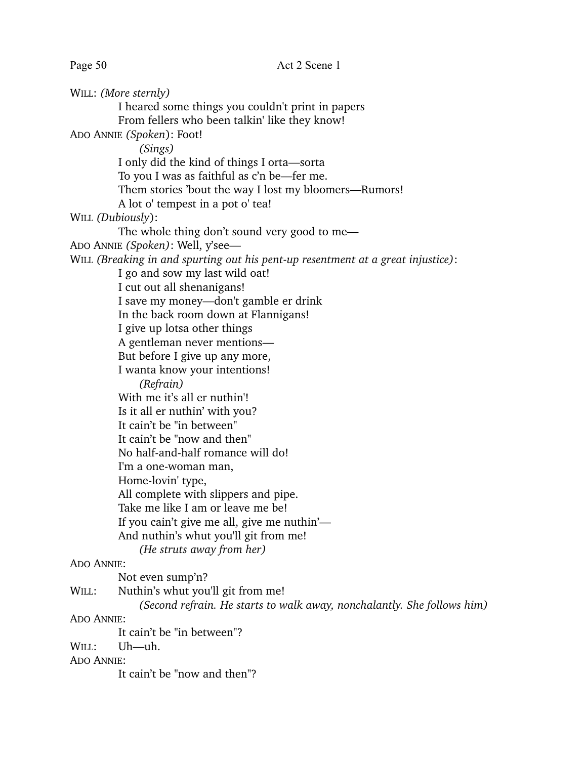WILL: *(More sternly)* I heared some things you couldn't print in papers From fellers who been talkin' like they know! ADO ANNIE *(Spoken*): Foot! *(Sings)* I only did the kind of things I orta—sorta To you I was as faithful as c'n be—fer me. Them stories 'bout the way I lost my bloomers—Rumors! A lot o' tempest in a pot o' tea! WILL *(Dubiously*): The whole thing don't sound very good to me— ADO ANNIE *(Spoken)*: Well, y'see— WILL *(Breaking in and spurting out his pent-up resentment at a great injustice)*: I go and sow my last wild oat! I cut out all shenanigans! I save my money—don't gamble er drink In the back room down at Flannigans! I give up lotsa other things A gentleman never mentions— But before I give up any more, I wanta know your intentions! *(Refrain)* With me it's all er nuthin'! Is it all er nuthin' with you? It cain't be "in between" It cain't be "now and then" No half-and-half romance will do! I'm a one-woman man, Home-lovin' type, All complete with slippers and pipe. Take me like I am or leave me be! If you cain't give me all, give me nuthin'— And nuthin's whut you'll git from me! *(He struts away from her)* ADO ANNIE: Not even sump'n? WILL: Nuthin's whut you'll git from me! *(Second refrain. He starts to walk away, nonchalantly. She follows him)* ADO ANNIE: It cain't be "in between"? WILL: Uh—uh. ADO ANNIE: It cain't be "now and then"?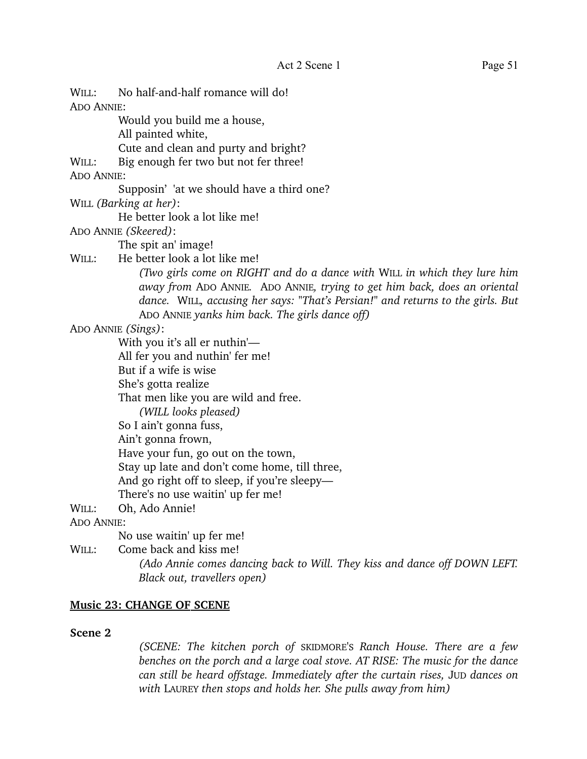WILL: No half-and-half romance will do!

ADO ANNIE:

Would you build me a house,

All painted white,

Cute and clean and purty and bright?

WILL: Big enough fer two but not fer three!

ADO ANNIE:

Supposin' 'at we should have a third one?

WILL *(Barking at her)*:

He better look a lot like me!

ADO ANNIE *(Skeered)*:

The spit an' image!

WILL: He better look a lot like me!

*(Two girls come on RIGHT and do a dance with* WILL *in which they lure him away from* ADO ANNIE*.* ADO ANNIE*, trying to get him back, does an oriental dance.* WILL*, accusing her says: "That's Persian!" and returns to the girls. But* ADO ANNIE *yanks him back. The girls dance off)*

ADO ANNIE *(Sings)*:

With you it's all er nuthin'— All fer you and nuthin' fer me! But if a wife is wise

She's gotta realize

That men like you are wild and free.

*(WILL looks pleased)*

So I ain't gonna fuss,

Ain't gonna frown,

Have your fun, go out on the town,

Stay up late and don't come home, till three, And go right off to sleep, if you're sleepy—

There's no use waitin' up fer me!

WILL: Oh, Ado Annie!

ADO ANNIE:

No use waitin' up fer me!

WILL: Come back and kiss me!

*(Ado Annie comes dancing back to Will. They kiss and dance off DOWN LEFT. Black out, travellers open)*

# **Music 23: CHANGE OF SCENE**

#### **Scene 2**

*(SCENE: The kitchen porch of* SKIDMORE'S *Ranch House. There are a few benches on the porch and a large coal stove. AT RISE: The music for the dance can still be heard offstage. Immediately after the curtain rises,* JUD *dances on with* LAUREY *then stops and holds her. She pulls away from him)*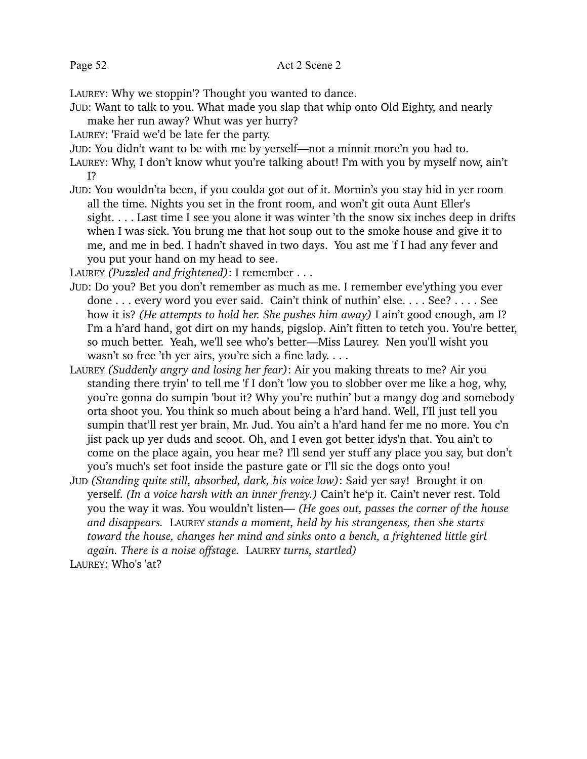LAUREY: Why we stoppin'? Thought you wanted to dance.

JUD: Want to talk to you. What made you slap that whip onto Old Eighty, and nearly make her run away? Whut was yer hurry?

LAUREY: 'Fraid we'd be late fer the party.

JUD: You didn't want to be with me by yerself—not a minnit more'n you had to.

- LAUREY: Why, I don't know whut you're talking about! I'm with you by myself now, ain't I?
- JUD: You wouldn'ta been, if you coulda got out of it. Mornin's you stay hid in yer room all the time. Nights you set in the front room, and won't git outa Aunt Eller's sight. . . . Last time I see you alone it was winter 'th the snow six inches deep in drifts when I was sick. You brung me that hot soup out to the smoke house and give it to me, and me in bed. I hadn't shaved in two days. You ast me 'f I had any fever and you put your hand on my head to see.

LAUREY *(Puzzled and frightened)*: I remember . . .

- JUD: Do you? Bet you don't remember as much as me. I remember eve'ything you ever done . . . every word you ever said. Cain't think of nuthin' else. . . . See? . . . . See how it is? *(He attempts to hold her. She pushes him away)* I ain't good enough, am I? I'm a h'ard hand, got dirt on my hands, pigslop. Ain't fitten to tetch you. You're better, so much better. Yeah, we'll see who's better—Miss Laurey. Nen you'll wisht you wasn't so free 'th yer airs, you're sich a fine lady. . . .
- LAUREY *(Suddenly angry and losing her fear)*: Air you making threats to me? Air you standing there tryin' to tell me 'f I don't 'low you to slobber over me like a hog, why, you're gonna do sumpin 'bout it? Why you're nuthin' but a mangy dog and somebody orta shoot you. You think so much about being a h'ard hand. Well, I'Il just tell you sumpin that'll rest yer brain, Mr. Jud. You ain't a h'ard hand fer me no more. You c'n jist pack up yer duds and scoot. Oh, and I even got better idys'n that. You ain't to come on the place again, you hear me? I'll send yer stuff any place you say, but don't you's much's set foot inside the pasture gate or I'll sic the dogs onto you!
- JUD *(Standing quite still, absorbed, dark, his voice low)*: Said yer say! Brought it on yerself. *(In a voice harsh with an inner frenzy.)* Cain't he'p it. Cain't never rest. Told you the way it was. You wouldn't listen— *(He goes out, passes the corner of the house and disappears.* LAUREY *stands a moment, held by his strangeness, then she starts toward the house, changes her mind and sinks onto a bench, a frightened little girl again. There is a noise offstage.* LAUREY *turns, startled)*

LAUREY: Who's 'at?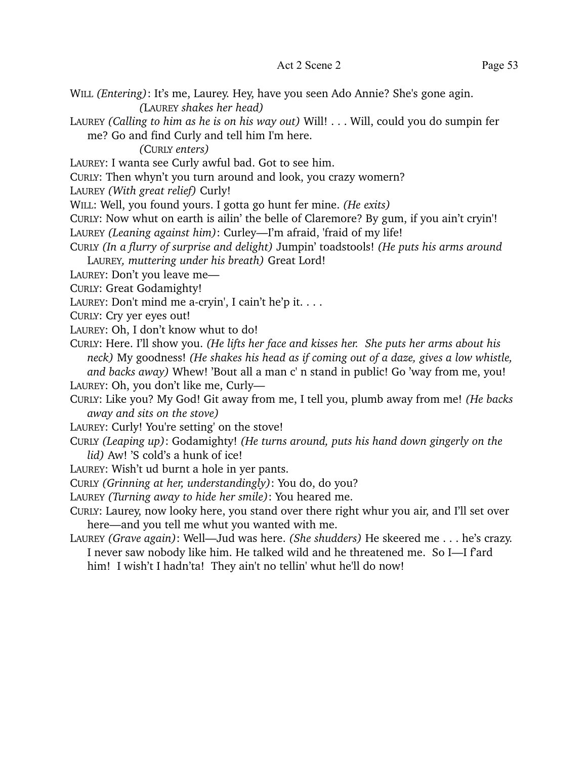- WILL *(Entering)*: It's me, Laurey. Hey, have you seen Ado Annie? She's gone agin. *(*LAUREY *shakes her head)*
- LAUREY *(Calling to him as he is on his way out)* Will! . . . Will, could you do sumpin fer me? Go and find Curly and tell him I'm here.

*(*CURLY *enters)*

LAUREY: I wanta see Curly awful bad. Got to see him.

CURLY: Then whyn't you turn around and look, you crazy womern?

LAUREY *(With great relief)* Curly!

WILL: Well, you found yours. I gotta go hunt fer mine. *(He exits)*

CURLY: Now whut on earth is ailin' the belle of Claremore? By gum, if you ain't cryin'! LAUREY *(Leaning against him)*: Curley—I'm afraid, 'fraid of my life!

CURLY *(In a flurry of surprise and delight)* Jumpin' toadstools! *(He puts his arms around* LAUREY*, muttering under his breath)* Great Lord!

LAUREY: Don't you leave me—

CURLY: Great Godamighty!

LAUREY: Don't mind me a-cryin', I cain't he'p it.  $\dots$ 

CURLY: Cry yer eyes out!

LAUREY: Oh, I don't know whut to do!

CURLY: Here. I'll show you. *(He lifts her face and kisses her. She puts her arms about his neck)* My goodness! *(He shakes his head as if coming out of a daze, gives a low whistle, and backs away)* Whew! 'Bout all a man c' n stand in public! Go 'way from me, you!

LAUREY: Oh, you don't like me, Curly—

CURLY: Like you? My God! Git away from me, I tell you, plumb away from me! *(He backs away and sits on the stove)*

LAUREY: Curly! You're setting' on the stove!

CURLY *(Leaping up)*: Godamighty! *(He turns around, puts his hand down gingerly on the lid)* Aw! 'S cold's a hunk of ice!

LAUREY: Wish't ud burnt a hole in yer pants.

CURLY *(Grinning at her, understandingly)*: You do, do you?

LAUREY *(Turning away to hide her smile)*: You heared me.

CURLY: Laurey, now looky here, you stand over there right whur you air, and I'll set over here—and you tell me whut you wanted with me.

LAUREY *(Grave again)*: Well—Jud was here. *(She shudders)* He skeered me . . . he's crazy. I never saw nobody like him. He talked wild and he threatened me. So I—I f'ard him! I wish't I hadn'ta! They ain't no tellin' whut he'll do now!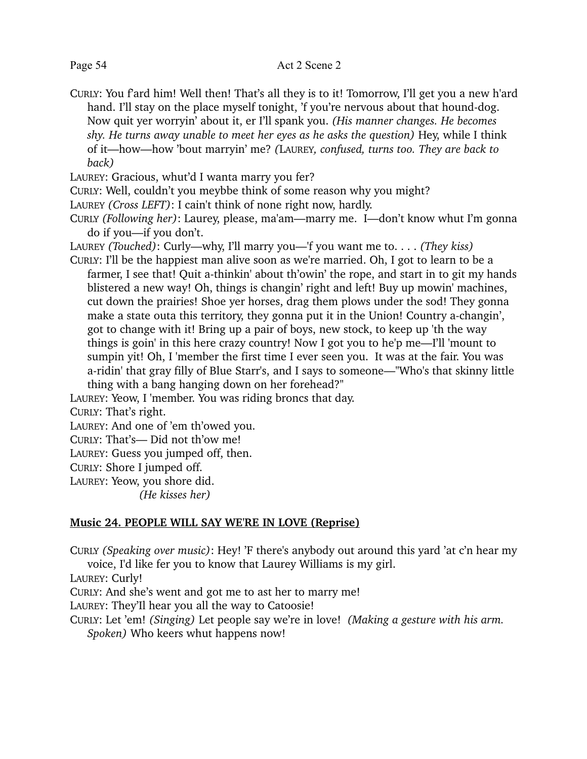- CURLY: You f'ard him! Well then! That's all they is to it! Tomorrow, I'll get you a new h'ard hand. I'll stay on the place myself tonight, 'f you're nervous about that hound-dog. Now quit yer worryin' about it, er I'll spank you. *(His manner changes. He becomes shy. He turns away unable to meet her eyes as he asks the question)* Hey, while I think of it—how—how 'bout marryin' me? *(*LAUREY*, confused, turns too. They are back to back)*
- LAUREY: Gracious, whut'd I wanta marry you fer?
- CURLY: Well, couldn't you meybbe think of some reason why you might?
- LAUREY *(Cross LEFT)*: I cain't think of none right now, hardly.
- CURLY *(Following her)*: Laurey, please, ma'am—marry me. I—don't know whut I'm gonna do if you—if you don't.
- LAUREY *(Touched)*: Curly—why, I'll marry you—'f you want me to. . . . *(They kiss)*
- CURLY: I'll be the happiest man alive soon as we're married. Oh, I got to learn to be a farmer, I see that! Quit a-thinkin' about th'owin' the rope, and start in to git my hands blistered a new way! Oh, things is changin' right and left! Buy up mowin' machines, cut down the prairies! Shoe yer horses, drag them plows under the sod! They gonna make a state outa this territory, they gonna put it in the Union! Country a-changin', got to change with it! Bring up a pair of boys, new stock, to keep up 'th the way things is goin' in this here crazy country! Now I got you to he'p me—I'll 'mount to sumpin yit! Oh, I 'member the first time I ever seen you. It was at the fair. You was a-ridin' that gray filly of Blue Starr's, and I says to someone—"Who's that skinny little thing with a bang hanging down on her forehead?"
- LAUREY: Yeow, I 'member. You was riding broncs that day.
- CURLY: That's right.
- LAUREY: And one of 'em th'owed you.
- CURLY: That's— Did not th'ow me!
- LAUREY: Guess you jumped off, then.
- CURLY: Shore I jumped off.
- LAUREY: Yeow, you shore did.
	- *(He kisses her)*

# **Music 24. PEOPLE WILL SAY WE'RE IN LOVE (Reprise)**

CURLY *(Speaking over music)*: Hey! 'F there's anybody out around this yard 'at c'n hear my voice, I'd like fer you to know that Laurey Williams is my girl.

LAUREY: Curly!

CURLY: And she's went and got me to ast her to marry me!

LAUREY: They'Il hear you all the way to Catoosie!

CURLY: Let 'em! *(Singing)* Let people say we're in love! *(Making a gesture with his arm. Spoken)* Who keers whut happens now!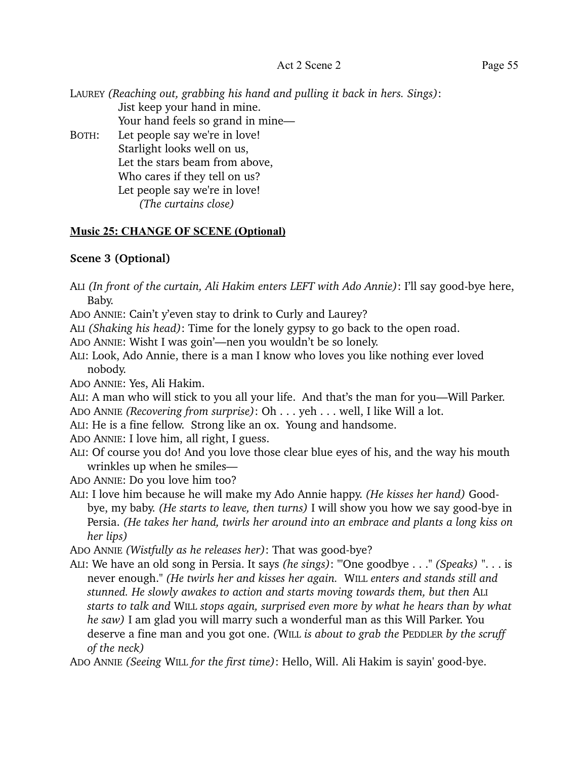LAUREY *(Reaching out, grabbing his hand and pulling it back in hers. Sings)*: Jist keep your hand in mine.

Your hand feels so grand in mine—

BOTH: Let people say we're in love! Starlight looks well on us, Let the stars beam from above, Who cares if they tell on us? Let people say we're in love! *(The curtains close)*

# **Music 25: CHANGE OF SCENE (Optional)**

# **Scene 3 (Optional)**

- ALI *(In front of the curtain, Ali Hakim enters LEFT with Ado Annie)*: I'll say good-bye here, Baby.
- ADO ANNIE: Cain't y'even stay to drink to Curly and Laurey?
- ALI *(Shaking his head)*: Time for the lonely gypsy to go back to the open road.
- ADO ANNIE: Wisht I was goin'—nen you wouldn't be so lonely.
- ALI: Look, Ado Annie, there is a man I know who loves you like nothing ever loved nobody.

ADO ANNIE: Yes, Ali Hakim.

ALI: A man who will stick to you all your life. And that's the man for you—Will Parker.

ADO ANNIE *(Recovering from surprise)*: Oh . . . yeh . . . well, I like Will a lot.

ALI: He is a fine fellow. Strong like an ox. Young and handsome.

ADO ANNIE: I love him, all right, I guess.

ALI: Of course you do! And you love those clear blue eyes of his, and the way his mouth wrinkles up when he smiles—

ADO ANNIE: Do you love him too?

ALI: I love him because he will make my Ado Annie happy. *(He kisses her hand)* Goodbye, my baby. *(He starts to leave, then turns)* I will show you how we say good-bye in Persia. *(He takes her hand, twirls her around into an embrace and plants a long kiss on her lips)*

ADO ANNIE *(Wistfully as he releases her)*: That was good-bye?

ALI: We have an old song in Persia. It says *(he sings)*: "'One goodbye . . ." *(Speaks)* ". . . is never enough." *(He twirls her and kisses her again.* WILL *enters and stands still and stunned. He slowly awakes to action and starts moving towards them, but then* ALI *starts to talk and* WILL *stops again, surprised even more by what he hears than by what he saw)* I am glad you will marry such a wonderful man as this Will Parker. You deserve a fine man and you got one. *(*WILL *is about to grab the* PEDDLER *by the scruff of the neck)*

ADO ANNIE *(Seeing* WILL *for the first time)*: Hello, Will. Ali Hakim is sayin' good-bye.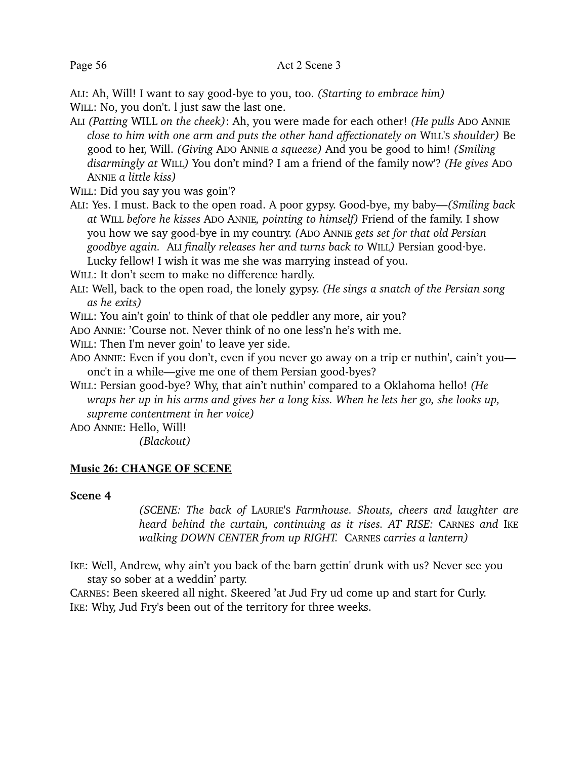### Page 56 Act 2 Scene 3

ALI: Ah, Will! I want to say good-bye to you, too. *(Starting to embrace him)* WILL: No, you don't. I just saw the last one.

ALI *(Patting* WILL *on the cheek)*: Ah, you were made for each other! *(He pulls* ADO ANNIE *close to him with one arm and puts the other hand affectionately on* WILL'S *shoulder)* Be good to her, Will. *(Giving* ADO ANNIE *a squeeze)* And you be good to him! *(Smiling disarmingly at* WILL*)* You don't mind? I am a friend of the family now'? *(He gives* ADO ANNIE *a little kiss)*

WILL: Did you say you was goin'?

- ALI: Yes. I must. Back to the open road. A poor gypsy. Good-bye, my baby—*(Smiling back at* WILL *before he kisses* ADO ANNIE*, pointing to himself)* Friend of the family. I show you how we say good-bye in my country. *(*ADO ANNIE *gets set for that old Persian goodbye again.* ALI *finally releases her and turns back to* WILL*)* Persian good·bye. Lucky fellow! I wish it was me she was marrying instead of you.
- WILL: It don't seem to make no difference hardly.
- ALI: Well, back to the open road, the lonely gypsy. *(He sings a snatch of the Persian song as he exits)*

WILL: You ain't goin' to think of that ole peddler any more, air you?

ADO ANNIE: 'Course not. Never think of no one less'n he's with me.

WILL: Then I'm never goin' to leave yer side.

ADO ANNIE: Even if you don't, even if you never go away on a trip er nuthin', cain't you onc't in a while—give me one of them Persian good-byes?

WILL: Persian good-bye? Why, that ain't nuthin' compared to a Oklahoma hello! *(He* wraps her up in his arms and gives her a long kiss. When he lets her go, she looks up, *supreme contentment in her voice)*

ADO ANNIE: Hello, Will!

*(Blackout)*

# **Music 26: CHANGE OF SCENE**

# **Scene 4**

*(SCENE: The back of* LAURIE'S *Farmhouse. Shouts, cheers and laughter are heard behind the curtain, continuing as it rises. AT RISE:* CARNES *and* IKE *walking DOWN CENTER from up RIGHT.* CARNES *carries a lantern)*

IKE: Well, Andrew, why ain't you back of the barn gettin' drunk with us? Never see you stay so sober at a weddin' party.

CARNES: Been skeered all night. Skeered 'at Jud Fry ud come up and start for Curly. IKE: Why, Jud Fry's been out of the territory for three weeks.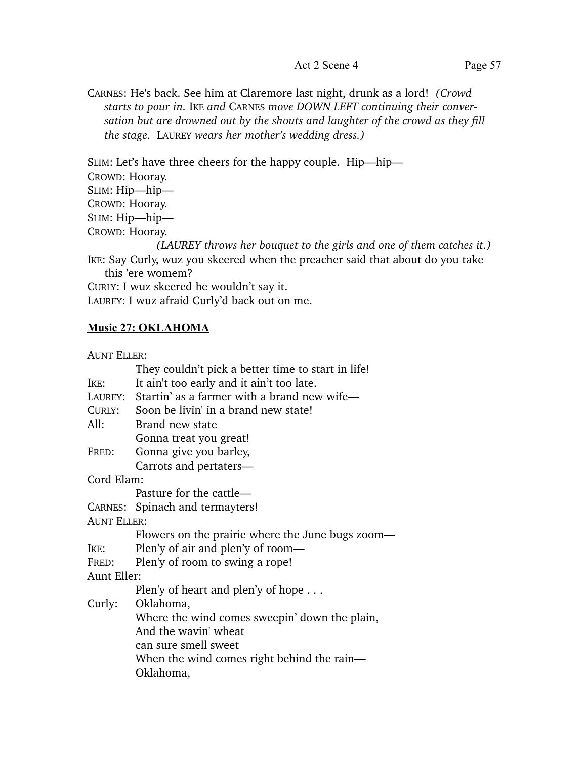Act 2 Scene 4 Page 57

CARNES: He's back. See him at Claremore last night, drunk as a lord! *(Crowd starts to pour in.* IKE *and* CARNES *move DOWN LEFT continuing their conversation but are drowned out by the shouts and laughter of the crowd as they fill the stage.* LAUREY *wears her mother's wedding dress.)*

SLIM: Let's have three cheers for the happy couple. Hip—hip—

CROWD: Hooray.

SLIM: Hip—hip—

CROWD: Hooray.

SLIM: Hip—hip—

CROWD: Hooray.

*(LAUREY throws her bouquet to the girls and one of them catches it.)* IKE: Say Curly, wuz you skeered when the preacher said that about do you take this 'ere womem?

CURLY: I wuz skeered he wouldn't say it. LAUREY: I wuz afraid Curly'd back out on me.

# **Music 27: OKLAHOMA**

AUNT ELLER:

|                    | They couldn't pick a better time to start in life! |
|--------------------|----------------------------------------------------|
| IKE:               | It ain't too early and it ain't too late.          |
| LAUREY:            | Startin' as a farmer with a brand new wife-        |
| CURLY:             | Soon be livin' in a brand new state!               |
| All:               | Brand new state                                    |
|                    | Gonna treat you great!                             |
| FRED:              | Gonna give you barley,                             |
|                    | Carrots and pertaters-                             |
| Cord Elam:         |                                                    |
|                    | Pasture for the cattle-                            |
|                    | CARNES: Spinach and termayters!                    |
| <b>AUNT ELLER:</b> |                                                    |
|                    | Flowers on the prairie where the June bugs zoom—   |
| IKE:               | Plen'y of air and plen'y of room—                  |
| FRED:              | Plen'y of room to swing a rope!                    |
| Aunt Eller:        |                                                    |
|                    | Plen'y of heart and plen'y of hope $\dots$         |
| Curly:             | Oklahoma,                                          |
|                    | Where the wind comes sweepin' down the plain,      |
|                    | And the wavin' wheat                               |
|                    | can sure smell sweet                               |
|                    | When the wind comes right behind the rain-         |
|                    | Oklahoma,                                          |
|                    |                                                    |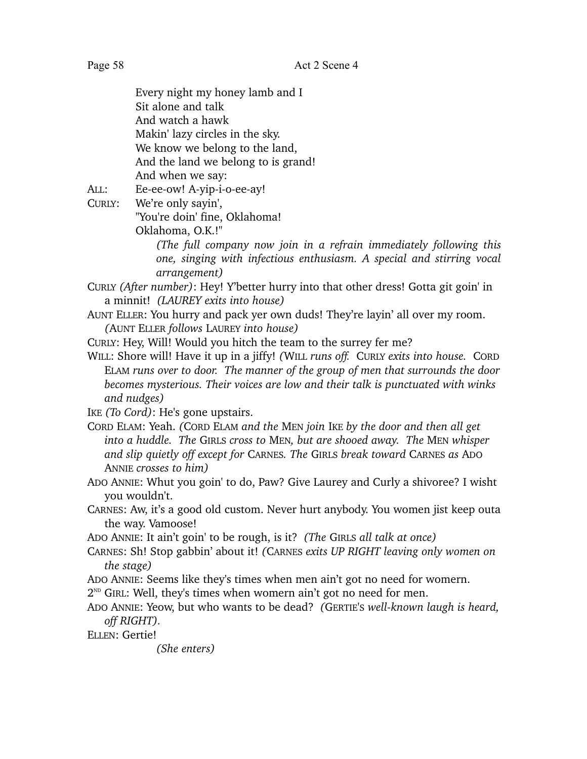Every night my honey lamb and I Sit alone and talk And watch a hawk Makin' lazy circles in the sky. We know we belong to the land, And the land we belong to is grand! And when we say:

ALL: Ee-ee-ow! A-yip-i-o-ee-ay!

CURLY: We're only sayin',

"You're doin' fine, Oklahoma!

Oklahoma, O.K.!"

*(The full company now join in a refrain immediately following this one, singing with infectious enthusiasm. A special and stirring vocal arrangement)*

- CURLY *(After number)*: Hey! Y'better hurry into that other dress! Gotta git goin' in a minnit! *(LAUREY exits into house)*
- AUNT ELLER: You hurry and pack yer own duds! They're layin' all over my room. *(*AUNT ELLER *follows* LAUREY *into house)*

CURLY: Hey, Will! Would you hitch the team to the surrey fer me?

WILL: Shore will! Have it up in a jiffy! *(*WILL *runs off.* CURLY *exits into house.* CORD ELAM *runs over to door. The manner of the group of men that surrounds the door becomes mysterious. Their voices are low and their talk is punctuated with winks and nudges)*

IKE *(To Cord)*: He's gone upstairs.

CORD ELAM: Yeah. *(*CORD ELAM *and the* MEN *join* IKE *by the door and then all get into a huddle. The* GIRLS *cross to* MEN*, but are shooed away. The* MEN *whisper and slip quietly off except for* CARNES*. The* GIRLS *break toward* CARNES *as* ADO ANNIE *crosses to him)*

ADO ANNIE: Whut you goin' to do, Paw? Give Laurey and Curly a shivoree? I wisht you wouldn't.

CARNES: Aw, it's a good old custom. Never hurt anybody. You women jist keep outa the way. Vamoose!

ADO ANNIE: It ain't goin' to be rough, is it? *(The* GIRLS *all talk at once)*

- CARNES: Sh! Stop gabbin' about it! *(*CARNES *exits UP RIGHT leaving only women on the stage)*
- ADO ANNIE: Seems like they's times when men ain't got no need for womern.
- $2^{ND}$  GIRL: Well, they's times when womern ain't got no need for men.

ADO ANNIE: Yeow, but who wants to be dead? *(*GERTIE'S *well-known laugh is heard, off RIGHT).*

ELLEN: Gertie!

*(She enters)*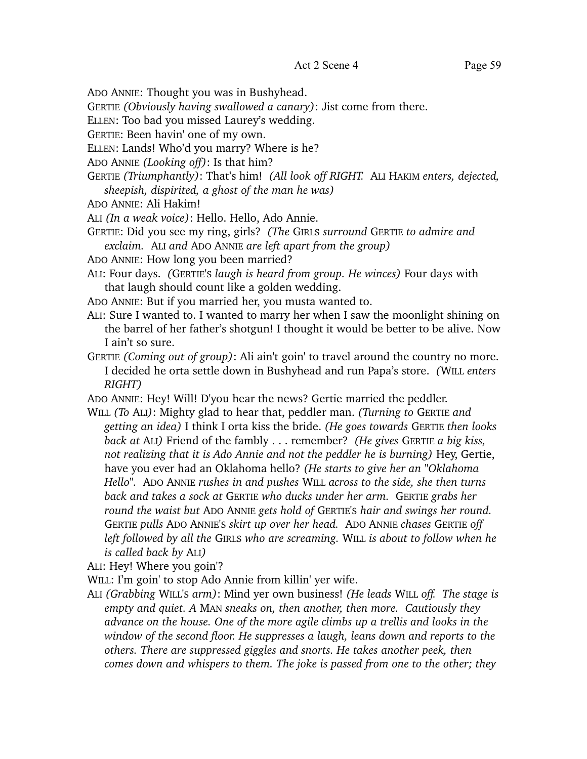ADO ANNIE: Thought you was in Bushyhead.

GERTIE *(Obviously having swallowed a canary)*: Jist come from there.

ELLEN: Too bad you missed Laurey's wedding.

GERTIE: Been havin' one of my own.

ELLEN: Lands! Who'd you marry? Where is he?

ADO ANNIE *(Looking off)*: Is that him?

- GERTIE *(Triumphantly)*: That's him! *(All look off RIGHT.* ALI HAKIM *enters, dejected, sheepish, dispirited, a ghost of the man he was)*
- ADO ANNIE: Ali Hakim!
- ALI *(In a weak voice)*: Hello. Hello, Ado Annie.
- GERTIE: Did you see my ring, girls? *(The* GIRLS *surround* GERTIE *to admire and exclaim.* ALI *and* ADO ANNIE *are left apart from the group)*
- ADO ANNIE: How long you been married?
- ALI: Four days. *(*GERTIE'S *laugh is heard from group. He winces)* Four days with that laugh should count like a golden wedding.
- ADO ANNIE: But if you married her, you musta wanted to.
- ALI: Sure I wanted to. I wanted to marry her when I saw the moonlight shining on the barrel of her father's shotgun! I thought it would be better to be alive. Now I ain't so sure.
- GERTIE *(Coming out of group)*: Ali ain't goin' to travel around the country no more. I decided he orta settle down in Bushyhead and run Papa's store. *(*WILL *enters RIGHT)*
- ADO ANNIE: Hey! Will! D'you hear the news? Gertie married the peddler.
- WILL *(To* ALI*)*: Mighty glad to hear that, peddler man. *(Turning to* GERTIE *and getting an idea)* I think I orta kiss the bride. *(He goes towards* GERTIE *then looks back at* ALI*)* Friend of the fambly . . . remember? *(He gives* GERTIE *a big kiss, not realizing that it is Ado Annie and not the peddler he is burning)* Hey, Gertie, have you ever had an Oklahoma hello? *(He starts to give her an "Oklahoma Hello".* ADO ANNIE *rushes in and pushes* WILL *across to the side, she then turns back and takes a sock at* GERTIE *who ducks under her arm.* GERTIE *grabs her round the waist but* ADO ANNIE *gets hold of* GERTIE'S *hair and swings her round.* GERTIE *pulls* ADO ANNIE'S *skirt up over her head.* ADO ANNIE *chases* GERTIE *off left followed by all the* GIRLS *who are screaming.* WILL *is about to follow when he is called back by* ALI*)*
- ALI: Hey! Where you goin'?

WILL: I'm goin' to stop Ado Annie from killin' yer wife.

ALI *(Grabbing* WILL'S *arm)*: Mind yer own business! *(He leads* WILL *off. The stage is empty and quiet. A* MAN *sneaks on, then another, then more. Cautiously they advance on the house. One of the more agile climbs up a trellis and looks in the window of the second floor. He suppresses a laugh, leans down and reports to the others. There are suppressed giggles and snorts. He takes another peek, then comes down and whispers to them. The joke is passed from one to the other; they*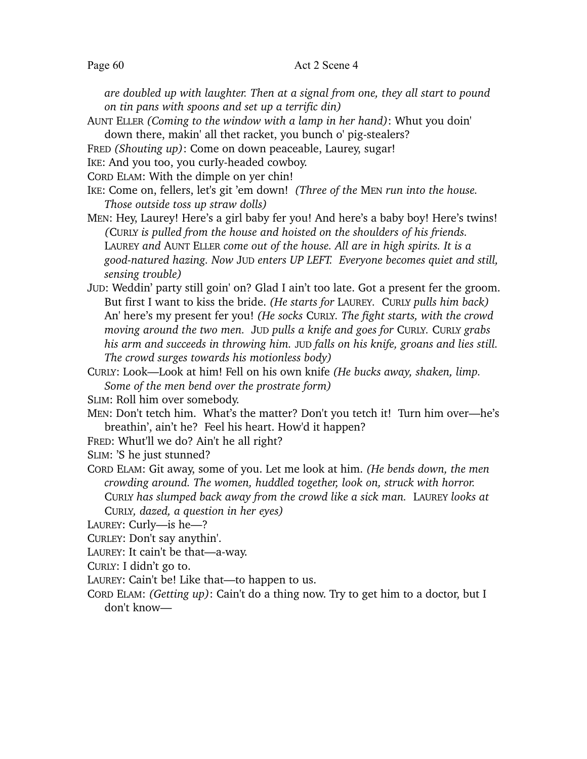*are doubled up with laughter. Then at a signal from one, they all start to pound on tin pans with spoons and set up a terrific din)*

- AUNT ELLER *(Coming to the window with a lamp in her hand)*: Whut you doin' down there, makin' all thet racket, you bunch o' pig-stealers?
- FRED *(Shouting up)*: Come on down peaceable, Laurey, sugar!
- IKE: And you too, you curIy-headed cowboy.
- CORD ELAM: With the dimple on yer chin!
- IKE: Come on, fellers, let's git 'em down! *(Three of the* MEN *run into the house. Those outside toss up straw dolls)*
- MEN: Hey, Laurey! Here's a girl baby fer you! And here's a baby boy! Here's twins! *(*CURLY *is pulled from the house and hoisted on the shoulders of his friends.*  LAUREY *and* AUNT ELLER *come out of the house. All are in high spirits. It is a good-natured hazing. Now* JUD *enters UP LEFT. Everyone becomes quiet and still, sensing trouble)*
- JUD: Weddin' party still goin' on? Glad I ain't too late. Got a present fer the groom. But first I want to kiss the bride. *(He starts for* LAUREY*.* CURLY *pulls him back)* An' here's my present fer you! *(He socks* CURLY*. The fight starts, with the crowd moving around the two men.* JUD *pulls a knife and goes for* CURLY*.* CURLY *grabs his arm and succeeds in throwing him.* JUD *falls on his knife, groans and lies still. The crowd surges towards his motionless body)*
- CURLY: Look—Look at him! Fell on his own knife *(He bucks away, shaken, limp. Some of the men bend over the prostrate form)*
- SLIM: Roll him over somebody.
- MEN: Don't tetch him. What's the matter? Don't you tetch it! Turn him over—he's breathin', ain't he? Feel his heart. How'd it happen?
- FRED: Whut'll we do? Ain't he all right?
- SLIM: 'S he just stunned?
- CORD ELAM: Git away, some of you. Let me look at him. *(He bends down, the men crowding around. The women, huddled together, look on, struck with horror.* CURLY *has slumped back away from the crowd like a sick man.* LAUREY *looks at* CURLY*, dazed, a question in her eyes)*
- LAUREY: Curly—is he—?
- CURLEY: Don't say anythin'.
- LAUREY: It cain't be that—a-way.
- CURLY: I didn't go to.
- LAUREY: Cain't be! Like that—to happen to us.
- CORD ELAM: *(Getting up)*: Cain't do a thing now. Try to get him to a doctor, but I don't know—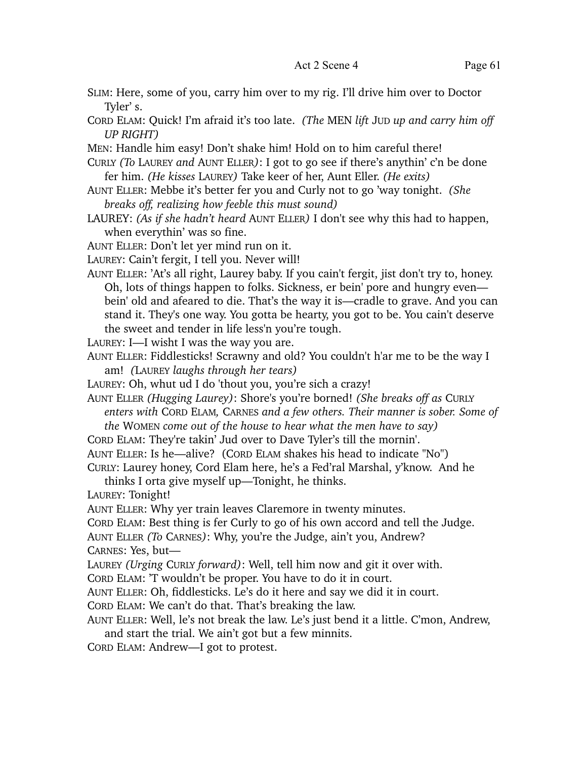- SLIM: Here, some of you, carry him over to my rig. I'll drive him over to Doctor Tyler' s.
- CORD ELAM: Quick! I'm afraid it's too late. *(The* MEN *lift* JUD *up and carry him off UP RIGHT)*
- MEN: Handle him easy! Don't shake him! Hold on to him careful there!
- CURLY *(To* LAUREY *and* AUNT ELLER*)*: I got to go see if there's anythin' c'n be done fer him. *(He kisses* LAUREY*)* Take keer of her, Aunt Eller. *(He exits)*
- AUNT ELLER: Mebbe it's better fer you and Curly not to go 'way tonight. *(She breaks off, realizing how feeble this must sound)*
- LAUREY: *(As if she hadn't heard* AUNT ELLER*)* I don't see why this had to happen, when everythin' was so fine.
- AUNT ELLER: Don't let yer mind run on it.
- LAUREY: Cain't fergit, I tell you. Never will!
- AUNT ELLER: 'At's all right, Laurey baby. If you cain't fergit, jist don't try to, honey. Oh, lots of things happen to folks. Sickness, er bein' pore and hungry even bein' old and afeared to die. That's the way it is—cradle to grave. And you can stand it. They's one way. You gotta be hearty, you got to be. You cain't deserve the sweet and tender in life less'n you're tough.
- LAUREY: I—I wisht I was the way you are.
- AUNT ELLER: Fiddlesticks! Scrawny and old? You couldn't h'ar me to be the way I am! *(*LAUREY *laughs through her tears)*
- LAUREY: Oh, whut ud I do 'thout you, you're sich a crazy!
- AUNT ELLER *(Hugging Laurey)*: Shore's you're borned! *(She breaks off as* CURLY *enters with* CORD ELAM*,* CARNES *and a few others. Their manner is sober. Some of the* WOMEN *come out of the house to hear what the men have to say)*
- CORD ELAM: They're takin' Jud over to Dave Tyler's till the mornin'.
- AUNT ELLER: Is he—alive? (CORD ELAM shakes his head to indicate "No")
- CURLY: Laurey honey, Cord Elam here, he's a Fed'ral Marshal, y'know. And he
	- thinks I orta give myself up—Tonight, he thinks.
- LAUREY: Tonight!
- AUNT ELLER: Why yer train leaves Claremore in twenty minutes.
- CORD ELAM: Best thing is fer Curly to go of his own accord and tell the Judge.

AUNT ELLER *(To* CARNES*)*: Why, you're the Judge, ain't you, Andrew? CARNES: Yes, but—

- LAUREY *(Urging* CURLY *forward)*: Well, tell him now and git it over with.
- CORD ELAM: 'T wouldn't be proper. You have to do it in court.
- AUNT ELLER: Oh, fiddlesticks. Le's do it here and say we did it in court.
- CORD ELAM: We can't do that. That's breaking the law.
- AUNT ELLER: Well, le's not break the law. Le's just bend it a little. C'mon, Andrew, and start the trial. We ain't got but a few minnits.
- CORD ELAM: Andrew—I got to protest.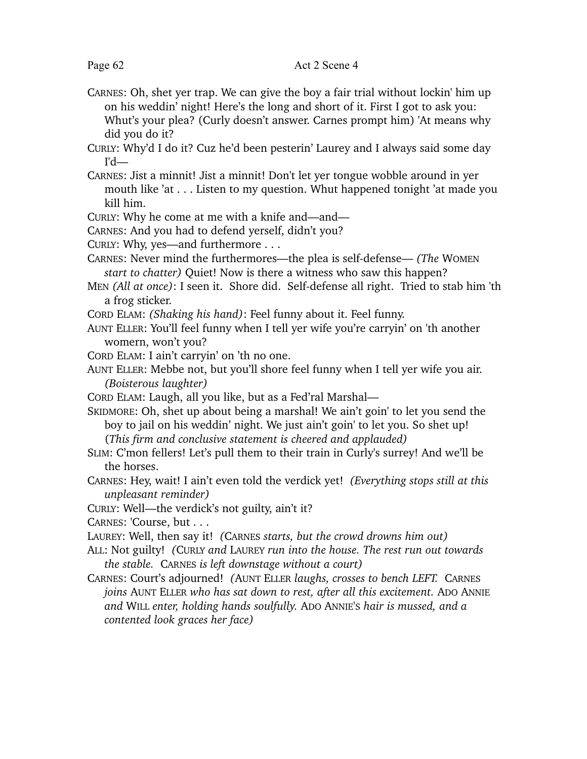#### Page 62 Act 2 Scene 4

CARNES: Oh, shet yer trap. We can give the boy a fair trial without lockin' him up on his weddin' night! Here's the long and short of it. First I got to ask you: Whut's your plea? (Curly doesn't answer. Carnes prompt him) 'At means why did you do it?

CURLY: Why'd I do it? Cuz he'd been pesterin' Laurey and I always said some day I'd—

- CARNES: Jist a minnit! Jist a minnit! Don't let yer tongue wobble around in yer mouth like 'at . . . Listen to my question. Whut happened tonight 'at made you kill him.
- CURLY: Why he come at me with a knife and—and—

CARNES: And you had to defend yerself, didn't you?

- CURLY: Why, yes—and furthermore . . .
- CARNES: Never mind the furthermores—the plea is self-defense— *(The* WOMEN *start to chatter)* Quiet! Now is there a witness who saw this happen?
- MEN *(All at once)*: I seen it. Shore did. Self-defense all right. Tried to stab him 'th a frog sticker.
- CORD ELAM: *(Shaking his hand)*: Feel funny about it. Feel funny.
- AUNT ELLER: You'll feel funny when I tell yer wife you're carryin' on 'th another womern, won't you?
- CORD ELAM: I ain't carryin' on 'th no one.
- AUNT ELLER: Mebbe not, but you'll shore feel funny when I tell yer wife you air. *(Boisterous laughter)*
- CORD ELAM: Laugh, all you like, but as a Fed'ral Marshal—
- SKIDMORE: Oh, shet up about being a marshal! We ain't goin' to let you send the boy to jail on his weddin' night. We just ain't goin' to let you. So shet up! (*This firm and conclusive statement is cheered and applauded)*
- SLIM: C'mon fellers! Let's pull them to their train in Curly's surrey! And we'll be the horses.
- CARNES: Hey, wait! I ain't even told the verdick yet! *(Everything stops still at this unpleasant reminder)*
- CURLY: Well—the verdick's not guilty, ain't it?
- CARNES: 'Course, but . . .
- LAUREY: Well, then say it! *(*CARNES *starts, but the crowd drowns him out)*
- ALL: Not guilty! *(*CURLY *and* LAUREY *run into the house. The rest run out towards the stable.* CARNES *is left downstage without a court)*
- CARNES: Court's adjourned! *(*AUNT ELLER *laughs, crosses to bench LEFT.* CARNES *joins* AUNT ELLER *who has sat down to rest, after all this excitement.* ADO ANNIE *and* WILL *enter, holding hands soulfully.* ADO ANNIE'S *hair is mussed, and a contented look graces her face)*